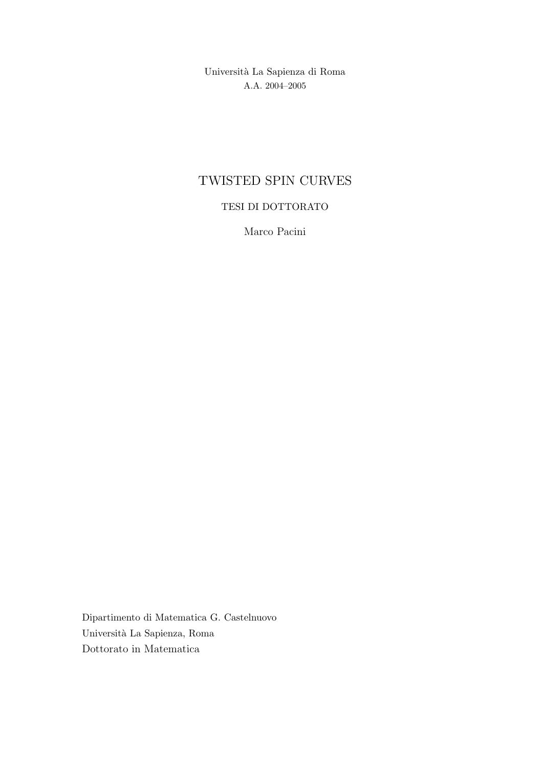Universit`a La Sapienza di Roma A.A. 2004–2005

# TWISTED SPIN CURVES

# TESI DI DOTTORATO

Marco Pacini

Dipartimento di Matematica G. Castelnuovo Universit`a La Sapienza, Roma Dottorato in Matematica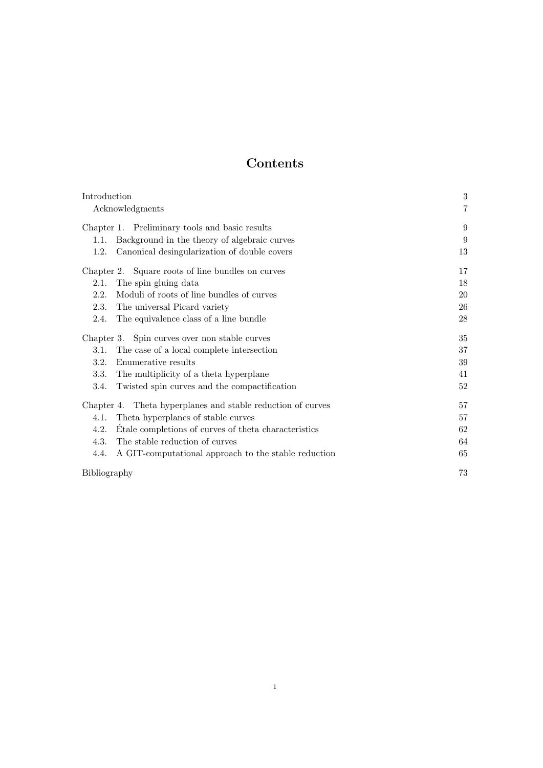# Contents

| Introduction                                                 | $\boldsymbol{3}$ |
|--------------------------------------------------------------|------------------|
| Acknowledgments                                              | $\overline{7}$   |
| Chapter 1. Preliminary tools and basic results               | 9                |
| Background in the theory of algebraic curves<br>1.1.         | 9                |
| Canonical desingularization of double covers<br>1.2.         | 13               |
| Chapter 2. Square roots of line bundles on curves            | 17               |
| The spin gluing data<br>2.1.                                 | 18               |
| Moduli of roots of line bundles of curves<br>2.2.            | 20               |
| 2.3.<br>The universal Picard variety                         | 26               |
| The equivalence class of a line bundle<br>2.4.               | 28               |
| Chapter 3. Spin curves over non stable curves                | 35               |
| The case of a local complete intersection<br>3.1.            | 37               |
| Enumerative results<br>3.2.                                  | 39               |
| 3.3.<br>The multiplicity of a theta hyperplane               | 41               |
| 3.4.<br>Twisted spin curves and the compactification         | 52               |
| Chapter 4. Theta hyperplanes and stable reduction of curves  | 57               |
| Theta hyperplanes of stable curves<br>4.1.                   | 57               |
| 4.2.<br>Etale completions of curves of theta characteristics | 62               |
| The stable reduction of curves<br>4.3.                       | 64               |
| 4.4.<br>A GIT-computational approach to the stable reduction | 65               |
| Bibliography                                                 | 73               |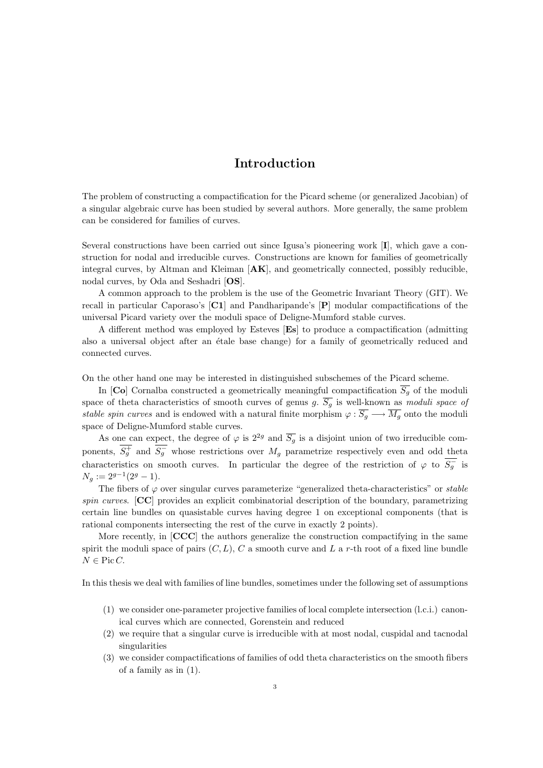# Introduction

The problem of constructing a compactification for the Picard scheme (or generalized Jacobian) of a singular algebraic curve has been studied by several authors. More generally, the same problem can be considered for families of curves.

Several constructions have been carried out since Igusa's pioneering work [I], which gave a construction for nodal and irreducible curves. Constructions are known for families of geometrically integral curves, by Altman and Kleiman [AK], and geometrically connected, possibly reducible, nodal curves, by Oda and Seshadri [OS].

A common approach to the problem is the use of the Geometric Invariant Theory (GIT). We recall in particular Caporaso's [C1] and Pandharipande's [P] modular compactifications of the universal Picard variety over the moduli space of Deligne-Mumford stable curves.

A different method was employed by Esteves [Es] to produce a compactification (admitting also a universal object after an étale base change) for a family of geometrically reduced and connected curves.

On the other hand one may be interested in distinguished subschemes of the Picard scheme.

In [Co] Cornalba constructed a geometrically meaningful compactification  $\overline{S_q}$  of the moduli space of theta characteristics of smooth curves of genus g.  $S_g$  is well-known as moduli space of stable spin curves and is endowed with a natural finite morphism  $\varphi : \overline{S_g} \longrightarrow \overline{M_g}$  onto the moduli space of Deligne-Mumford stable curves.

As one can expect, the degree of  $\varphi$  is  $2^{2g}$  and  $\overline{S_g}$  is a disjoint union of two irreducible components,  $\overline{S_g^+}$  and  $\overline{S_g^-}$  whose restrictions over  $M_g$  parametrize respectively even and odd theta characteristics on smooth curves. In particular the degree of the restriction of  $\varphi$  to  $\overline{S_g}$  is  $N_g := 2^{g-1}(2^g - 1).$ 

The fibers of  $\varphi$  over singular curves parameterize "generalized theta-characteristics" or *stable* spin curves. [CC] provides an explicit combinatorial description of the boundary, parametrizing certain line bundles on quasistable curves having degree 1 on exceptional components (that is rational components intersecting the rest of the curve in exactly 2 points).

More recently, in [CCC] the authors generalize the construction compactifying in the same spirit the moduli space of pairs  $(C, L)$ , C a smooth curve and L a r-th root of a fixed line bundle  $N \in \text{Pic } C$ .

In this thesis we deal with families of line bundles, sometimes under the following set of assumptions

- (1) we consider one-parameter projective families of local complete intersection (l.c.i.) canonical curves which are connected, Gorenstein and reduced
- (2) we require that a singular curve is irreducible with at most nodal, cuspidal and tacnodal singularities
- (3) we consider compactifications of families of odd theta characteristics on the smooth fibers of a family as in (1).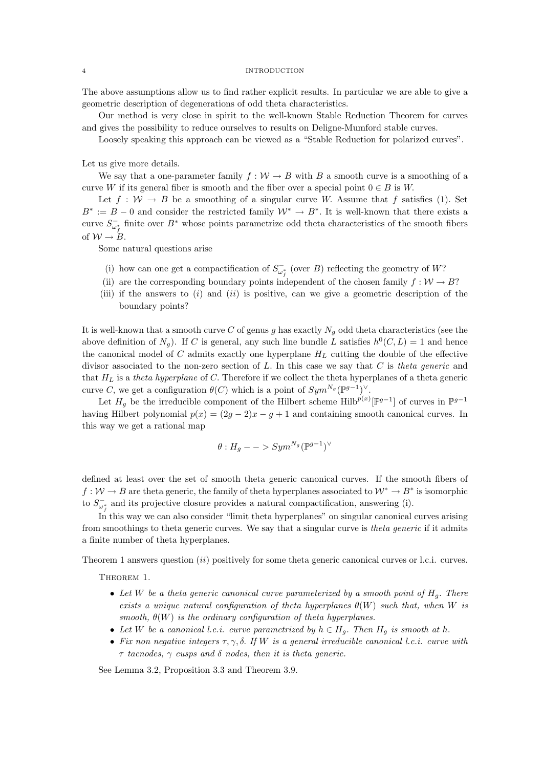#### 4 INTRODUCTION

The above assumptions allow us to find rather explicit results. In particular we are able to give a geometric description of degenerations of odd theta characteristics.

Our method is very close in spirit to the well-known Stable Reduction Theorem for curves and gives the possibility to reduce ourselves to results on Deligne-Mumford stable curves.

Loosely speaking this approach can be viewed as a "Stable Reduction for polarized curves".

Let us give more details.

We say that a one-parameter family  $f: \mathcal{W} \to B$  with B a smooth curve is a smoothing of a curve W if its general fiber is smooth and the fiber over a special point  $0 \in B$  is W.

Let  $f : \mathcal{W} \to B$  be a smoothing of a singular curve W. Assume that f satisfies (1). Set  $B^* := B - 0$  and consider the restricted family  $\mathcal{W}^* \to B^*$ . It is well-known that there exists a curve  $S_{\omega_i^*}^-$  finite over  $B^*$  whose points parametrize odd theta characteristics of the smooth fibers of  $W \rightarrow B$ .

Some natural questions arise

- (i) how can one get a compactification of  $S_{\omega_f^*}^-$  (over B) reflecting the geometry of W?
- (ii) are the corresponding boundary points independent of the chosen family  $f : \mathcal{W} \to B$ ?
- (iii) if the answers to  $(i)$  and  $(ii)$  is positive, can we give a geometric description of the boundary points?

It is well-known that a smooth curve C of genus g has exactly  $N_q$  odd theta characteristics (see the above definition of  $N_g$ ). If C is general, any such line bundle L satisfies  $h^0(C, L) = 1$  and hence the canonical model of  $C$  admits exactly one hyperplane  $H_L$  cutting the double of the effective divisor associated to the non-zero section of  $L$ . In this case we say that  $C$  is theta generic and that  $H_L$  is a theta hyperplane of C. Therefore if we collect the theta hyperplanes of a theta generic curve C, we get a configuration  $\theta(C)$  which is a point of  $Sym^{N_g}(\mathbb{P}^{g-1})^{\vee}$ .

Let  $H_g$  be the irreducible component of the Hilbert scheme Hilb<sup> $p(x)$ </sup> $[\mathbb{P}^{g-1}]$  of curves in  $\mathbb{P}^{g-1}$ having Hilbert polynomial  $p(x) = (2g - 2)x - g + 1$  and containing smooth canonical curves. In this way we get a rational map

$$
\theta: H_g -- > Sym^{N_g}(\mathbb{P}^{g-1})^{\vee}
$$

defined at least over the set of smooth theta generic canonical curves. If the smooth fibers of  $f: \mathcal{W} \to B$  are theta generic, the family of theta hyperplanes associated to  $\mathcal{W}^* \to B^*$  is isomorphic to  $S_{\omega_f^*}^-$  and its projective closure provides a natural compactification, answering (i).

In this way we can also consider "limit theta hyperplanes" on singular canonical curves arising from smoothings to theta generic curves. We say that a singular curve is theta generic if it admits a finite number of theta hyperplanes.

Theorem 1 answers question  $(ii)$  positively for some theta generic canonical curves or l.c.i. curves.

Theorem 1.

- Let W be a theta generic canonical curve parameterized by a smooth point of  $H_q$ . There exists a unique natural configuration of theta hyperplanes  $\theta(W)$  such that, when W is smooth,  $\theta(W)$  is the ordinary configuration of theta hyperplanes.
- Let W be a canonical l.c.i. curve parametrized by  $h \in H_g$ . Then  $H_g$  is smooth at h.
- Fix non negative integers  $\tau, \gamma, \delta$ . If W is a general irreducible canonical l.c.i. curve with  $\tau$  tacnodes,  $\gamma$  cusps and  $\delta$  nodes, then it is theta generic.

See Lemma 3.2, Proposition 3.3 and Theorem 3.9.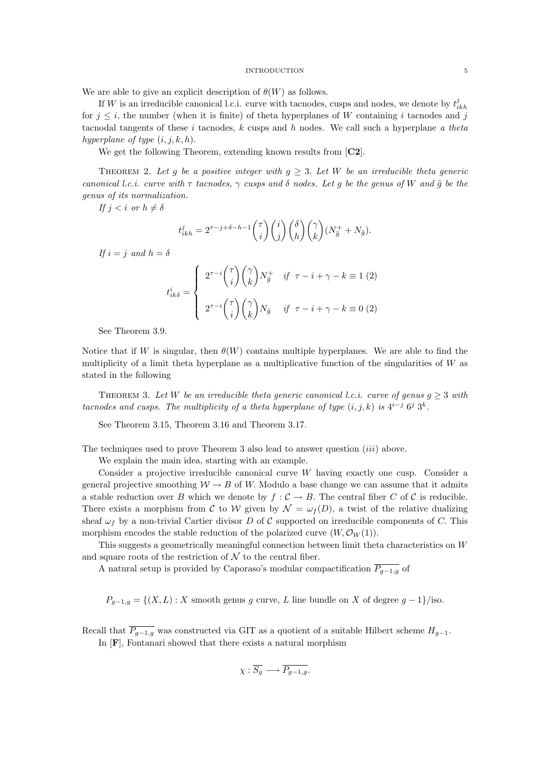#### INTRODUCTION 5

We are able to give an explicit description of  $\theta(W)$  as follows.

If W is an irreducible canonical l.c.i. curve with tacnodes, cusps and nodes, we denote by  $t_{ikh}^j$ for  $j \leq i$ , the number (when it is finite) of theta hyperplanes of W containing i tacnodes and j tacnodal tangents of these i tacnodes, k cusps and h nodes. We call such a hyperplane a theta hyperplane of type  $(i, j, k, h)$ .

We get the following Theorem, extending known results from [C2].

THEOREM 2. Let g be a positive integer with  $g \geq 3$ . Let W be an irreducible theta generic canonical l.c.i. curve with  $\tau$  tacnodes,  $\gamma$  cusps and  $\delta$  nodes. Let g be the genus of W and  $\tilde{g}$  be the genus of its normalization.

If  $j < i$  or  $h \neq \delta$ 

$$
t_{ikh}^j = 2^{\tau - j + \delta - h - 1} \binom{\tau}{i} \binom{i}{j} \binom{\delta}{h} \binom{\gamma}{k} (N_{\tilde{g}}^+ + N_{\tilde{g}}).
$$

If  $i = j$  and  $h = \delta$ 

$$
t_{ik\delta}^i = \begin{cases} 2^{\tau-i} \binom{\tau}{i} \binom{\gamma}{k} N_{\tilde{g}}^+ & \text{if } \tau - i + \gamma - k \equiv 1 \ (2) \\ 2^{\tau-i} \binom{\tau}{i} \binom{\gamma}{k} N_{\tilde{g}} & \text{if } \tau - i + \gamma - k \equiv 0 \ (2) \end{cases}
$$

See Theorem 3.9.

Notice that if W is singular, then  $\theta(W)$  contains multiple hyperplanes. We are able to find the multiplicity of a limit theta hyperplane as a multiplicative function of the singularities of  $W$  as stated in the following

THEOREM 3. Let W be an irreducible theta generic canonical l.c.i. curve of genus  $g \geq 3$  with tacnodes and cusps. The multiplicity of a theta hyperplane of type  $(i, j, k)$  is  $4^{i-j}$   $6^j$   $3^k$ .

See Theorem 3.15, Theorem 3.16 and Theorem 3.17.

The techniques used to prove Theorem 3 also lead to answer question (iii) above.

We explain the main idea, starting with an example.

Consider a projective irreducible canonical curve W having exactly one cusp. Consider a general projective smoothing  $W \to B$  of W. Modulo a base change we can assume that it admits a stable reduction over B which we denote by  $f : C \to B$ . The central fiber C of C is reducible. There exists a morphism from C to W given by  $\mathcal{N} = \omega_f(D)$ , a twist of the relative dualizing sheaf  $\omega_f$  by a non-trivial Cartier divisor D of C supported on irreducible components of C. This morphism encodes the stable reduction of the polarized curve  $(W, \mathcal{O}_W(1))$ .

This suggests a geometrically meaningful connection between limit theta characteristics on W and square roots of the restriction of  $\mathcal N$  to the central fiber.

A natural setup is provided by Caporaso's modular compactification  $\overline{P_{g-1,g}}$  of

 $P_{g-1,g} = \{(X,L): X \text{ smooth genus } g \text{ curve}, L \text{ line bundle on } X \text{ of degree } g-1\}/\text{iso.}$ 

Recall that  $\overline{P_{g-1,g}}$  was constructed via GIT as a quotient of a suitable Hilbert scheme  $H_{g-1}$ .

In [F], Fontanari showed that there exists a natural morphism

$$
\chi: \overline{S_g} \longrightarrow \overline{P_{g-1,g}}.
$$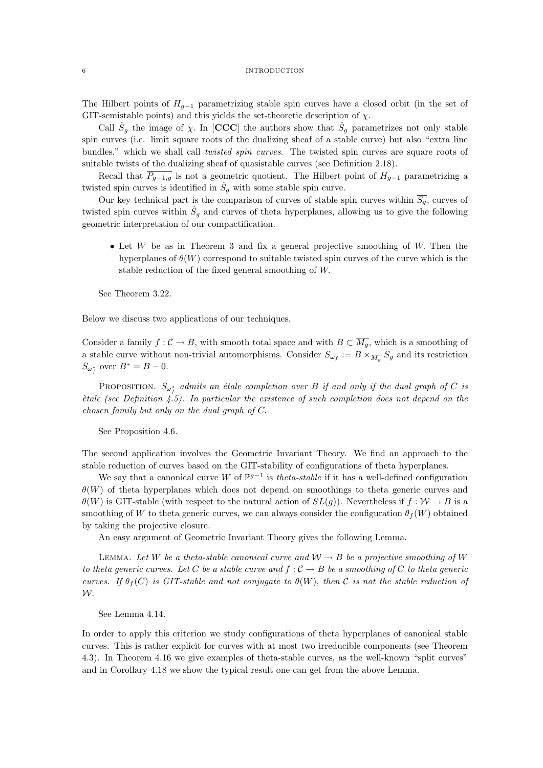#### 6 INTRODUCTION

The Hilbert points of  $H_{q-1}$  parametrizing stable spin curves have a closed orbit (in the set of GIT-semistable points) and this yields the set-theoretic description of  $\chi$ .

Call  $\hat{S}_g$  the image of  $\chi$ . In [CCC] the authors show that  $\hat{S}_g$  parametrizes not only stable spin curves (i.e. limit square roots of the dualizing sheaf of a stable curve) but also "extra line bundles," which we shall call *twisted spin curves*. The twisted spin curves are square roots of suitable twists of the dualizing sheaf of quasistable curves (see Definition 2.18).

Recall that  $\overline{P_{g-1,g}}$  is not a geometric quotient. The Hilbert point of  $H_{g-1}$  parametrizing a twisted spin curves is identified in  $\hat{S}_g$  with some stable spin curve.

Our key technical part is the comparison of curves of stable spin curves within  $\overline{S_g}$ , curves of twisted spin curves within  $\hat{S}_g$  and curves of theta hyperplanes, allowing us to give the following geometric interpretation of our compactification.

• Let  $W$  be as in Theorem 3 and fix a general projective smoothing of  $W$ . Then the hyperplanes of  $\theta(W)$  correspond to suitable twisted spin curves of the curve which is the stable reduction of the fixed general smoothing of W.

See Theorem 3.22.

Below we discuss two applications of our techniques.

Consider a family  $f: \mathcal{C} \to B$ , with smooth total space and with  $B \subset \overline{M_g}$ , which is a smoothing of a stable curve without non-trivial automorphisms. Consider  $S_{\omega_f} := B \times \overline{M_g} \overline{S_g}$  and its restriction  $S_{\omega_f^*}$  over  $B^* = B - 0$ .

PROPOSITION.  $S_{\omega_{f}^{*}}$  admits an étale completion over B if and only if the dual graph of C is  $\check{e}$ tale (see Definition 4.5). In particular the existence of such completion does not depend on the chosen family but only on the dual graph of C.

See Proposition 4.6.

The second application involves the Geometric Invariant Theory. We find an approach to the stable reduction of curves based on the GIT-stability of configurations of theta hyperplanes.

We say that a canonical curve W of  $\mathbb{P}^{g-1}$  is *theta-stable* if it has a well-defined configuration  $\theta(W)$  of theta hyperplanes which does not depend on smoothings to theta generic curves and  $\theta(W)$  is GIT-stable (with respect to the natural action of  $SL(q)$ ). Nevertheless if  $f: W \to B$  is a smoothing of W to theta generic curves, we can always consider the configuration  $\theta_f(W)$  obtained by taking the projective closure.

An easy argument of Geometric Invariant Theory gives the following Lemma.

LEMMA. Let W be a theta-stable canonical curve and  $W \to B$  be a projective smoothing of W to theta generic curves. Let C be a stable curve and  $f: \mathcal{C} \to B$  be a smoothing of C to theta generic curves. If  $\theta_f(C)$  is GIT-stable and not conjugate to  $\theta(W)$ , then C is not the stable reduction of W.

See Lemma 4.14.

In order to apply this criterion we study configurations of theta hyperplanes of canonical stable curves. This is rather explicit for curves with at most two irreducible components (see Theorem 4.3). In Theorem 4.16 we give examples of theta-stable curves, as the well-known "split curves" and in Corollary 4.18 we show the typical result one can get from the above Lemma.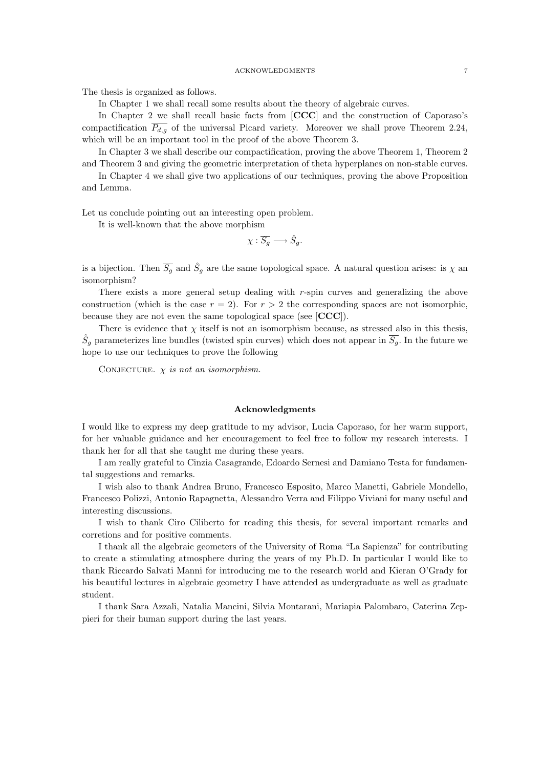The thesis is organized as follows.

In Chapter 1 we shall recall some results about the theory of algebraic curves.

In Chapter 2 we shall recall basic facts from [CCC] and the construction of Caporaso's compactification  $\overline{P_{d,g}}$  of the universal Picard variety. Moreover we shall prove Theorem 2.24, which will be an important tool in the proof of the above Theorem 3.

In Chapter 3 we shall describe our compactification, proving the above Theorem 1, Theorem 2 and Theorem 3 and giving the geometric interpretation of theta hyperplanes on non-stable curves.

In Chapter 4 we shall give two applications of our techniques, proving the above Proposition and Lemma.

Let us conclude pointing out an interesting open problem.

It is well-known that the above morphism

$$
\chi: \overline{S_g} \longrightarrow \hat{S}_g.
$$

is a bijection. Then  $\overline{S_g}$  and  $\hat{S}_g$  are the same topological space. A natural question arises: is  $\chi$  and isomorphism?

There exists a more general setup dealing with  $r$ -spin curves and generalizing the above construction (which is the case  $r = 2$ ). For  $r > 2$  the corresponding spaces are not isomorphic, because they are not even the same topological space (see [CCC]).

There is evidence that  $\chi$  itself is not an isomorphism because, as stressed also in this thesis,  $\hat{S}_g$  parameterizes line bundles (twisted spin curves) which does not appear in  $\overline{S_g}$ . In the future we hope to use our techniques to prove the following

CONJECTURE.  $\chi$  is not an isomorphism.

### Acknowledgments

I would like to express my deep gratitude to my advisor, Lucia Caporaso, for her warm support, for her valuable guidance and her encouragement to feel free to follow my research interests. I thank her for all that she taught me during these years.

I am really grateful to Cinzia Casagrande, Edoardo Sernesi and Damiano Testa for fundamental suggestions and remarks.

I wish also to thank Andrea Bruno, Francesco Esposito, Marco Manetti, Gabriele Mondello, Francesco Polizzi, Antonio Rapagnetta, Alessandro Verra and Filippo Viviani for many useful and interesting discussions.

I wish to thank Ciro Ciliberto for reading this thesis, for several important remarks and corretions and for positive comments.

I thank all the algebraic geometers of the University of Roma "La Sapienza" for contributing to create a stimulating atmosphere during the years of my Ph.D. In particular I would like to thank Riccardo Salvati Manni for introducing me to the research world and Kieran O'Grady for his beautiful lectures in algebraic geometry I have attended as undergraduate as well as graduate student.

I thank Sara Azzali, Natalia Mancini, Silvia Montarani, Mariapia Palombaro, Caterina Zeppieri for their human support during the last years.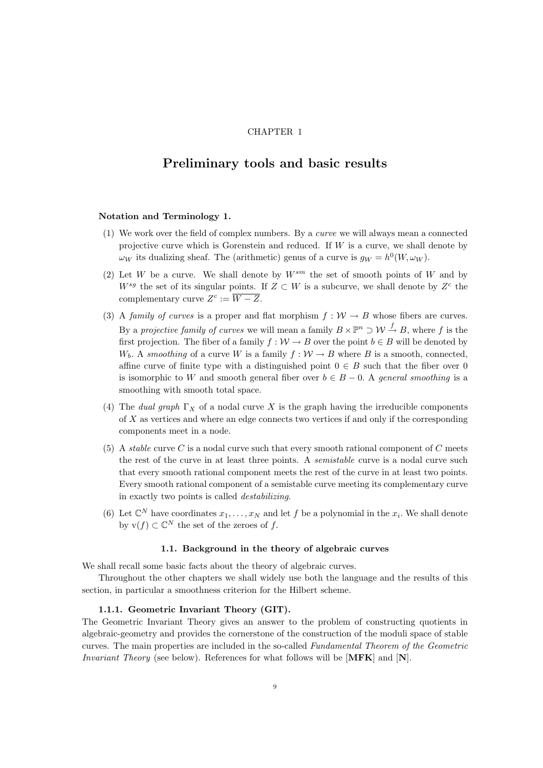# CHAPTER 1

# Preliminary tools and basic results

## Notation and Terminology 1.

- (1) We work over the field of complex numbers. By a curve we will always mean a connected projective curve which is Gorenstein and reduced. If  $W$  is a curve, we shall denote by  $\omega_W$  its dualizing sheaf. The (arithmetic) genus of a curve is  $g_W = h^0(W, \omega_W)$ .
- (2) Let W be a curve. We shall denote by  $W^{sm}$  the set of smooth points of W and by  $W^{sg}$  the set of its singular points. If  $Z \subset W$  is a subcurve, we shall denote by  $Z^c$  the complementary curve  $Z^c := \overline{W - Z}.$
- (3) A family of curves is a proper and flat morphism  $f : \mathcal{W} \to B$  whose fibers are curves. By a projective family of curves we will mean a family  $B \times \mathbb{P}^n \supset \mathcal{W} \stackrel{f}{\to} B$ , where f is the first projection. The fiber of a family  $f: W \to B$  over the point  $b \in B$  will be denoted by  $W_b$ . A smoothing of a curve W is a family  $f: W \to B$  where B is a smooth, connected, affine curve of finite type with a distinguished point  $0 \in B$  such that the fiber over 0 is isomorphic to W and smooth general fiber over  $b \in B - 0$ . A general smoothing is a smoothing with smooth total space.
- (4) The dual graph  $\Gamma_X$  of a nodal curve X is the graph having the irreducible components of X as vertices and where an edge connects two vertices if and only if the corresponding components meet in a node.
- (5) A stable curve C is a nodal curve such that every smooth rational component of C meets the rest of the curve in at least three points. A *semistable* curve is a nodal curve such that every smooth rational component meets the rest of the curve in at least two points. Every smooth rational component of a semistable curve meeting its complementary curve in exactly two points is called destabilizing.
- (6) Let  $\mathbb{C}^N$  have coordinates  $x_1, \ldots, x_N$  and let f be a polynomial in the  $x_i$ . We shall denote by  $\mathbf{v}(f) \subset \mathbb{C}^N$  the set of the zeroes of f.

## 1.1. Background in the theory of algebraic curves

We shall recall some basic facts about the theory of algebraic curves.

Throughout the other chapters we shall widely use both the language and the results of this section, in particular a smoothness criterion for the Hilbert scheme.

# 1.1.1. Geometric Invariant Theory (GIT).

The Geometric Invariant Theory gives an answer to the problem of constructing quotients in algebraic-geometry and provides the cornerstone of the construction of the moduli space of stable curves. The main properties are included in the so-called Fundamental Theorem of the Geometric Invariant Theory (see below). References for what follows will be [MFK] and [N].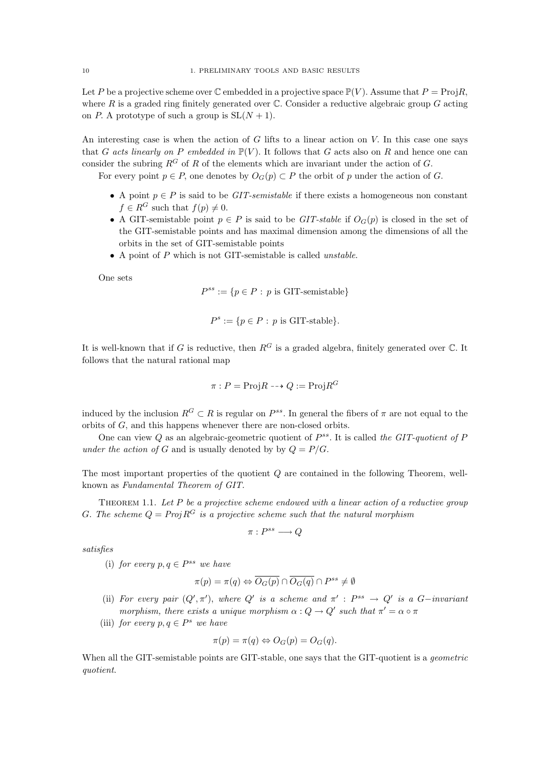Let P be a projective scheme over  $\mathbb C$  embedded in a projective space  $\mathbb P(V)$ . Assume that  $P = \text{Proj } R$ , where R is a graded ring finitely generated over  $\mathbb C$ . Consider a reductive algebraic group G acting on P. A prototype of such a group is  $SL(N + 1)$ .

An interesting case is when the action of G lifts to a linear action on V. In this case one says that G acts linearly on P embedded in  $\mathbb{P}(V)$ . It follows that G acts also on R and hence one can consider the subring  $R^G$  of R of the elements which are invariant under the action of G.

For every point  $p \in P$ , one denotes by  $O_G(p) \subset P$  the orbit of p under the action of G.

- A point  $p \in P$  is said to be *GIT-semistable* if there exists a homogeneous non constant  $f \in R^G$  such that  $f(p) \neq 0$ .
- A GIT-semistable point  $p \in P$  is said to be GIT-stable if  $O_G(p)$  is closed in the set of the GIT-semistable points and has maximal dimension among the dimensions of all the orbits in the set of GIT-semistable points
- A point of P which is not GIT-semistable is called *unstable*.

One sets

$$
P^{ss} := \{ p \in P : p \text{ is GIT-semistable} \}
$$

$$
P^s := \{ p \in P : p \text{ is GIT-stable} \}.
$$

It is well-known that if G is reductive, then  $R<sup>G</sup>$  is a graded algebra, finitely generated over  $\mathbb C$ . It follows that the natural rational map

$$
\pi: P = \text{Proj} R \dashrightarrow Q := \text{Proj} R^G
$$

induced by the inclusion  $R^G \subset R$  is regular on  $P^{ss}$ . In general the fibers of  $\pi$  are not equal to the orbits of G, and this happens whenever there are non-closed orbits.

One can view  $Q$  as an algebraic-geometric quotient of  $P^{ss}$ . It is called the GIT-quotient of  $P$ under the action of G and is usually denoted by by  $Q = P/G$ .

The most important properties of the quotient Q are contained in the following Theorem, wellknown as Fundamental Theorem of GIT.

THEOREM 1.1. Let  $P$  be a projective scheme endowed with a linear action of a reductive group G. The scheme  $Q = Proj R^G$  is a projective scheme such that the natural morphism

$$
\pi:P^{ss}\longrightarrow Q
$$

satisfies

(i) for every  $p, q \in P^{ss}$  we have

$$
\pi(p) = \pi(q) \Leftrightarrow \overline{O_G(p)} \cap \overline{O_G(q)} \cap P^{ss} \neq \emptyset
$$

(ii) For every pair  $(Q', \pi')$ , where Q' is a scheme and  $\pi' : P^{ss} \to Q'$  is a G-invariant morphism, there exists a unique morphism  $\alpha: Q \to Q'$  such that  $\pi' = \alpha \circ \pi$ 

(iii) for every  $p, q \in P^s$  we have

$$
\pi(p) = \pi(q) \Leftrightarrow O_G(p) = O_G(q).
$$

When all the GIT-semistable points are GIT-stable, one says that the GIT-quotient is a *geometric* quotient.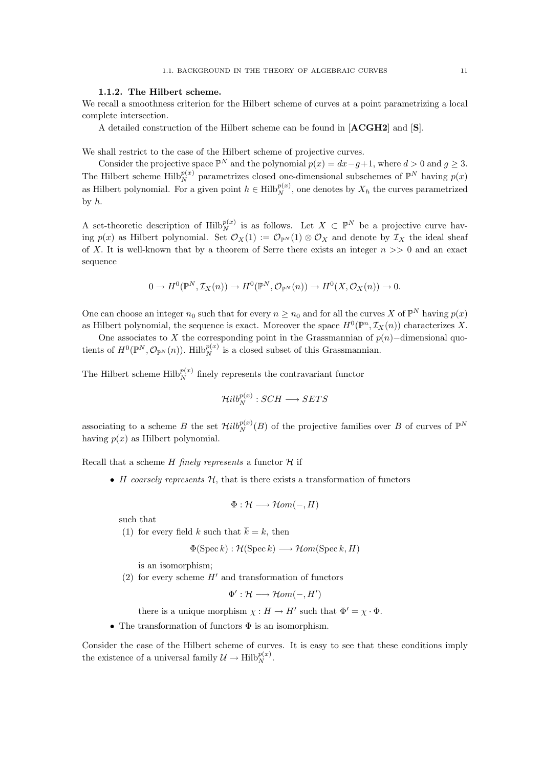### 1.1.2. The Hilbert scheme.

We recall a smoothness criterion for the Hilbert scheme of curves at a point parametrizing a local complete intersection.

A detailed construction of the Hilbert scheme can be found in [ACGH2] and [S].

We shall restrict to the case of the Hilbert scheme of projective curves.

Consider the projective space  $\mathbb{P}^N$  and the polynomial  $p(x) = dx - g + 1$ , where  $d > 0$  and  $g \geq 3$ . The Hilbert scheme  $\text{Hilb}_{N}^{p(x)}$  parametrizes closed one-dimensional subschemes of  $\mathbb{P}^{N}$  having  $p(x)$ as Hilbert polynomial. For a given point  $h \in \text{Hilb}_N^{p(x)}$ , one denotes by  $X_h$  the curves parametrized by h.

A set-theoretic description of  $\text{Hilb}_{N}^{p(x)}$  is as follows. Let  $X \subset \mathbb{P}^{N}$  be a projective curve having  $p(x)$  as Hilbert polynomial. Set  $\mathcal{O}_X(1) := \mathcal{O}_{\mathbb{P}^N}(1) \otimes \mathcal{O}_X$  and denote by  $\mathcal{I}_X$  the ideal sheaf of X. It is well-known that by a theorem of Serre there exists an integer  $n \gg 0$  and an exact sequence

$$
0 \to H^0(\mathbb{P}^N, \mathcal{I}_X(n)) \to H^0(\mathbb{P}^N, \mathcal{O}_{\mathbb{P}^N}(n)) \to H^0(X, \mathcal{O}_X(n)) \to 0.
$$

One can choose an integer  $n_0$  such that for every  $n \geq n_0$  and for all the curves X of  $\mathbb{P}^N$  having  $p(x)$ as Hilbert polynomial, the sequence is exact. Moreover the space  $H^0(\mathbb{P}^n, \mathcal{I}_X(n))$  characterizes X.

One associates to X the corresponding point in the Grassmannian of  $p(n)$ –dimensional quotients of  $H^0(\mathbb{P}^N, \mathcal{O}_{\mathbb{P}^N}(n))$ . Hilb $_p^{p(x)}$  is a closed subset of this Grassmannian.

The Hilbert scheme  $\text{Hilb}_{N}^{p(x)}$  finely represents the contravariant functor

$$
\mathcal{H}ilb_N^{p(x)}: SCH \longrightarrow SETS
$$

associating to a scheme B the set  $\mathcal{H}ilb_N^{p(x)}(B)$  of the projective families over B of curves of  $\mathbb{P}^N$ having  $p(x)$  as Hilbert polynomial.

Recall that a scheme  $H$  finely represents a functor  $H$  if

• H coarsely represents  $H$ , that is there exists a transformation of functors

$$
\Phi: \mathcal{H} \longrightarrow \mathcal{H}om(-,H)
$$

such that

(1) for every field k such that  $\overline{k} = k$ , then

$$
\Phi(\operatorname{Spec} k) : \mathcal{H}(\operatorname{Spec} k) \longrightarrow \mathcal{H}om(\operatorname{Spec} k, H)
$$

is an isomorphism;

(2) for every scheme  $H'$  and transformation of functors

$$
\Phi': \mathcal{H} \longrightarrow \mathcal{H}om(-,H')
$$

there is a unique morphism  $\chi : H \to H'$  such that  $\Phi' = \chi \cdot \Phi$ .

• The transformation of functors  $\Phi$  is an isomorphism.

Consider the case of the Hilbert scheme of curves. It is easy to see that these conditions imply the existence of a universal family  $\mathcal{U} \to \text{Hilb}_{N}^{p(x)}$ .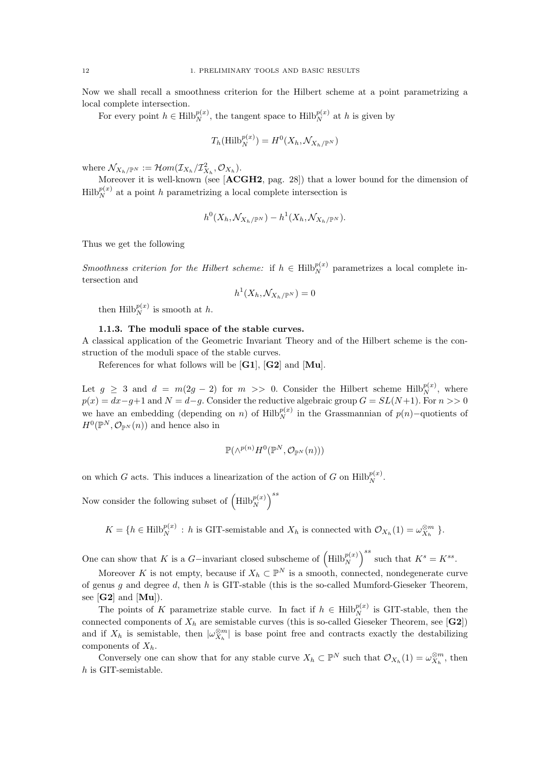Now we shall recall a smoothness criterion for the Hilbert scheme at a point parametrizing a local complete intersection.

For every point  $h \in \text{Hilb}_{N}^{p(x)}$ , the tangent space to  $\text{Hilb}_{N}^{p(x)}$  at h is given by

$$
T_h(\mathrm{Hilb}_N^{p(x)}) = H^0(X_h, \mathcal{N}_{X_h/\mathbb{P}^N})
$$

where  $\mathcal{N}_{X_h/\mathbb{P}^N} := \mathcal{H}om(\mathcal{I}_{X_h}/\mathcal{I}_{X_h}^2, \mathcal{O}_{X_h}).$ 

Moreover it is well-known (see [ACGH2, pag. 28]) that a lower bound for the dimension of  $\text{Hilb}_N^{p(x)}$  at a point h parametrizing a local complete intersection is

$$
h^0(X_h, \mathcal{N}_{X_h/\mathbb{P}^N}) - h^1(X_h, \mathcal{N}_{X_h/\mathbb{P}^N}).
$$

Thus we get the following

*Smoothness criterion for the Hilbert scheme:* if  $h \in Hilb_N^{p(x)}$  parametrizes a local complete intersection and

$$
h^1(X_h, \mathcal{N}_{X_h/\mathbb{P}^N}) = 0
$$

then  $\text{Hilb}_N^{p(x)}$  is smooth at h.

# 1.1.3. The moduli space of the stable curves.

A classical application of the Geometric Invariant Theory and of the Hilbert scheme is the construction of the moduli space of the stable curves.

References for what follows will be [G1], [G2] and [Mu].

Let  $g \geq 3$  and  $d = m(2g - 2)$  for  $m >> 0$ . Consider the Hilbert scheme Hilb $_p^{p(x)}$ , where  $p(x) = dx - g + 1$  and  $N = d-g$ . Consider the reductive algebraic group  $G = SL(N+1)$ . For  $n >> 0$ we have an embedding (depending on n) of  $\text{Hilb}_{N}^{p(x)}$  in the Grassmannian of  $p(n)$ -quotients of  $H^0(\mathbb{P}^N, \mathcal{O}_{\mathbb{P}^N}(n))$  and hence also in

$$
\mathbb{P}(\wedge^{p(n)} H^0(\mathbb{P}^N, \mathcal{O}_{\mathbb{P}^N}(n)))
$$

on which G acts. This induces a linearization of the action of G on  $\text{Hilb}_{N}^{p(x)}$ .

Now consider the following subset of  $\left(\mathrm{Hilb}_N^{p(x)}\right)^{ss}$ 

 $K = \{h \in \text{Hilb}_N^{p(x)} : h \text{ is GIT-semistable and } X_h \text{ is connected with } \mathcal{O}_{X_h}(1) = \omega_{X_h}^{\otimes m} \}.$ 

One can show that K is a G-invariant closed subscheme of  $\left( \text{Hilb}_{N}^{p(x)} \right)^{ss}$  such that  $K^s = K^{ss}$ .

Moreover K is not empty, because if  $X_h \subset \mathbb{P}^N$  is a smooth, connected, nondegenerate curve of genus q and degree d, then h is GIT-stable (this is the so-called Mumford-Gieseker Theorem, see  $[G2]$  and  $[Mu]$ ).

The points of K parametrize stable curve. In fact if  $h \in Hilb_N^{p(x)}$  is GIT-stable, then the connected components of  $X_h$  are semistable curves (this is so-called Gieseker Theorem, see [G2]) and if  $X_h$  is semistable, then  $|\omega_{X_h}^{\otimes m}|$  is base point free and contracts exactly the destabilizing components of  $X_h$ .

Conversely one can show that for any stable curve  $X_h \subset \mathbb{P}^N$  such that  $\mathcal{O}_{X_h}(1) = \omega_{X_h}^{\otimes m}$ , then h is GIT-semistable.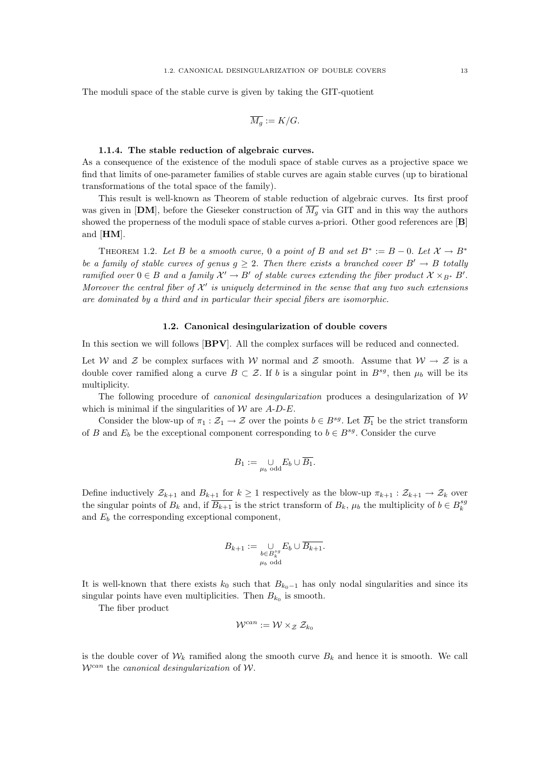The moduli space of the stable curve is given by taking the GIT-quotient

$$
\overline{M_g} := K/G.
$$

#### 1.1.4. The stable reduction of algebraic curves.

As a consequence of the existence of the moduli space of stable curves as a projective space we find that limits of one-parameter families of stable curves are again stable curves (up to birational transformations of the total space of the family).

This result is well-known as Theorem of stable reduction of algebraic curves. Its first proof was given in [DM], before the Gieseker construction of  $\overline{M_q}$  via GIT and in this way the authors showed the properness of the moduli space of stable curves a-priori. Other good references are [B] and [HM].

THEOREM 1.2. Let B be a smooth curve, 0 a point of B and set  $B^* := B - 0$ . Let  $\mathcal{X} \to B^*$ be a family of stable curves of genus  $g \geq 2$ . Then there exists a branched cover  $B' \to B$  totally ramified over  $0 \in B$  and a family  $\mathcal{X}' \to B'$  of stable curves extending the fiber product  $\mathcal{X} \times_{B^*} B'$ . Moreover the central fiber of  $\mathcal{X}'$  is uniquely determined in the sense that any two such extensions are dominated by a third and in particular their special fibers are isomorphic.

## 1.2. Canonical desingularization of double covers

In this section we will follows [BPV]. All the complex surfaces will be reduced and connected.

Let W and Z be complex surfaces with W normal and Z smooth. Assume that  $W \to Z$  is a double cover ramified along a curve  $B \subset \mathcal{Z}$ . If b is a singular point in  $B^{sg}$ , then  $\mu_b$  will be its multiplicity.

The following procedure of *canonical desingularization* produces a desingularization of  $W$ which is minimal if the singularities of  $W$  are  $A-D-E$ .

Consider the blow-up of  $\pi_1 : \mathcal{Z}_1 \to \mathcal{Z}$  over the points  $b \in B^{sg}$ . Let  $\overline{B_1}$  be the strict transform of B and  $E_b$  be the exceptional component corresponding to  $b \in B^{sg}$ . Consider the curve

$$
B_1 := \bigcup_{\mu_b \text{ odd}} E_b \cup \overline{B_1}.
$$

Define inductively  $\mathcal{Z}_{k+1}$  and  $B_{k+1}$  for  $k \geq 1$  respectively as the blow-up  $\pi_{k+1} : \mathcal{Z}_{k+1} \to \mathcal{Z}_k$  over the singular points of  $B_k$  and, if  $\overline{B_{k+1}}$  is the strict transform of  $B_k$ ,  $\mu_b$  the multiplicity of  $b \in B_k^{sg}$ and  $E<sub>b</sub>$  the corresponding exceptional component,

$$
B_{k+1} := \bigcup_{\substack{b \in B_k^{sg} \\ \mu_b \text{ odd}}} E_b \cup \overline{B_{k+1}}.
$$

It is well-known that there exists  $k_0$  such that  $B_{k_0-1}$  has only nodal singularities and since its singular points have even multiplicities. Then  $B_{k_0}$  is smooth.

The fiber product

$$
\mathcal{W}^{can} := \mathcal{W} \times_{\mathcal{Z}} \mathcal{Z}_{k_0}
$$

is the double cover of  $W_k$  ramified along the smooth curve  $B_k$  and hence it is smooth. We call  $W^{can}$  the *canonical desingularization* of W.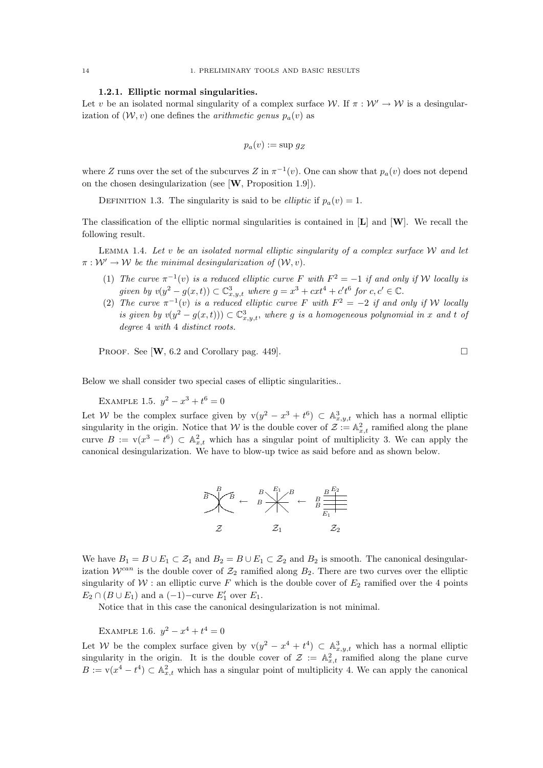# 1.2.1. Elliptic normal singularities.

Let v be an isolated normal singularity of a complex surface W. If  $\pi : \mathcal{W}' \to \mathcal{W}$  is a desingularization of  $(W, v)$  one defines the *arithmetic genus*  $p_a(v)$  as

$$
p_a(v) := \sup g_Z
$$

where Z runs over the set of the subcurves Z in  $\pi^{-1}(v)$ . One can show that  $p_a(v)$  does not depend on the chosen desingularization (see [W, Proposition 1.9]).

DEFINITION 1.3. The singularity is said to be *elliptic* if  $p_a(v) = 1$ .

The classification of the elliptic normal singularities is contained in  $[L]$  and  $[W]$ . We recall the following result.

LEMMA 1.4. Let v be an isolated normal elliptic singularity of a complex surface  $W$  and let  $\pi: \mathcal{W}' \to \mathcal{W}$  be the minimal desingularization of  $(\mathcal{W}, v)$ .

- (1) The curve  $\pi^{-1}(v)$  is a reduced elliptic curve F with  $F^2 = -1$  if and only if W locally is given by  $v(y^2 - g(x, t)) \subset \mathbb{C}^3_{x,y,t}$  where  $g = x^3 + cxt^4 + c't^6$  for  $c, c' \in \mathbb{C}$ .
- (2) The curve  $\pi^{-1}(v)$  is a reduced elliptic curve F with  $F^2 = -2$  if and only if W locally is given by  $v(y^2 - g(x,t)) \subset \mathbb{C}^3_{x,y,t}$ , where g is a homogeneous polynomial in x and t of degree 4 with 4 distinct roots.

PROOF. See  $[\mathbf{W}, 6.2 \text{ and Corollary pag. } 449]$ .

Below we shall consider two special cases of elliptic singularities..

EXAMPLE 1.5.  $y^2 - x^3 + t^6 = 0$ 

Let W be the complex surface given by  $v(y^2 - x^3 + t^6) \subset A^3_{x,y,t}$  which has a normal elliptic singularity in the origin. Notice that W is the double cover of  $\mathcal{Z} := \mathbb{A}_{x,t}^2$  ramified along the plane curve  $B := v(x^3 - t^6) \subset \mathbb{A}_{x,t}^2$  which has a singular point of multiplicity 3. We can apply the canonical desingularization. We have to blow-up twice as said before and as shown below.



We have  $B_1 = B \cup E_1 \subset \mathcal{Z}_1$  and  $B_2 = B \cup E_1 \subset \mathcal{Z}_2$  and  $B_2$  is smooth. The canonical desingularization  $\mathcal{W}^{can}$  is the double cover of  $\mathcal{Z}_2$  ramified along  $B_2$ . There are two curves over the elliptic singularity of  $W$ : an elliptic curve F which is the double cover of  $E_2$  ramified over the 4 points  $E_2 \cap (B \cup E_1)$  and a  $(-1)$ -curve  $E'_1$  over  $E_1$ .

Notice that in this case the canonical desingularization is not minimal.

EXAMPLE 1.6.  $y^2 - x^4 + t^4 = 0$ 

Let W be the complex surface given by  $v(y^2 - x^4 + t^4) \subset \mathbb{A}^3_{x,y,t}$  which has a normal elliptic singularity in the origin. It is the double cover of  $\mathcal{Z} := \mathbb{A}^2_{x,t}$  ramified along the plane curve  $B := v(x^4 - t^4) \subset \mathbb{A}_{x,t}^2$  which has a singular point of multiplicity 4. We can apply the canonical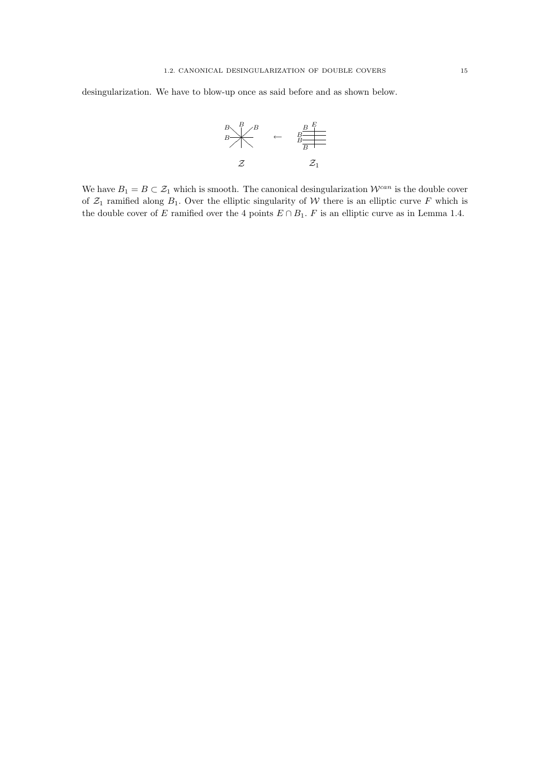desingularization. We have to blow-up once as said before and as shown below.



We have  $B_1 = B \subset \mathcal{Z}_1$  which is smooth. The canonical desingularization  $\mathcal{W}^{can}$  is the double cover of  $\mathcal{Z}_1$  ramified along  $B_1$ . Over the elliptic singularity of W there is an elliptic curve F which is the double cover of E ramified over the 4 points  $E \cap B_1$ . F is an elliptic curve as in Lemma 1.4.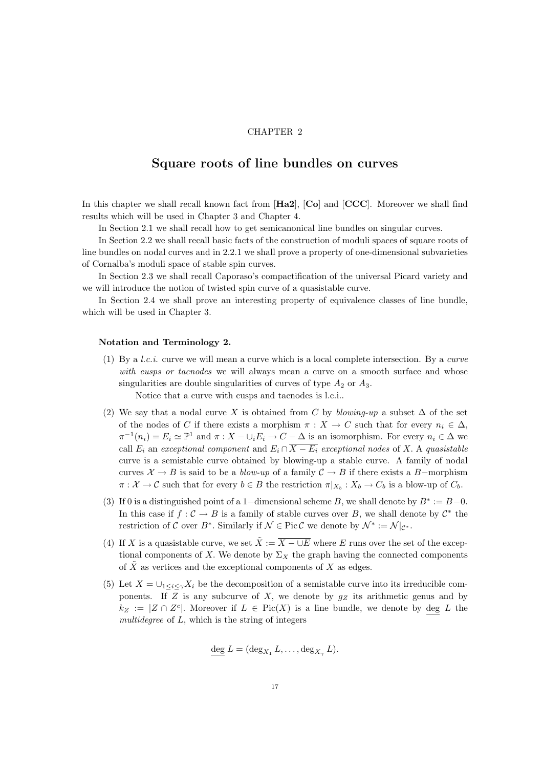# CHAPTER 2

# Square roots of line bundles on curves

In this chapter we shall recall known fact from  $[\text{Ha2}]$ ,  $[\text{Co}]$  and  $[\text{CCC}]$ . Moreover we shall find results which will be used in Chapter 3 and Chapter 4.

In Section 2.1 we shall recall how to get semicanonical line bundles on singular curves.

In Section 2.2 we shall recall basic facts of the construction of moduli spaces of square roots of line bundles on nodal curves and in 2.2.1 we shall prove a property of one-dimensional subvarieties of Cornalba's moduli space of stable spin curves.

In Section 2.3 we shall recall Caporaso's compactification of the universal Picard variety and we will introduce the notion of twisted spin curve of a quasistable curve.

In Section 2.4 we shall prove an interesting property of equivalence classes of line bundle, which will be used in Chapter 3.

## Notation and Terminology 2.

(1) By a *l.c.i.* curve we will mean a curve which is a local complete intersection. By a *curve* with cusps or tacnodes we will always mean a curve on a smooth surface and whose singularities are double singularities of curves of type  $A_2$  or  $A_3$ .

Notice that a curve with cusps and tacnodes is l.c.i..

- (2) We say that a nodal curve X is obtained from C by blowing-up a subset  $\Delta$  of the set of the nodes of C if there exists a morphism  $\pi : X \to C$  such that for every  $n_i \in \Delta$ ,  $\pi^{-1}(n_i) = E_i \simeq \mathbb{P}^1$  and  $\pi : X - \cup_i E_i \to C - \Delta$  is an isomorphism. For every  $n_i \in \Delta$  we call  $E_i$  an exceptional component and  $E_i \cap \overline{X - E_i}$  exceptional nodes of X. A quasistable curve is a semistable curve obtained by blowing-up a stable curve. A family of nodal curves  $\mathcal{X} \to B$  is said to be a *blow-up* of a family  $\mathcal{C} \to B$  if there exists a B-morphism  $\pi: \mathcal{X} \to \mathcal{C}$  such that for every  $b \in B$  the restriction  $\pi|_{X_b}: X_b \to C_b$  is a blow-up of  $C_b$ .
- (3) If 0 is a distinguished point of a 1-dimensional scheme B, we shall denote by  $B^* := B 0$ . In this case if  $f: \mathcal{C} \to B$  is a family of stable curves over B, we shall denote by  $\mathcal{C}^*$  the restriction of C over B<sup>\*</sup>. Similarly if  $\mathcal{N} \in \text{Pic } C$  we denote by  $\mathcal{N}^* := \mathcal{N}|_{\mathcal{C}^*}.$
- (4) If X is a quasistable curve, we set  $\tilde{X} := \overline{X \cup E}$  where E runs over the set of the exceptional components of X. We denote by  $\Sigma_X$  the graph having the connected components of  $\tilde{X}$  as vertices and the exceptional components of  $X$  as edges.
- (5) Let  $X = \bigcup_{1 \leq i \leq \gamma} X_i$  be the decomposition of a semistable curve into its irreducible components. If Z is any subcurve of X, we denote by  $g_Z$  its arithmetic genus and by  $k_Z := |Z \cap Z^c|$ . Moreover if  $L \in Pic(X)$  is a line bundle, we denote by deg L the multidegree of  $L$ , which is the string of integers

$$
\underline{\deg} L = (\deg_{X_1} L, \dots, \deg_{X_{\gamma}} L).
$$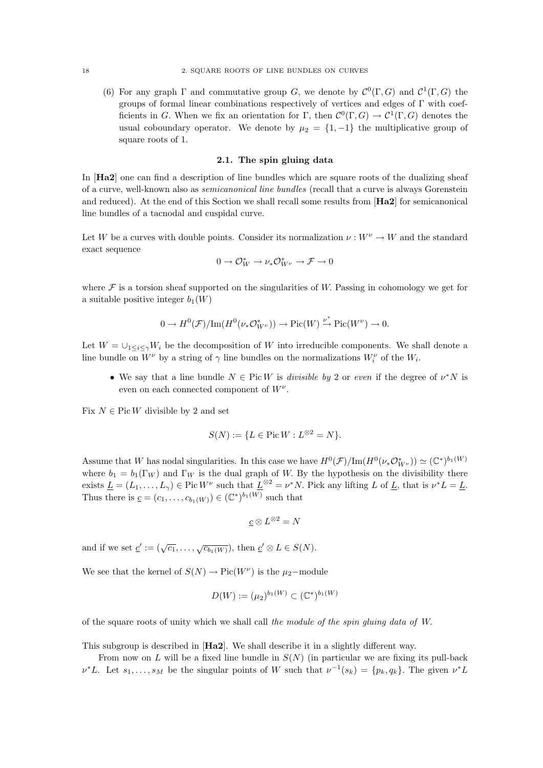(6) For any graph  $\Gamma$  and commutative group G, we denote by  $\mathcal{C}^0(\Gamma, G)$  and  $\mathcal{C}^1(\Gamma, G)$  the groups of formal linear combinations respectively of vertices and edges of Γ with coefficients in G. When we fix an orientation for  $\Gamma$ , then  $\mathcal{C}^0(\Gamma, G) \to \mathcal{C}^1(\Gamma, G)$  denotes the usual coboundary operator. We denote by  $\mu_2 = \{1, -1\}$  the multiplicative group of square roots of 1.

# 2.1. The spin gluing data

In [Ha2] one can find a description of line bundles which are square roots of the dualizing sheaf of a curve, well-known also as semicanonical line bundles (recall that a curve is always Gorenstein and reduced). At the end of this Section we shall recall some results from [Ha2] for semicanonical line bundles of a tacnodal and cuspidal curve.

Let W be a curves with double points. Consider its normalization  $\nu : W^{\nu} \to W$  and the standard exact sequence

$$
0\to \mathcal{O}_W^*\to \nu_*\mathcal{O}_{W^{\nu}}^*\to \mathcal{F}\to 0
$$

where  $\mathcal F$  is a torsion sheaf supported on the singularities of W. Passing in cohomology we get for a suitable positive integer  $b_1(W)$ 

$$
0 \to H^0(\mathcal{F})/\mathrm{Im}(H^0(\nu_*\mathcal{O}^*_{W^{\nu}})) \to \mathrm{Pic}(W) \overset{\nu^*}{\to} \mathrm{Pic}(W^{\nu}) \to 0.
$$

Let  $W = \bigcup_{1 \leq i \leq \gamma} W_i$  be the decomposition of W into irreducible components. We shall denote a line bundle on  $W^{\nu}$  by a string of  $\gamma$  line bundles on the normalizations  $W^{\nu}_i$  of the  $W_i$ .

• We say that a line bundle  $N \in Pic W$  is *divisible by* 2 or *even* if the degree of  $\nu^* N$  is even on each connected component of  $W^{\nu}$ .

Fix  $N \in$  Pic W divisible by 2 and set

$$
S(N) := \{ L \in \text{Pic } W : L^{\otimes 2} = N \}.
$$

Assume that W has nodal singularities. In this case we have  $H^0(\mathcal{F})/Im(H^0(\nu_*\mathcal{O}_{W^{\nu}}^*)) \simeq (\mathbb{C}^*)^{b_1(W)}$ where  $b_1 = b_1(\Gamma_W)$  and  $\Gamma_W$  is the dual graph of W. By the hypothesis on the divisibility there exists  $\underline{L} = (L_1, \ldots, L_{\gamma}) \in \text{Pic } W^{\nu}$  such that  $\underline{L}^{\otimes 2} = \nu^* N$ . Pick any lifting L of  $\underline{L}$ , that is  $\nu^* L = \underline{L}$ . Thus there is  $\underline{c} = (c_1, \ldots, c_{b_1(W)}) \in (\mathbb{C}^*)^{b_1(W)}$  such that

$$
\underline{c} \otimes L^{\otimes 2} = N
$$

and if we set  $\underline{c}' := (\sqrt{c_1}, \ldots, \sqrt{c_{b_1}(W)})$ , then  $\underline{c}' \otimes L \in S(N)$ .

We see that the kernel of  $S(N) \to Pic(W^{\nu})$  is the  $\mu_2$ -module

$$
D(W) := (\mu_2)^{b_1(W)} \subset (\mathbb{C}^*)^{b_1(W)}
$$

of the square roots of unity which we shall call the module of the spin gluing data of W.

This subgroup is described in [Ha2]. We shall describe it in a slightly different way.

From now on L will be a fixed line bundle in  $S(N)$  (in particular we are fixing its pull-back  $\nu^*L$ . Let  $s_1, \ldots, s_M$  be the singular points of W such that  $\nu^{-1}(s_k) = \{p_k, q_k\}$ . The given  $\nu^*L$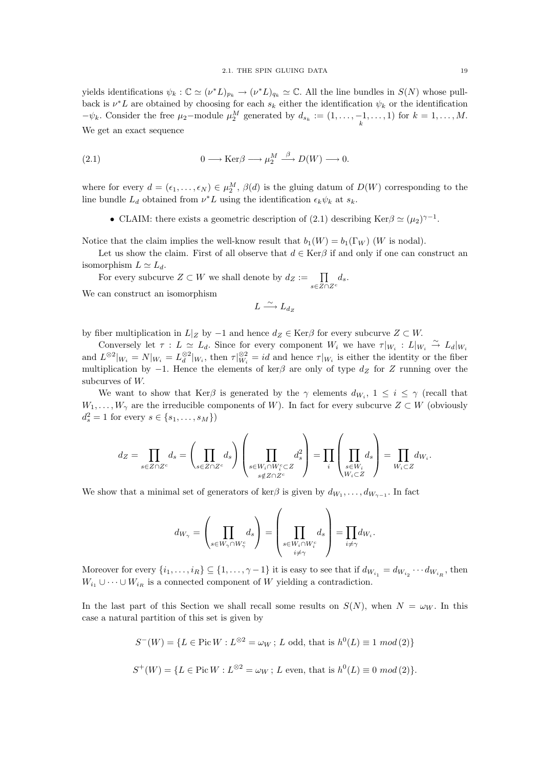yields identifications  $\psi_k : \mathbb{C} \simeq (\nu^* L)_{p_k} \to (\nu^* L)_{q_k} \simeq \mathbb{C}$ . All the line bundles in  $S(N)$  whose pullback is  $\nu^*L$  are obtained by choosing for each  $s_k$  either the identification  $\psi_k$  or the identification  $-\psi_k$ . Consider the free  $\mu_2$ -module  $\mu_2^M$  generated by  $d_{s_k} := (1, \ldots, -1, \ldots, 1)$  for  $k = 1, \ldots, M$ . We get an exact sequence

(2.1) 
$$
0 \longrightarrow \text{Ker}\beta \longrightarrow \mu_2^M \stackrel{\beta}{\longrightarrow} D(W) \longrightarrow 0.
$$

where for every  $d = (\epsilon_1, \ldots, \epsilon_N) \in \mu_2^M$ ,  $\beta(d)$  is the gluing datum of  $D(W)$  corresponding to the line bundle  $L_d$  obtained from  $\nu^*L$  using the identification  $\epsilon_k \psi_k$  at  $s_k$ .

• CLAIM: there exists a geometric description of (2.1) describing Ker $\beta \simeq (\mu_2)^{\gamma - 1}$ .

Notice that the claim implies the well-know result that  $b_1(W) = b_1(\Gamma_W)$  (W is nodal).

Let us show the claim. First of all observe that  $d \in \text{Ker}\beta$  if and only if one can construct an isomorphism  $L \simeq L_d$ .

For every subcurve  $Z \subset W$  we shall denote by  $d_Z := \prod_{s \in Z \cap Z^c} d_s$ .

We can construct an isomorphism

$$
L \xrightarrow{\sim} L_{d_Z}
$$

by fiber multiplication in  $L|_Z$  by  $-1$  and hence  $d_Z \in \text{Ker}\beta$  for every subcurve  $Z \subset W$ .

Conversely let  $\tau : L \simeq L_d$ . Since for every component  $W_i$  we have  $\tau|_{W_i} : L|_{W_i} \stackrel{\sim}{\to} L_d|_{W_i}$ and  $L^{\otimes 2}|_{W_i} = N|_{W_i} = L_d^{\otimes 2}|_{W_i}$ , then  $\tau|_{W_i} \equiv id$  and hence  $\tau|_{W_i}$  is either the identity or the fiber multiplication by  $-1$ . Hence the elements of ker $\beta$  are only of type  $d_Z$  for Z running over the subcurves of W.

We want to show that Kerβ is generated by the  $\gamma$  elements  $d_{W_i}$ ,  $1 \leq i \leq \gamma$  (recall that  $W_1, \ldots, W_\gamma$  are the irreducible components of W). In fact for every subcurve  $Z \subset W$  (obviously  $d_s^2 = 1$  for every  $s \in \{s_1, ..., s_M\}$ 

$$
d_Z = \prod_{s \in Z \cap Z^c} d_s = \left(\prod_{s \in Z \cap Z^c} d_s\right) \left(\prod_{\substack{s \in W_i \cap W_i^c \subset Z \\ s \notin Z \cap Z^c}} d_s^2\right) = \prod_i \left(\prod_{\substack{s \in W_i \\ W_i \subset Z}} d_s\right) = \prod_{W_i \subset Z} d_{W_i}.
$$

We show that a minimal set of generators of ker $\beta$  is given by  $d_{W_1}, \ldots, d_{W_{\gamma-1}}$ . In fact

$$
d_{W_{\gamma}} = \left(\prod_{s \in W_{\gamma} \cap W_{\gamma}^c} d_s\right) = \left(\prod_{\substack{s \in W_i \cap W_i^c \\ i \neq \gamma}} d_s\right) = \prod_{i \neq \gamma} d_{W_i}.
$$

Moreover for every  $\{i_1,\ldots,i_R\} \subseteq \{1,\ldots,\gamma-1\}$  it is easy to see that if  $d_{W_{i_1}} = d_{W_{i_2}} \cdots d_{W_{i_R}}$ , then  $W_{i_1} \cup \cdots \cup W_{i_R}$  is a connected component of W yielding a contradiction.

In the last part of this Section we shall recall some results on  $S(N)$ , when  $N = \omega_W$ . In this case a natural partition of this set is given by

$$
S^{-}(W) = \{L \in \text{Pic } W : L^{\otimes 2} = \omega_W \, ; \, L \text{ odd, that is } h^0(L) \equiv 1 \mod (2) \}
$$
  

$$
S^{+}(W) = \{L \in \text{Pic } W : L^{\otimes 2} = \omega_W \, ; \, L \text{ even, that is } h^0(L) \equiv 0 \mod (2) \}.
$$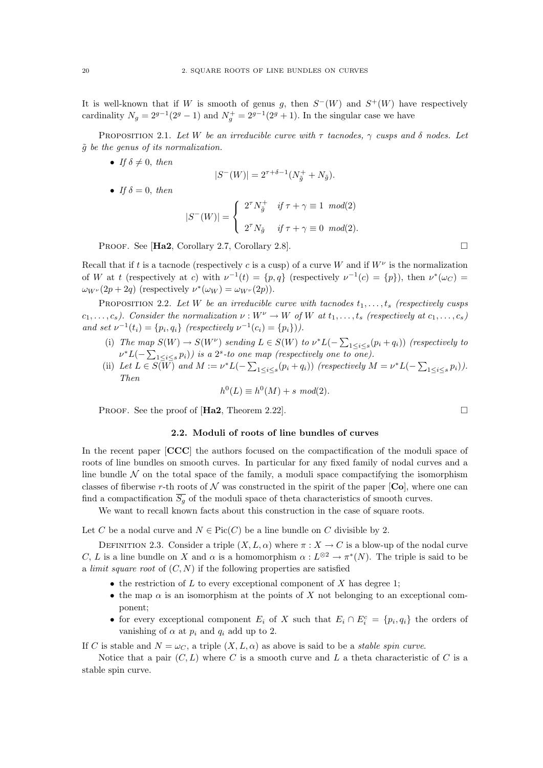It is well-known that if W is smooth of genus g, then  $S^-(W)$  and  $S^+(W)$  have respectively cardinality  $N_g = 2^{g-1}(2^g - 1)$  and  $N_g^+ = 2^{g-1}(2^g + 1)$ . In the singular case we have

PROPOSITION 2.1. Let W be an irreducible curve with  $\tau$  tacnodes,  $\gamma$  cusps and  $\delta$  nodes. Let  $\tilde{g}$  be the genus of its normalization.

• If  $\delta \neq 0$ , then

$$
|S^{-}(W)| = 2^{\tau + \delta - 1} (N_{\tilde{g}}^{+} + N_{\tilde{g}}).
$$

• If  $\delta = 0$ , then

$$
|S^-(W)| = \begin{cases} 2^{\tau} N_{\tilde{g}}^+ & \text{if } \tau + \gamma \equiv 1 \mod(2) \\ 2^{\tau} N_{\tilde{g}} & \text{if } \tau + \gamma \equiv 0 \mod(2). \end{cases}
$$

PROOF. See [**Ha2**, Corollary 2.7, Corollary 2.8].

Recall that if t is a tacnode (respectively c is a cusp) of a curve W and if  $W^{\nu}$  is the normalization of W at t (respectively at c) with  $\nu^{-1}(t) = \{p, q\}$  (respectively  $\nu^{-1}(c) = \{p\}$ ), then  $\nu^*(\omega_C)$  $\omega_{W^{\nu}}(2p + 2q)$  (respectively  $\nu^*(\omega_W) = \omega_{W^{\nu}}(2p)$ ).

PROPOSITION 2.2. Let W be an irreducible curve with tacnodes  $t_1, \ldots, t_s$  (respectively cusps  $c_1, \ldots, c_s$ ). Consider the normalization  $\nu : W^{\nu} \to W$  of W at  $t_1, \ldots, t_s$  (respectively at  $c_1, \ldots, c_s$ ) and set  $\nu^{-1}(t_i) = \{p_i, q_i\}$  (respectively  $\nu^{-1}(c_i) = \{p_i\})$ ).

- (i) The map  $S(W) \to S(W^{\nu})$  sending  $L \in S(W)$  to  $\nu^* L(-\sum_{1 \leq i \leq s} (p_i + q_i))$  (respectively to  $\nu^*L(-\sum_{1\leq i\leq s}p_i))$  is a 2<sup>s</sup>-to one map (respectively one to one).
- (ii) Let  $L \in S(\overline{W})$  and  $M := \nu^* L(-\sum_{1 \leq i \leq s} (p_i + q_i))$  (respectively  $M = \nu^* L(-\sum_{1 \leq i \leq s} p_i)$ ). Then

$$
h^0(L) \equiv h^0(M) + s \ mod(2).
$$

PROOF. See the proof of  $[\text{Ha2}, \text{Theorem 2.22}].$ 

# 2.2. Moduli of roots of line bundles of curves

In the recent paper  $[CCC]$  the authors focused on the compactification of the moduli space of roots of line bundles on smooth curves. In particular for any fixed family of nodal curves and a line bundle  $\mathcal N$  on the total space of the family, a moduli space compactifying the isomorphism classes of fiberwise r-th roots of  $\mathcal N$  was constructed in the spirit of the paper  $[\mathbf{Co}]$ , where one can find a compactification  $\overline{S_q}$  of the moduli space of theta characteristics of smooth curves.

We want to recall known facts about this construction in the case of square roots.

Let C be a nodal curve and  $N \in Pic(C)$  be a line bundle on C divisible by 2.

DEFINITION 2.3. Consider a triple  $(X, L, \alpha)$  where  $\pi : X \to C$  is a blow-up of the nodal curve C, L is a line bundle on X and  $\alpha$  is a homomorphism  $\alpha: L^{\otimes 2} \to \pi^*(N)$ . The triple is said to be a *limit square root* of  $(C, N)$  if the following properties are satisfied

- the restriction of  $L$  to every exceptional component of  $X$  has degree 1;
- the map  $\alpha$  is an isomorphism at the points of X not belonging to an exceptional component;
- for every exceptional component  $E_i$  of X such that  $E_i \cap E_i^c = \{p_i, q_i\}$  the orders of vanishing of  $\alpha$  at  $p_i$  and  $q_i$  add up to 2.

If C is stable and  $N = \omega_C$ , a triple  $(X, L, \alpha)$  as above is said to be a *stable spin curve*.

Notice that a pair  $(C, L)$  where C is a smooth curve and L a theta characteristic of C is a stable spin curve.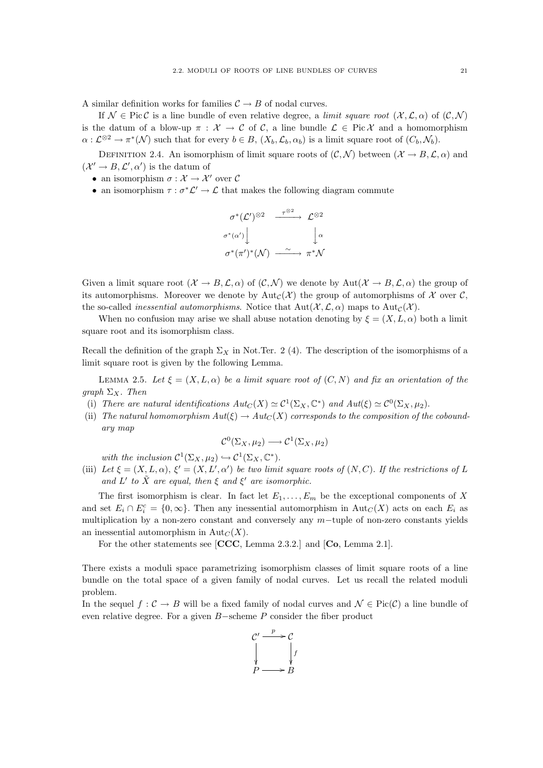A similar definition works for families  $C \rightarrow B$  of nodal curves.

If  $\mathcal{N} \in \text{Pic}\mathcal{C}$  is a line bundle of even relative degree, a limit square root  $(\mathcal{X}, \mathcal{L}, \alpha)$  of  $(\mathcal{C}, \mathcal{N})$ is the datum of a blow-up  $\pi : \mathcal{X} \to \mathcal{C}$  of C, a line bundle  $\mathcal{L} \in Pic \mathcal{X}$  and a homomorphism  $\alpha: \mathcal{L}^{\otimes 2} \to \pi^*(\mathcal{N})$  such that for every  $b \in B$ ,  $(X_b, \mathcal{L}_b, \alpha_b)$  is a limit square root of  $(C_b, \mathcal{N}_b)$ .

DEFINITION 2.4. An isomorphism of limit square roots of  $(C, \mathcal{N})$  between  $(\mathcal{X} \to B, \mathcal{L}, \alpha)$  and  $({\mathcal X}' \to B, {\mathcal L}', {\alpha}')$  is the datum of

- an isomorphism  $\sigma : \mathcal{X} \to \mathcal{X}'$  over C
- an isomorphism  $\tau : \sigma^* \mathcal{L}' \to \mathcal{L}$  that makes the following diagram commute

$$
\sigma^*(\mathcal{L}')^{\otimes 2} \xrightarrow{\tau^{\otimes 2}} \mathcal{L}^{\otimes 2}
$$
  

$$
\sigma^*(\alpha') \downarrow \qquad \qquad \downarrow \alpha
$$
  

$$
\sigma^*(\pi')^*(\mathcal{N}) \xrightarrow{\sim} \pi^*\mathcal{N}
$$

Given a limit square root  $(\mathcal{X} \to B, \mathcal{L}, \alpha)$  of  $(\mathcal{C}, \mathcal{N})$  we denote by  $\text{Aut}(\mathcal{X} \to B, \mathcal{L}, \alpha)$  the group of its automorphisms. Moreover we denote by Aut<sub>C</sub>(X) the group of automorphisms of X over C, the so-called *inessential automorphisms*. Notice that  $Aut(\mathcal{X}, \mathcal{L}, \alpha)$  maps to  $Aut_{\mathcal{C}}(\mathcal{X})$ .

When no confusion may arise we shall abuse notation denoting by  $\xi = (X, L, \alpha)$  both a limit square root and its isomorphism class.

Recall the definition of the graph  $\Sigma_X$  in Not.Ter. 2 (4). The description of the isomorphisms of a limit square root is given by the following Lemma.

LEMMA 2.5. Let  $\xi = (X, L, \alpha)$  be a limit square root of  $(C, N)$  and fix an orientation of the graph  $\Sigma_X$ . Then

- (i) There are natural identifications  $Aut_C(X) \simeq C^1(\Sigma_X, \mathbb{C}^*)$  and  $Aut(\xi) \simeq C^0(\Sigma_X, \mu_2)$ .
- (ii) The natural homomorphism  $Aut(\xi) \to Aut_C(X)$  corresponds to the composition of the coboundary map

$$
\mathcal{C}^0(\Sigma_X,\mu_2)\longrightarrow \mathcal{C}^1(\Sigma_X,\mu_2)
$$

with the inclusion  $C^1(\Sigma_X, \mu_2) \hookrightarrow C^1(\Sigma_X, \mathbb{C}^*).$ 

(iii) Let  $\xi = (X, L, \alpha)$ ,  $\xi' = (X, L', \alpha')$  be two limit square roots of  $(N, C)$ . If the restrictions of L and L' to  $\tilde{X}$  are equal, then  $\xi$  and  $\xi'$  are isomorphic.

The first isomorphism is clear. In fact let  $E_1, \ldots, E_m$  be the exceptional components of X and set  $E_i \cap E_i^c = \{0, \infty\}$ . Then any inessential automorphism in  $\text{Aut}_C(X)$  acts on each  $E_i$  as multiplication by a non-zero constant and conversely any m−tuple of non-zero constants yields an inessential automorphism in  $\text{Aut}_C(X)$ .

For the other statements see [CCC, Lemma 2.3.2.] and [Co, Lemma 2.1].

There exists a moduli space parametrizing isomorphism classes of limit square roots of a line bundle on the total space of a given family of nodal curves. Let us recall the related moduli problem.

In the sequel  $f : C \to B$  will be a fixed family of nodal curves and  $\mathcal{N} \in Pic(C)$  a line bundle of even relative degree. For a given B−scheme P consider the fiber product

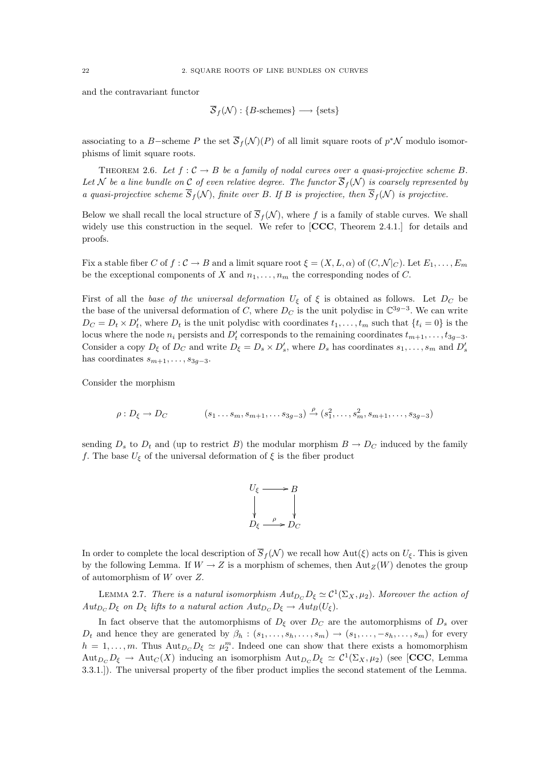and the contravariant functor

$$
\overline{\mathcal{S}}_f(\mathcal{N}) : \{B\text{-schemes}\} \longrightarrow \{\text{sets}\}
$$

associating to a B-scheme P the set  $\overline{S}_f(\mathcal{N})(P)$  of all limit square roots of  $p^*\mathcal{N}$  modulo isomorphisms of limit square roots.

THEOREM 2.6. Let  $f: \mathcal{C} \to B$  be a family of nodal curves over a quasi-projective scheme B. Let N be a line bundle on C of even relative degree. The functor  $\overline{S}_f(N)$  is coarsely represented by a quasi-projective scheme  $\overline{S}_f(\mathcal{N})$ , finite over B. If B is projective, then  $\overline{S}_f(\mathcal{N})$  is projective.

Below we shall recall the local structure of  $\overline{S}_f(\mathcal{N})$ , where f is a family of stable curves. We shall widely use this construction in the sequel. We refer to [CCC, Theorem 2.4.1.] for details and proofs.

Fix a stable fiber C of  $f : C \to B$  and a limit square root  $\xi = (X, L, \alpha)$  of  $(C, \mathcal{N}|_C)$ . Let  $E_1, \ldots, E_m$ be the exceptional components of X and  $n_1, \ldots, n_m$  the corresponding nodes of C.

First of all the base of the universal deformation  $U_{\xi}$  of  $\xi$  is obtained as follows. Let  $D_C$  be the base of the universal deformation of C, where  $D<sub>C</sub>$  is the unit polydisc in  $\mathbb{C}^{3g-3}$ . We can write  $D_C = D_t \times D'_t$ , where  $D_t$  is the unit polydisc with coordinates  $t_1, \ldots, t_m$  such that  $\{t_i = 0\}$  is the locus where the node  $n_i$  persists and  $D'_t$  corresponds to the remaining coordinates  $t_{m+1}, \ldots, t_{3g-3}$ . Consider a copy  $D_{\xi}$  of  $D_C$  and write  $D_{\xi} = D_s \times D'_s$ , where  $D_s$  has coordinates  $s_1, \ldots, s_m$  and  $D'_s$ has coordinates  $s_{m+1}, \ldots, s_{3g-3}$ .

Consider the morphism

$$
\rho: D_{\xi} \to D_C \qquad (s_1 \dots s_m, s_{m+1}, \dots s_{3g-3}) \xrightarrow{\rho} (s_1^2, \dots, s_m^2, s_{m+1}, \dots, s_{3g-3})
$$

sending  $D_s$  to  $D_t$  and (up to restrict B) the modular morphism  $B \to D_C$  induced by the family f. The base  $U_{\xi}$  of the universal deformation of  $\xi$  is the fiber product

$$
U_{\xi} \longrightarrow B
$$
  
\n
$$
\downarrow \qquad \qquad \downarrow
$$
  
\n
$$
D_{\xi} \xrightarrow{\rho} D_{C}
$$

In order to complete the local description of  $\overline{S}_f(\mathcal{N})$  we recall how Aut( $\xi$ ) acts on  $U_{\xi}$ . This is given by the following Lemma. If  $W \to Z$  is a morphism of schemes, then Aut $_Z(W)$  denotes the group of automorphism of W over Z.

LEMMA 2.7. There is a natural isomorphism  $Aut_{D_C}D_{\xi} \simeq C^1(\Sigma_X, \mu_2)$ . Moreover the action of  $Aut_{D_C} D_{\xi}$  on  $D_{\xi}$  lifts to a natural action  $Aut_{D_C} D_{\xi} \to Aut_B(U_{\xi}).$ 

In fact observe that the automorphisms of  $D_{\xi}$  over  $D_{C}$  are the automorphisms of  $D_{s}$  over  $D_t$  and hence they are generated by  $\beta_h : (s_1, \ldots, s_h, \ldots, s_m) \rightarrow (s_1, \ldots, -s_h, \ldots, s_m)$  for every  $h = 1, \ldots, m$ . Thus  ${\rm Aut}_{D_C} D_{\xi} \simeq \mu_2^m$ . Indeed one can show that there exists a homomorphism  ${\rm Aut}_{D_C} D_{\xi} \to {\rm Aut}_C(X)$  inducing an isomorphism  ${\rm Aut}_{D_C} D_{\xi} \simeq C^1(\Sigma_X, \mu_2)$  (see [CCC, Lemma 3.3.1.]). The universal property of the fiber product implies the second statement of the Lemma.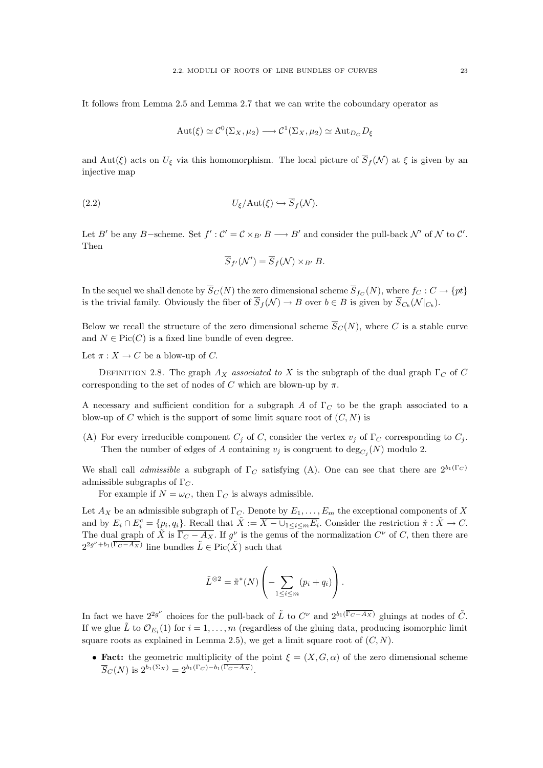It follows from Lemma 2.5 and Lemma 2.7 that we can write the coboundary operator as

$$
Aut(\xi) \simeq C^0(\Sigma_X, \mu_2) \longrightarrow C^1(\Sigma_X, \mu_2) \simeq \mathrm{Aut}_{D_C} D_{\xi}
$$

and Aut(ξ) acts on  $U_{\xi}$  via this homomorphism. The local picture of  $\overline{S}_{f}(\mathcal{N})$  at  $\xi$  is given by an injective map

(2.2) 
$$
U_{\xi}/\text{Aut}(\xi) \hookrightarrow \overline{S}_f(\mathcal{N}).
$$

Let B' be any B-scheme. Set  $f' : C' = C \times_{B'} B \longrightarrow B'$  and consider the pull-back  $\mathcal{N}'$  of  $\mathcal N$  to  $\mathcal C'$ . Then

$$
\overline{S}_{f'}(\mathcal{N}') = \overline{S}_{f}(\mathcal{N}) \times_{B'} B.
$$

In the sequel we shall denote by  $\overline{S}_C(N)$  the zero dimensional scheme  $\overline{S}_{f_C}(N)$ , where  $f_C: C \to \{pt\}$ is the trivial family. Obviously the fiber of  $\overline{S}_f(\mathcal{N}) \to B$  over  $b \in B$  is given by  $\overline{S}_{C_b}(\mathcal{N}|_{C_b})$ .

Below we recall the structure of the zero dimensional scheme  $\overline{S}_{C}(N)$ , where C is a stable curve and  $N \in Pic(C)$  is a fixed line bundle of even degree.

Let  $\pi: X \to C$  be a blow-up of C.

DEFINITION 2.8. The graph  $A_X$  associated to X is the subgraph of the dual graph  $\Gamma_C$  of C corresponding to the set of nodes of C which are blown-up by  $\pi$ .

A necessary and sufficient condition for a subgraph A of  $\Gamma_C$  to be the graph associated to a blow-up of C which is the support of some limit square root of  $(C, N)$  is

(A) For every irreducible component  $C_j$  of C, consider the vertex  $v_j$  of  $\Gamma_C$  corresponding to  $C_j$ . Then the number of edges of A containing  $v_j$  is congruent to  $\deg_{C_j}(N)$  modulo 2.

We shall call *admissible* a subgraph of  $\Gamma_C$  satisfying (A). One can see that there are  $2^{b_1(\Gamma_C)}$ admissible subgraphs of  $\Gamma_C$ .

For example if  $N = \omega_C$ , then  $\Gamma_C$  is always admissible.

Let  $A_X$  be an admissible subgraph of  $\Gamma_C$ . Denote by  $E_1, \ldots, E_m$  the exceptional components of X and by  $E_i \cap E_i^c = \{p_i, q_i\}$ . Recall that  $\tilde{X} := \overline{X - \cup_{1 \leq i \leq m} E_i}$ . Consider the restriction  $\tilde{\pi} : \tilde{X} \to C$ . The dual graph of  $\tilde{X}$  is  $\overline{\Gamma_C - A_X}$ . If  $g^{\nu}$  is the genus of the normalization  $C^{\nu}$  of C, then there are  $2^{2g^{\nu}+b_1(\overline{\Gamma_C-A_X})}$  line bundles  $\tilde{L} \in \mathrm{Pic}(\tilde{X})$  such that

$$
\tilde{L}^{\otimes 2} = \tilde{\pi}^*(N) \left( - \sum_{1 \le i \le m} (p_i + q_i) \right).
$$

In fact we have  $2^{2g^{\nu}}$  choices for the pull-back of  $\tilde{L}$  to  $C^{\nu}$  and  $2^{b_1(\overline{\Gamma_C - A_X})}$  gluings at nodes of  $\tilde{C}$ . If we glue  $\tilde{L}$  to  $\mathcal{O}_{E_i}(1)$  for  $i = 1, \ldots, m$  (regardless of the gluing data, producing isomorphic limit square roots as explained in Lemma 2.5), we get a limit square root of  $(C, N)$ .

• Fact: the geometric multiplicity of the point  $\xi = (X, G, \alpha)$  of the zero dimensional scheme  $\overline{S}_C(N)$  is  $2^{b_1(\Sigma_X)} = 2^{b_1(\Gamma_C) - b_1(\overline{\Gamma_C - A_X})}$ .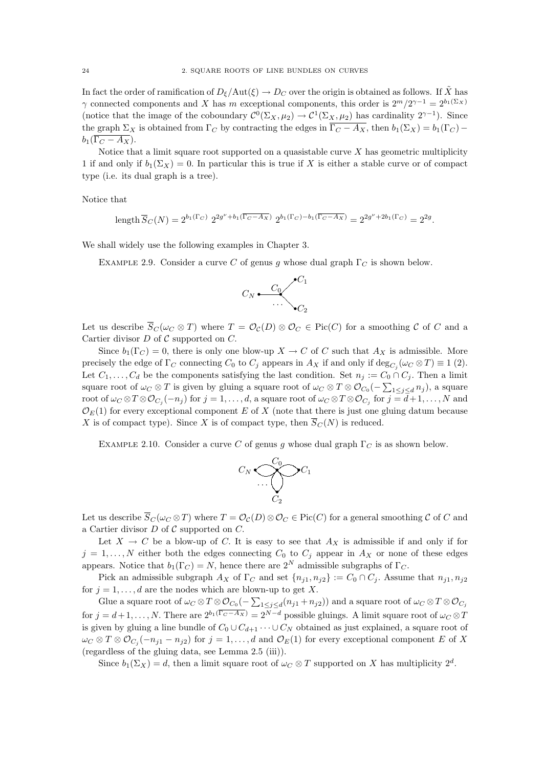In fact the order of ramification of  $D_{\xi}/\text{Aut}(\xi) \to D_C$  over the origin is obtained as follows. If  $\tilde{X}$  has  $\gamma$  connected components and X has m exceptional components, this order is  $2^m/2^{\gamma-1} = 2^{b_1(\Sigma_X)}$ (notice that the image of the coboundary  $\mathcal{C}^0(\Sigma_X, \mu_2) \to \mathcal{C}^1(\Sigma_X, \mu_2)$  has cardinality  $2^{\gamma-1}$ ). Since the graph  $\Sigma_X$  is obtained from  $\Gamma_C$  by contracting the edges in  $\overline{\Gamma_C - A_X}$ , then  $b_1(\Sigma_X) = b_1(\Gamma_C) - b_2(\overline{\Gamma_C})$  $b_1(\overline{\Gamma_C - A_X}).$ 

Notice that a limit square root supported on a quasistable curve  $X$  has geometric multiplicity 1 if and only if  $b_1(\Sigma_X) = 0$ . In particular this is true if X is either a stable curve or of compact type (i.e. its dual graph is a tree).

Notice that

$$
\text{length}\,\overline{S}_C(N) = 2^{b_1(\Gamma_C)}\,\, 2^{2g^{\nu} + b_1(\overline{\Gamma_C - A_X})}\,\, 2^{b_1(\Gamma_C) - b_1(\overline{\Gamma_C - A_X})} = 2^{2g^{\nu} + 2b_1(\Gamma_C)} = 2^{2g}.
$$

We shall widely use the following examples in Chapter 3.

EXAMPLE 2.9. Consider a curve C of genus g whose dual graph  $\Gamma_C$  is shown below.



Let us describe  $\overline{S}_C(\omega_C \otimes T)$  where  $T = \mathcal{O}_C(D) \otimes \mathcal{O}_C \in Pic(C)$  for a smoothing C of C and a Cartier divisor  $D$  of  $C$  supported on  $C$ .

Since  $b_1(\Gamma_C) = 0$ , there is only one blow-up  $X \to C$  of C such that  $A_X$  is admissible. More precisely the edge of  $\Gamma_C$  connecting  $C_0$  to  $C_j$  appears in  $A_X$  if and only if  $\deg_{C_j}(\omega_C \otimes T) \equiv 1$  (2). Let  $C_1, \ldots, C_d$  be the components satisfying the last condition. Set  $n_j := C_0 \cap C_j$ . Then a limit square root of  $\omega_C \otimes T$  is given by gluing a square root of  $\omega_C \otimes T \otimes \mathcal{O}_{C_0}(-\sum_{1 \leq j \leq d} n_j)$ , a square  $\text{root of }\omega_C\otimes T\otimes \mathcal{O}_{C_j}(-n_j) \text{ for } j=1,\ldots,d, \text{ a square root of }\omega_C\otimes T\otimes \mathcal{O}_{C_j} \text{ for } j=\overline{d}+1,\ldots,N \text{ and }$  $\mathcal{O}_E(1)$  for every exceptional component E of X (note that there is just one gluing datum because X is of compact type). Since X is of compact type, then  $\overline{S}_C(N)$  is reduced.

EXAMPLE 2.10. Consider a curve C of genus g whose dual graph  $\Gamma_C$  is as shown below.



Let us describe  $\overline{S}_C(\omega_C \otimes T)$  where  $T = \mathcal{O}_{\mathcal{C}}(D) \otimes \mathcal{O}_C \in \text{Pic}(C)$  for a general smoothing  $\mathcal C$  of  $C$  and a Cartier divisor  $D$  of  $C$  supported on  $C$ .

Let  $X \to C$  be a blow-up of C. It is easy to see that  $A_X$  is admissible if and only if for  $j = 1, ..., N$  either both the edges connecting  $C_0$  to  $C_j$  appear in  $A_X$  or none of these edges appears. Notice that  $b_1(\Gamma_C) = N$ , hence there are  $2^N$  admissible subgraphs of  $\Gamma_C$ .

Pick an admissible subgraph  $A_X$  of  $\Gamma_C$  and set  $\{n_{j1}, n_{j2}\} := C_0 \cap C_j$ . Assume that  $n_{j1}, n_{j2}$ for  $j = 1, \ldots, d$  are the nodes which are blown-up to get X.

Glue a square root of  $\omega_C \otimes T \otimes \mathcal{O}_{C_0}(-\sum_{1 \leq j \leq d} (n_{j1} + n_{j2}))$  and a square root of  $\omega_C \otimes T \otimes \mathcal{O}_{C_j}$ for  $j = d+1, \ldots, N$ . There are  $2^{b_1(\overline{\Gamma_C - A_X})} = 2^{N-d}$  possible gluings. A limit square root of  $\omega_C \otimes T$ is given by gluing a line bundle of  $C_0 \cup C_{d+1} \cdots \cup C_N$  obtained as just explained, a square root of  $\omega_C \otimes T \otimes \mathcal{O}_{C_j}(-n_{j1}-n_{j2})$  for  $j=1,\ldots,d$  and  $\mathcal{O}_E(1)$  for every exceptional component E of X (regardless of the gluing data, see Lemma 2.5 (iii)).

Since  $b_1(\Sigma_X) = d$ , then a limit square root of  $\omega_C \otimes T$  supported on X has multiplicity  $2^d$ .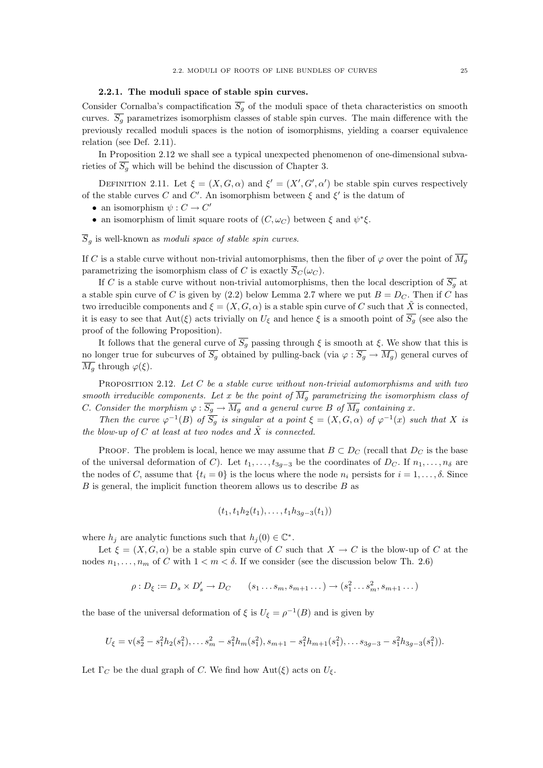## 2.2.1. The moduli space of stable spin curves.

Consider Cornalba's compactification  $\overline{S_q}$  of the moduli space of theta characteristics on smooth curves.  $\overline{S_q}$  parametrizes isomorphism classes of stable spin curves. The main difference with the previously recalled moduli spaces is the notion of isomorphisms, yielding a coarser equivalence relation (see Def. 2.11).

In Proposition 2.12 we shall see a typical unexpected phenomenon of one-dimensional subvarieties of  $\overline{S_g}$  which will be behind the discussion of Chapter 3.

DEFINITION 2.11. Let  $\xi = (X, G, \alpha)$  and  $\xi' = (X', G', \alpha')$  be stable spin curves respectively of the stable curves C and C'. An isomorphism between  $\xi$  and  $\xi'$  is the datum of

- an isomorphism  $\psi : C \to C'$
- an isomorphism of limit square roots of  $(C, \omega_C)$  between  $\xi$  and  $\psi^*\xi$ .

 $\overline{S}_g$  is well-known as *moduli space of stable spin curves*.

If C is a stable curve without non-trivial automorphisms, then the fiber of  $\varphi$  over the point of  $\overline{M_g}$ parametrizing the isomorphism class of C is exactly  $\overline{S}_C(\omega_C)$ .

If C is a stable curve without non-trivial automorphisms, then the local description of  $\overline{S_q}$  at a stable spin curve of C is given by (2.2) below Lemma 2.7 where we put  $B = D<sub>C</sub>$ . Then if C has two irreducible components and  $\xi = (X, G, \alpha)$  is a stable spin curve of C such that  $\tilde{X}$  is connected, it is easy to see that  $Aut(\xi)$  acts trivially on  $U_{\xi}$  and hence  $\xi$  is a smooth point of  $\overline{S_g}$  (see also the proof of the following Proposition).

It follows that the general curve of  $\overline{S_g}$  passing through  $\xi$  is smooth at  $\xi$ . We show that this is no longer true for subcurves of  $\overline{S_g}$  obtained by pulling-back (via  $\varphi : \overline{S_g} \to \overline{M_g}$ ) general curves of  $\overline{M_q}$  through  $\varphi(\xi)$ .

PROPOSITION 2.12. Let C be a stable curve without non-trivial automorphisms and with two smooth irreducible components. Let x be the point of  $\overline{M_q}$  parametrizing the isomorphism class of C. Consider the morphism  $\varphi : \overline{S_g} \to \overline{M_g}$  and a general curve B of  $\overline{M_g}$  containing x.

Then the curve  $\varphi^{-1}(B)$  of  $\overline{S_g}$  is singular at a point  $\xi = (X, G, \alpha)$  of  $\varphi^{-1}(x)$  such that X is the blow-up of C at least at two nodes and  $\tilde{X}$  is connected.

PROOF. The problem is local, hence we may assume that  $B \subset D_C$  (recall that  $D_C$  is the base of the universal deformation of C). Let  $t_1, \ldots, t_{3g-3}$  be the coordinates of  $D_C$ . If  $n_1, \ldots, n_\delta$  are the nodes of C, assume that  $\{t_i = 0\}$  is the locus where the node  $n_i$  persists for  $i = 1, \ldots, \delta$ . Since  $B$  is general, the implicit function theorem allows us to describe  $B$  as

$$
(t_1, t_1h_2(t_1), \ldots, t_1h_{3g-3}(t_1))
$$

where  $h_j$  are analytic functions such that  $h_j(0) \in \mathbb{C}^*$ .

Let  $\xi = (X, G, \alpha)$  be a stable spin curve of C such that  $X \to C$  is the blow-up of C at the nodes  $n_1, \ldots, n_m$  of C with  $1 < m < \delta$ . If we consider (see the discussion below Th. 2.6)

$$
\rho: D_{\xi} := D_s \times D'_s \to D_C \qquad (s_1 \dots s_m, s_{m+1} \dots) \to (s_1^2 \dots s_m^2, s_{m+1} \dots)
$$

the base of the universal deformation of  $\xi$  is  $U_{\xi} = \rho^{-1}(B)$  and is given by

$$
U_{\xi} = \mathbf{v}(s_2^2 - s_1^2 h_2(s_1^2), \dots s_m^2 - s_1^2 h_m(s_1^2), s_{m+1} - s_1^2 h_{m+1}(s_1^2), \dots s_{3g-3} - s_1^2 h_{3g-3}(s_1^2)).
$$

Let  $\Gamma_C$  be the dual graph of C. We find how  $\text{Aut}(\xi)$  acts on  $U_{\xi}$ .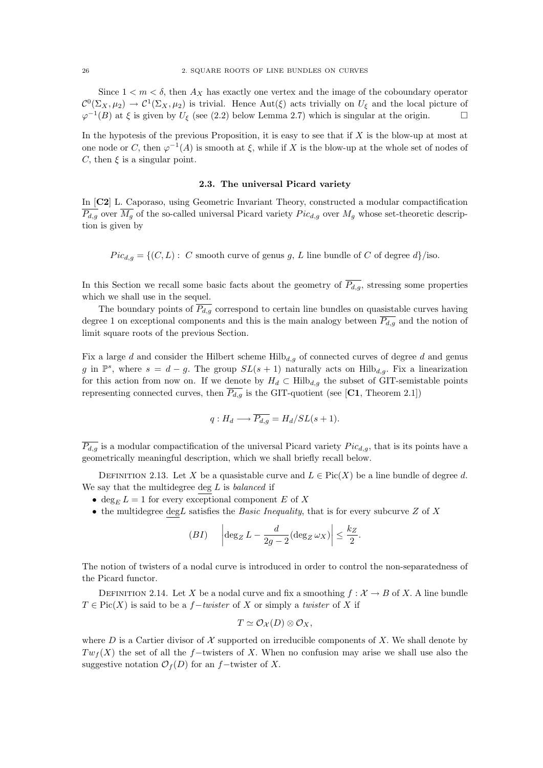Since  $1 < m < \delta$ , then  $A_X$  has exactly one vertex and the image of the coboundary operator  $\mathcal{C}^0(\Sigma_X, \mu_2) \to \mathcal{C}^1(\Sigma_X, \mu_2)$  is trivial. Hence Aut( $\xi$ ) acts trivially on  $U_{\xi}$  and the local picture of  $\varphi^{-1}(B)$  at  $\xi$  is given by  $U_{\xi}$  (see (2.2) below Lemma 2.7) which is singular at the origin.

In the hypotesis of the previous Proposition, it is easy to see that if  $X$  is the blow-up at most at one node or C, then  $\varphi^{-1}(A)$  is smooth at  $\xi$ , while if X is the blow-up at the whole set of nodes of C, then  $\xi$  is a singular point.

# 2.3. The universal Picard variety

In [C2] L. Caporaso, using Geometric Invariant Theory, constructed a modular compactification  $\overline{P_{d,g}}$  over  $\overline{M_g}$  of the so-called universal Picard variety  $Pic_{d,g}$  over  $M_g$  whose set-theoretic description is given by

 $Pic_{d,q} = \{ (C, L) : C \text{ smooth curve of genus } g, L \text{ line bundle of } C \text{ of degree } d \}/\text{iso.}$ 

In this Section we recall some basic facts about the geometry of  $\overline{P_{d,q}}$ , stressing some properties which we shall use in the sequel.

The boundary points of  $\overline{P_{d,g}}$  correspond to certain line bundles on quasistable curves having degree 1 on exceptional components and this is the main analogy between  $P_{d,g}$  and the notion of limit square roots of the previous Section.

Fix a large d and consider the Hilbert scheme  $Hilb_{d,q}$  of connected curves of degree d and genus g in  $\mathbb{P}^s$ , where  $s = d - g$ . The group  $SL(s + 1)$  naturally acts on Hilb<sub>d,g</sub>. Fix a linearization for this action from now on. If we denote by  $H_d \subset Hilb_{d,g}$  the subset of GIT-semistable points representing connected curves, then  $\overline{P_{d,g}}$  is the GIT-quotient (see [C1, Theorem 2.1])

$$
q: H_d \longrightarrow \overline{P_{d,g}} = H_d/SL(s+1).
$$

 $\overline{P_{d,q}}$  is a modular compactification of the universal Picard variety  $Pic_{d,q}$ , that is its points have a geometrically meaningful description, which we shall briefly recall below.

DEFINITION 2.13. Let X be a quasistable curve and  $L \in Pic(X)$  be a line bundle of degree d. We say that the multidegree deg  $L$  is *balanced* if

- deg<sub>E</sub>  $L = 1$  for every exceptional component E of X
- the multidegree deg L satisfies the Basic Inequality, that is for every subcurve  $Z$  of  $X$

(BI) 
$$
\left| \deg_Z L - \frac{d}{2g-2} (\deg_Z \omega_X) \right| \leq \frac{k_Z}{2}.
$$

The notion of twisters of a nodal curve is introduced in order to control the non-separatedness of the Picard functor.

DEFINITION 2.14. Let X be a nodal curve and fix a smoothing  $f : \mathcal{X} \to B$  of X. A line bundle  $T \in Pic(X)$  is said to be a f-twister of X or simply a twister of X if

$$
T \simeq \mathcal{O}_{\mathcal{X}}(D) \otimes \mathcal{O}_{X},
$$

where D is a Cartier divisor of X supported on irreducible components of X. We shall denote by  $Tw<sub>f</sub>(X)$  the set of all the f–twisters of X. When no confusion may arise we shall use also the suggestive notation  $\mathcal{O}_f(D)$  for an f−twister of X.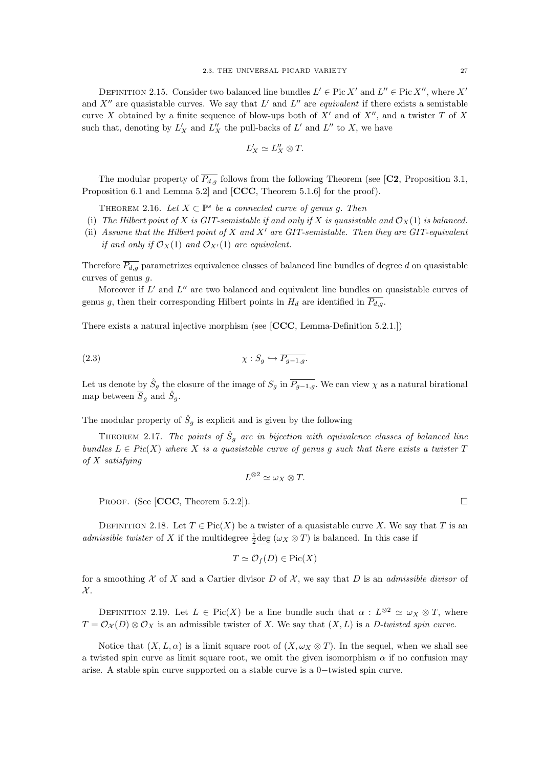DEFINITION 2.15. Consider two balanced line bundles  $L' \in Pic X'$  and  $L'' \in Pic X''$ , where X' and  $X''$  are quasistable curves. We say that  $L'$  and  $L''$  are *equivalent* if there exists a semistable curve X obtained by a finite sequence of blow-ups both of  $X'$  and of  $X''$ , and a twister T of X such that, denoting by  $L'_X$  and  $L''_X$  the pull-backs of  $L'$  and  $L''$  to X, we have

$$
L_X'\simeq L_X''\otimes T.
$$

The modular property of  $\overline{P_{d,q}}$  follows from the following Theorem (see [C2, Proposition 3.1, Proposition 6.1 and Lemma 5.2] and [CCC, Theorem 5.1.6] for the proof).

THEOREM 2.16. Let  $X \subset \mathbb{P}^s$  be a connected curve of genus g. Then

- (i) The Hilbert point of X is GIT-semistable if and only if X is quasistable and  $\mathcal{O}_X(1)$  is balanced.
- (ii) Assume that the Hilbert point of X and X' are GIT-semistable. Then they are GIT-equivalent if and only if  $\mathcal{O}_X(1)$  and  $\mathcal{O}_{X'}(1)$  are equivalent.

Therefore  $\overline{P_{d,g}}$  parametrizes equivalence classes of balanced line bundles of degree d on quasistable curves of genus g.

Moreover if  $L'$  and  $L''$  are two balanced and equivalent line bundles on quasistable curves of genus g, then their corresponding Hilbert points in  $H_d$  are identified in  $\overline{P_{d,g}}$ .

There exists a natural injective morphism (see [CCC, Lemma-Definition 5.2.1.])

$$
\chi: S_g \hookrightarrow \overline{P_{g-1,g}}.
$$

Let us denote by  $\hat{S}_g$  the closure of the image of  $S_g$  in  $\overline{P_{g-1,g}}$ . We can view  $\chi$  as a natural birational map between  $\overline{S}_g$  and  $\hat{S}_g$ .

The modular property of  $\hat{S}_g$  is explicit and is given by the following

THEOREM 2.17. The points of  $\hat{S}_g$  are in bijection with equivalence classes of balanced line bundles  $L \in Pic(X)$  where X is a quasistable curve of genus q such that there exists a twister T of X satisfying

$$
L^{\otimes 2}\simeq \omega_X\otimes T.
$$

PROOF. (See [CCC, Theorem 5.2.2]).

DEFINITION 2.18. Let  $T \in Pic(X)$  be a twister of a quasistable curve X. We say that T is an *admissible twister* of X if the multidegree  $\frac{1}{2}$  deg ( $\omega_X \otimes T$ ) is balanced. In this case if

$$
T \simeq \mathcal{O}_f(D) \in \text{Pic}(X)
$$

for a smoothing  $X$  of X and a Cartier divisor D of  $X$ , we say that D is an *admissible divisor* of  $\mathcal{X}$ .

DEFINITION 2.19. Let  $L \in Pic(X)$  be a line bundle such that  $\alpha : L^{\otimes 2} \simeq \omega_X \otimes T$ , where  $T = \mathcal{O}_{\mathcal{X}}(D) \otimes \mathcal{O}_{X}$  is an admissible twister of X. We say that  $(X, L)$  is a D-twisted spin curve.

Notice that  $(X, L, \alpha)$  is a limit square root of  $(X, \omega_X \otimes T)$ . In the sequel, when we shall see a twisted spin curve as limit square root, we omit the given isomorphism  $\alpha$  if no confusion may arise. A stable spin curve supported on a stable curve is a 0−twisted spin curve.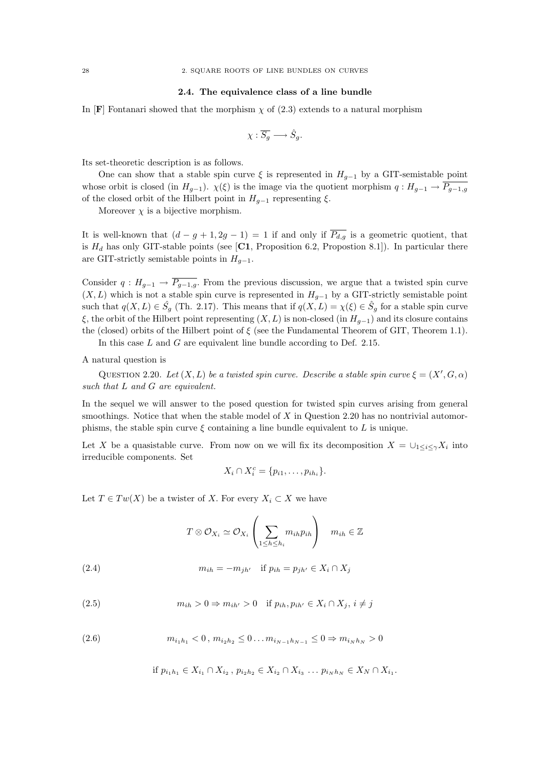## 2.4. The equivalence class of a line bundle

In [F] Fontanari showed that the morphism  $\chi$  of (2.3) extends to a natural morphism

$$
\chi: \overline{S_g} \longrightarrow \hat{S}_g.
$$

Its set-theoretic description is as follows.

One can show that a stable spin curve  $\xi$  is represented in  $H_{g-1}$  by a GIT-semistable point whose orbit is closed (in  $H_{g-1}$ ).  $\chi(\xi)$  is the image via the quotient morphism  $q: H_{g-1} \to \overline{P_{g-1,g}}$ of the closed orbit of the Hilbert point in  $H_{q-1}$  representing  $\xi$ .

Moreover  $\chi$  is a bijective morphism.

It is well-known that  $(d - g + 1, 2g - 1) = 1$  if and only if  $\overline{P_{d,q}}$  is a geometric quotient, that is  $H_d$  has only GIT-stable points (see [C1, Proposition 6.2, Propostion 8.1]). In particular there are GIT-strictly semistable points in  $H_{g-1}$ .

Consider  $q: H_{g-1} \to \overline{P_{g-1,g}}$ . From the previous discussion, we argue that a twisted spin curve  $(X, L)$  which is not a stable spin curve is represented in  $H_{g-1}$  by a GIT-strictly semistable point such that  $q(X, L) \in \hat{S}_g$  (Th. 2.17). This means that if  $q(X, L) = \chi(\xi) \in \hat{S}_g$  for a stable spin curve ξ, the orbit of the Hilbert point representing  $(X, L)$  is non-closed (in  $H_{q-1}$ ) and its closure contains the (closed) orbits of the Hilbert point of  $\xi$  (see the Fundamental Theorem of GIT, Theorem 1.1).

In this case  $L$  and  $G$  are equivalent line bundle according to Def. 2.15.

A natural question is

QUESTION 2.20. Let  $(X, L)$  be a twisted spin curve. Describe a stable spin curve  $\xi = (X', G, \alpha)$ such that L and G are equivalent.

In the sequel we will answer to the posed question for twisted spin curves arising from general smoothings. Notice that when the stable model of  $X$  in Question 2.20 has no nontrivial automorphisms, the stable spin curve  $\xi$  containing a line bundle equivalent to L is unique.

Let X be a quasistable curve. From now on we will fix its decomposition  $X = \bigcup_{1 \leq i \leq \gamma} X_i$  into irreducible components. Set

$$
X_i \cap X_i^c = \{p_{i1}, \ldots, p_{ih_i}\}.
$$

Let  $T \in Tw(X)$  be a twister of X. For every  $X_i \subset X$  we have

$$
T \otimes \mathcal{O}_{X_i} \simeq \mathcal{O}_{X_i} \left( \sum_{1 \le h \le h_i} m_{ih} p_{ih} \right) \quad m_{ih} \in \mathbb{Z}
$$

(2.4) 
$$
m_{ih} = -m_{jh'} \text{ if } p_{ih} = p_{jh'} \in X_i \cap X_j
$$

(2.5) 
$$
m_{ih} > 0 \Rightarrow m_{ih'} > 0 \quad \text{if } p_{ih}, p_{ih'} \in X_i \cap X_j, i \neq j
$$

(2.6) 
$$
m_{i_1h_1} < 0, m_{i_2h_2} \leq 0...m_{i_{N-1}h_{N-1}} \leq 0 \Rightarrow m_{i_Nh_N} > 0
$$

if  $p_{i_1h_1}$  ∈  $X_{i_1} \cap X_{i_2}$ ,  $p_{i_2h_2}$  ∈  $X_{i_2} \cap X_{i_3}$  ...  $p_{i_NNh_N}$  ∈  $X_N \cap X_{i_1}$ .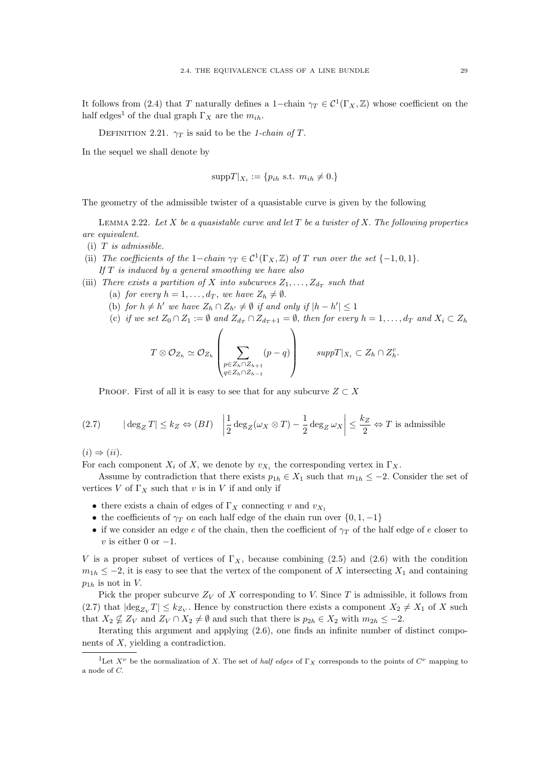It follows from (2.4) that T naturally defines a 1-chain  $\gamma_T \in C^1(\Gamma_X, \mathbb{Z})$  whose coefficient on the half edges<sup>1</sup> of the dual graph  $\Gamma_X$  are the  $m_{ih}$ .

DEFINITION 2.21.  $\gamma_T$  is said to be the 1-chain of T.

In the sequel we shall denote by

$$
suppT|_{X_i} := \{p_{ih} \text{ s.t. } m_{ih} \neq 0.\}
$$

The geometry of the admissible twister of a quasistable curve is given by the following

LEMMA 2.22. Let X be a quasistable curve and let T be a twister of X. The following properties are equivalent.

- $(i)$  T is admissible.
- (ii) The coefficients of the 1-chain  $\gamma_T \in C^1(\Gamma_X, \mathbb{Z})$  of T run over the set  $\{-1, 0, 1\}$ . If  $T$  is induced by a general smoothing we have also
- (iii) There exists a partition of X into subcurves  $Z_1, \ldots, Z_{d_T}$  such that
	- (a) for every  $h = 1, \ldots, d_T$ , we have  $Z_h \neq \emptyset$ .
	- (b) for  $h \neq h'$  we have  $Z_h \cap Z_{h'} \neq \emptyset$  if and only if  $|h h'| \leq 1$
	- (c) if we set  $Z_0 \cap Z_1 := \emptyset$  and  $Z_{d_T} \cap Z_{d_T+1} = \emptyset$ , then for every  $h = 1, \ldots, d_T$  and  $X_i \subset Z_h$

$$
T \otimes \mathcal{O}_{Z_h} \simeq \mathcal{O}_{Z_h} \left( \sum_{\substack{p \in Z_h \cap Z_{h+1} \\ q \in Z_h \cap Z_{h-1}}} (p-q) \right) \qquad supp T|_{X_i} \subset Z_h \cap Z_h^c.
$$

PROOF. First of all it is easy to see that for any subcurve  $Z \subset X$ 

(2.7) 
$$
|\deg_Z T| \le k_Z \Leftrightarrow (BI) \quad \left| \frac{1}{2} \deg_Z(\omega_X \otimes T) - \frac{1}{2} \deg_Z \omega_X \right| \le \frac{k_Z}{2} \Leftrightarrow T \text{ is admissible}
$$

 $(i) \Rightarrow (ii).$ 

For each component  $X_i$  of X, we denote by  $v_{X_i}$  the corresponding vertex in  $\Gamma_X$ .

Assume by contradiction that there exists  $p_{1h} \in X_1$  such that  $m_{1h} \leq -2$ . Consider the set of vertices V of  $\Gamma_X$  such that v is in V if and only if

- there exists a chain of edges of  $\Gamma_X$  connecting v and  $v_{X_1}$
- the coefficients of  $\gamma_T$  on each half edge of the chain run over  $\{0, 1, -1\}$
- if we consider an edge e of the chain, then the coefficient of  $\gamma_T$  of the half edge of e closer to v is either 0 or  $-1$ .

V is a proper subset of vertices of  $\Gamma_X$ , because combining (2.5) and (2.6) with the condition  $m_{1h} \leq -2$ , it is easy to see that the vertex of the component of X intersecting  $X_1$  and containing  $p_{1h}$  is not in V.

Pick the proper subcurve  $Z_V$  of X corresponding to V. Since T is admissible, it follows from (2.7) that  $|\text{deg}_{Z_V}T| \leq k_{Z_V}$ . Hence by construction there exists a component  $X_2 \neq X_1$  of X such that  $X_2 \nsubseteq Z_V$  and  $Z_V \cap X_2 \neq \emptyset$  and such that there is  $p_{2h} \in X_2$  with  $m_{2h} \leq -2$ .

Iterating this argument and applying (2.6), one finds an infinite number of distinct components of  $X$ , yielding a contradiction.

<sup>&</sup>lt;sup>1</sup>Let  $X^{\nu}$  be the normalization of X. The set of *half edges* of  $\Gamma_X$  corresponds to the points of  $C^{\nu}$  mapping to a node of C.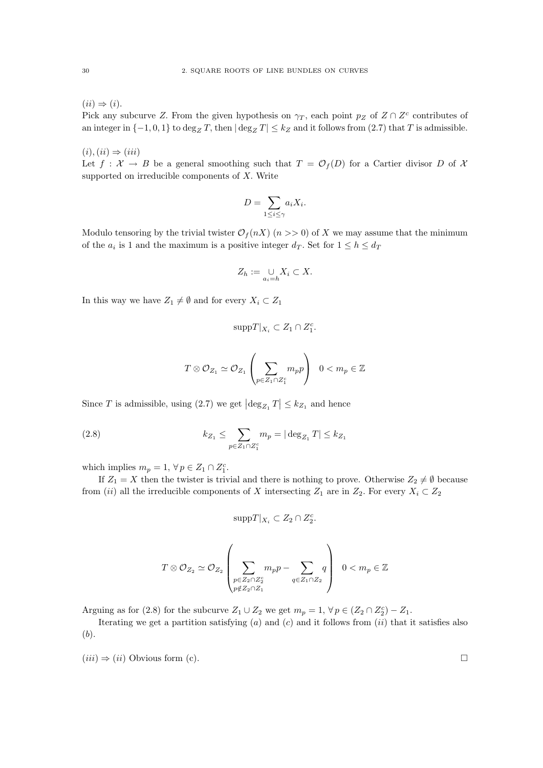$(ii) \Rightarrow (i).$ 

Pick any subcurve Z. From the given hypothesis on  $\gamma_T$ , each point  $p_Z$  of  $Z \cap Z^c$  contributes of an integer in  $\{-1, 0, 1\}$  to  $\deg_Z T$ , then  $|\deg_Z T| \leq k_Z$  and it follows from  $(2.7)$  that T is admissible.

 $(i), (ii) \Rightarrow (iii)$ 

Let  $f: \mathcal{X} \to B$  be a general smoothing such that  $T = \mathcal{O}_f(D)$  for a Cartier divisor D of X supported on irreducible components of  $X$ . Write

$$
D = \sum_{1 \le i \le \gamma} a_i X_i.
$$

Modulo tensoring by the trivial twister  $\mathcal{O}_f(nX)$  ( $n \geq 0$ ) of X we may assume that the minimum of the  $a_i$  is 1 and the maximum is a positive integer  $d_T$ . Set for  $1 \le h \le d_T$ 

$$
Z_h := \bigcup_{a_i=h} X_i \subset X.
$$

In this way we have  $Z_1 \neq \emptyset$  and for every  $X_i \subset Z_1$ 

$$
\mathrm{supp} T|_{X_i} \subset Z_1 \cap Z_1^c.
$$

$$
T\otimes \mathcal{O}_{Z_1}\simeq \mathcal{O}_{Z_1}\left(\sum_{p\in Z_1\cap Z_1^c}m_p p\right)\ \ 0
$$

Since T is admissible, using (2.7) we get  $\left|\deg_{Z_1} T\right| \leq k_{Z_1}$  and hence

(2.8) 
$$
k_{Z_1} \leq \sum_{p \in Z_1 \cap Z_1^c} m_p = |\deg_{Z_1} T| \leq k_{Z_1}
$$

which implies  $m_p = 1, \forall p \in Z_1 \cap Z_1^c$ .

If  $Z_1 = X$  then the twister is trivial and there is nothing to prove. Otherwise  $Z_2 \neq \emptyset$  because from (ii) all the irreducible components of X intersecting  $Z_1$  are in  $Z_2$ . For every  $X_i \subset Z_2$ 

$$
\mathrm{supp} T|_{X_i} \subset Z_2 \cap Z_2^c.
$$

$$
T\otimes\mathcal{O}_{Z_2}\simeq\mathcal{O}_{Z_2}\left(\sum_{\substack{p\in Z_2\cap Z_2^c\\ p\not\in Z_2\cap Z_1}}m_p p-\sum_{q\in Z_1\cap Z_2}q\right)\ \ 0< m_p\in\mathbb{Z}
$$

Arguing as for (2.8) for the subcurve  $Z_1 \cup Z_2$  we get  $m_p = 1, \forall p \in (Z_2 \cap Z_2^c) - Z_1$ .

Iterating we get a partition satisfying  $(a)$  and  $(c)$  and it follows from  $(ii)$  that it satisfies also (b).

 $(iii) \Rightarrow (ii)$  Obvious form (c).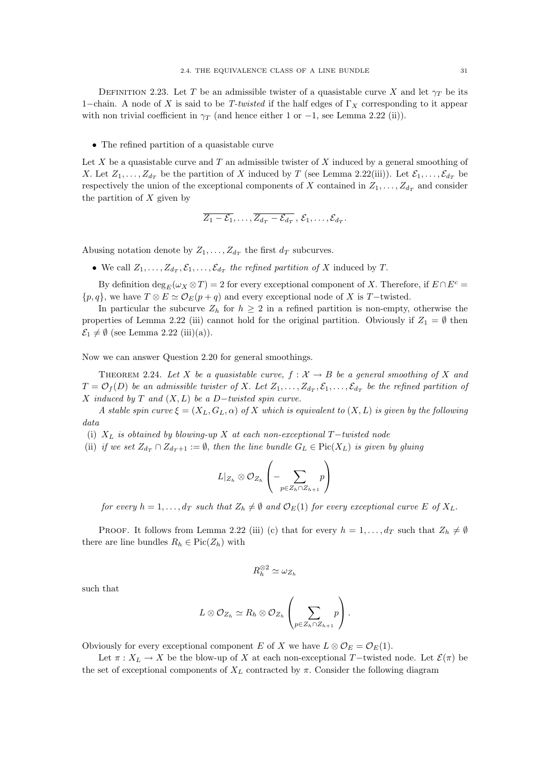DEFINITION 2.23. Let T be an admissible twister of a quasistable curve X and let  $\gamma_T$  be its 1–chain. A node of X is said to be T-twisted if the half edges of  $\Gamma_X$  corresponding to it appear with non trivial coefficient in  $\gamma_T$  (and hence either 1 or -1, see Lemma 2.22 (ii)).

• The refined partition of a quasistable curve

Let  $X$  be a quasistable curve and  $T$  an admissible twister of  $X$  induced by a general smoothing of X. Let  $Z_1, \ldots, Z_{d_T}$  be the partition of X induced by T (see Lemma 2.22(iii)). Let  $\mathcal{E}_1, \ldots, \mathcal{E}_{d_T}$  be respectively the union of the exceptional components of X contained in  $Z_1, \ldots, Z_{d_T}$  and consider the partition of  $X$  given by

$$
\overline{Z_1-\mathcal{E}_1},\ldots,\overline{Z_{d_T}-\mathcal{E}_{d_T}}\,,\,\mathcal{E}_1,\ldots,\mathcal{E}_{d_T}.
$$

Abusing notation denote by  $Z_1, \ldots, Z_{d_T}$  the first  $d_T$  subcurves.

• We call  $Z_1, \ldots, Z_{d_T}, \mathcal{E}_1, \ldots, \mathcal{E}_{d_T}$  the refined partition of X induced by T.

By definition  $\deg_E(\omega_X \otimes T) = 2$  for every exceptional component of X. Therefore, if  $E \cap E^c =$  $\{p,q\}$ , we have  $T \otimes E \simeq \mathcal{O}_E(p+q)$  and every exceptional node of X is T-twisted.

In particular the subcurve  $Z_h$  for  $h \geq 2$  in a refined partition is non-empty, otherwise the properties of Lemma 2.22 (iii) cannot hold for the original partition. Obviously if  $Z_1 = \emptyset$  then  $\mathcal{E}_1 \neq \emptyset$  (see Lemma 2.22 (iii)(a)).

Now we can answer Question 2.20 for general smoothings.

THEOREM 2.24. Let X be a quasistable curve,  $f: \mathcal{X} \to B$  be a general smoothing of X and  $T = \mathcal{O}_f(D)$  be an admissible twister of X. Let  $Z_1, \ldots, Z_{d_T}, \mathcal{E}_1, \ldots, \mathcal{E}_{d_T}$  be the refined partition of X induced by T and  $(X, L)$  be a D-twisted spin curve.

A stable spin curve  $\xi = (X_L, G_L, \alpha)$  of X which is equivalent to  $(X, L)$  is given by the following data

- (i)  $X_L$  is obtained by blowing-up X at each non-exceptional  $T$ −twisted node
- (ii) if we set  $Z_{d_T} \cap Z_{d_T+1} := \emptyset$ , then the line bundle  $G_L \in Pic(X_L)$  is given by gluing

$$
L|_{Z_h} \otimes \mathcal{O}_{Z_h}\left(-\sum_{p \in Z_h \cap Z_{h+1}} p\right)
$$

for every  $h = 1, \ldots, d_T$  such that  $Z_h \neq \emptyset$  and  $\mathcal{O}_E(1)$  for every exceptional curve E of  $X_L$ .

**PROOF.** It follows from Lemma 2.22 (iii) (c) that for every  $h = 1, \ldots, d_T$  such that  $Z_h \neq \emptyset$ there are line bundles  $R_h \in Pic(Z_h)$  with

$$
R_h^{\otimes 2} \simeq \omega_{Z_h}
$$

such that

$$
L\otimes \mathcal O_{Z_h}\simeq R_h\otimes \mathcal O_{Z_h}\left(\sum_{p\in Z_h\cap Z_{h+1}}p\right).
$$

Obviously for every exceptional component E of X we have  $L \otimes \mathcal{O}_E = \mathcal{O}_E(1)$ .

Let  $\pi : X_L \to X$  be the blow-up of X at each non-exceptional T-twisted node. Let  $\mathcal{E}(\pi)$  be the set of exceptional components of  $X_L$  contracted by  $\pi$ . Consider the following diagram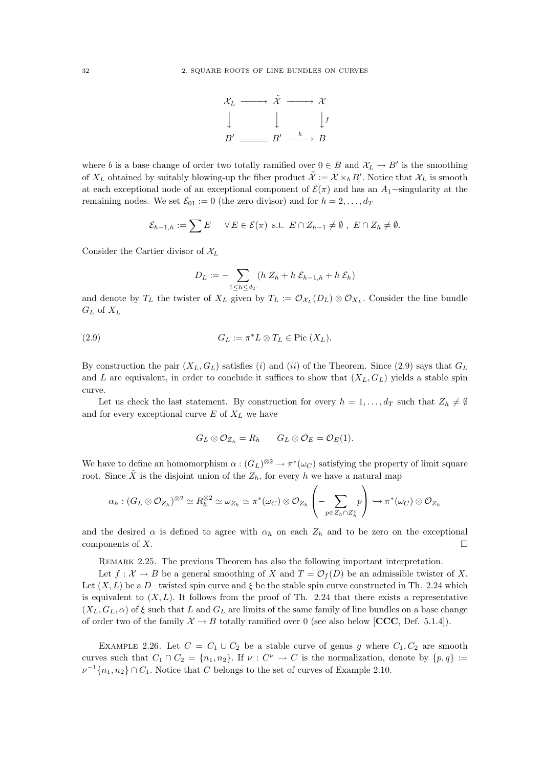

where b is a base change of order two totally ramified over  $0 \in B$  and  $\mathcal{X}_L \to B'$  is the smoothing of  $X_L$  obtained by suitably blowing-up the fiber product  $\tilde{\mathcal{X}} := \mathcal{X} \times_b B'$ . Notice that  $\mathcal{X}_L$  is smooth at each exceptional node of an exceptional component of  $\mathcal{E}(\pi)$  and has an A<sub>1</sub>-singularity at the remaining nodes. We set  $\mathcal{E}_{01} := 0$  (the zero divisor) and for  $h = 2, \ldots, d$ 

$$
\mathcal{E}_{h-1,h} := \sum E \quad \forall E \in \mathcal{E}(\pi) \text{ s.t. } E \cap Z_{h-1} \neq \emptyset, E \cap Z_h \neq \emptyset.
$$

Consider the Cartier divisor of  $\mathcal{X}_L$ 

$$
D_L := -\sum_{1 \le h \le d_T} (h Z_h + h \mathcal{E}_{h-1,h} + h \mathcal{E}_h)
$$

and denote by  $T_L$  the twister of  $X_L$  given by  $T_L := \mathcal{O}_{\mathcal{X}_L}(D_L) \otimes \mathcal{O}_{X_L}$ . Consider the line bundle  $G_L$  of  $X_L$ 

(2.9) 
$$
G_L := \pi^* L \otimes T_L \in \text{Pic}(X_L).
$$

By construction the pair  $(X_L, G_L)$  satisfies (i) and (ii) of the Theorem. Since (2.9) says that  $G_L$ and L are equivalent, in order to conclude it suffices to show that  $(X_L, G_L)$  yields a stable spin curve.

Let us check the last statement. By construction for every  $h = 1, \ldots, d_T$  such that  $Z_h \neq \emptyset$ and for every exceptional curve  $E$  of  $X_L$  we have

$$
G_L \otimes \mathcal{O}_{Z_h} = R_h \qquad G_L \otimes \mathcal{O}_E = \mathcal{O}_E(1).
$$

We have to define an homomorphism  $\alpha: (G_L)^{\otimes 2} \to \pi^*(\omega_C)$  satisfying the property of limit square root. Since  $\tilde{X}$  is the disjoint union of the  $Z_h$ , for every h we have a natural map

$$
\alpha_h: (G_L \otimes \mathcal{O}_{Z_h})^{\otimes 2} \simeq R_h^{\otimes 2} \simeq \omega_{Z_h} \simeq \pi^*(\omega_C) \otimes \mathcal{O}_{Z_h} \left( -\sum_{p \in Z_h \cap Z_h^c} p \right) \hookrightarrow \pi^*(\omega_C) \otimes \mathcal{O}_{Z_h}
$$

and the desired  $\alpha$  is defined to agree with  $\alpha_h$  on each  $Z_h$  and to be zero on the exceptional components of  $X$ .

Remark 2.25. The previous Theorem has also the following important interpretation.

Let  $f: \mathcal{X} \to B$  be a general smoothing of X and  $T = \mathcal{O}_f(D)$  be an admissible twister of X. Let  $(X, L)$  be a D-twisted spin curve and  $\xi$  be the stable spin curve constructed in Th. 2.24 which is equivalent to  $(X, L)$ . It follows from the proof of Th. 2.24 that there exists a representative  $(X_L, G_L, \alpha)$  of  $\xi$  such that L and  $G_L$  are limits of the same family of line bundles on a base change of order two of the family  $\mathcal{X} \to B$  totally ramified over 0 (see also below [CCC, Def. 5.1.4]).

EXAMPLE 2.26. Let  $C = C_1 \cup C_2$  be a stable curve of genus g where  $C_1, C_2$  are smooth curves such that  $C_1 \cap C_2 = \{n_1, n_2\}$ . If  $\nu : C^{\nu} \to C$  is the normalization, denote by  $\{p, q\} :=$  $\nu^{-1}\{n_1, n_2\} \cap C_1$ . Notice that C belongs to the set of curves of Example 2.10.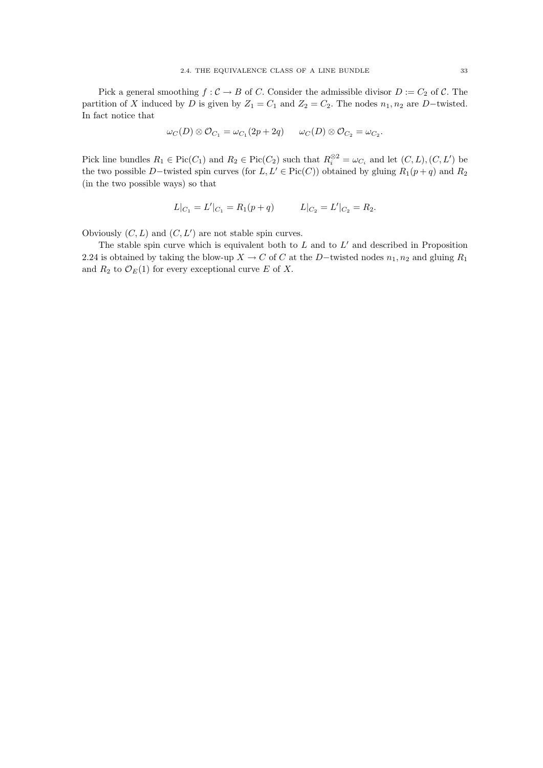Pick a general smoothing  $f : C \to B$  of C. Consider the admissible divisor  $D := C_2$  of C. The partition of X induced by D is given by  $Z_1 = C_1$  and  $Z_2 = C_2$ . The nodes  $n_1, n_2$  are D−twisted. In fact notice that

$$
\omega_C(D) \otimes \mathcal{O}_{C_1} = \omega_{C_1}(2p + 2q) \qquad \omega_C(D) \otimes \mathcal{O}_{C_2} = \omega_{C_2}.
$$

Pick line bundles  $R_1 \in Pic(C_1)$  and  $R_2 \in Pic(C_2)$  such that  $R_i^{\otimes 2} = \omega_{C_i}$  and let  $(C, L), (C, L')$  be the two possible D−twisted spin curves (for  $L, L' \in Pic(C)$ ) obtained by gluing  $R_1(p + q)$  and  $R_2$ (in the two possible ways) so that

$$
L|_{C_1} = L'|_{C_1} = R_1(p+q) \qquad L|_{C_2} = L'|_{C_2} = R_2.
$$

Obviously  $(C, L)$  and  $(C, L')$  are not stable spin curves.

The stable spin curve which is equivalent both to  $L$  and to  $L'$  and described in Proposition 2.24 is obtained by taking the blow-up  $X \to C$  of C at the D-twisted nodes  $n_1, n_2$  and gluing  $R_1$ and  $R_2$  to  $\mathcal{O}_E(1)$  for every exceptional curve E of X.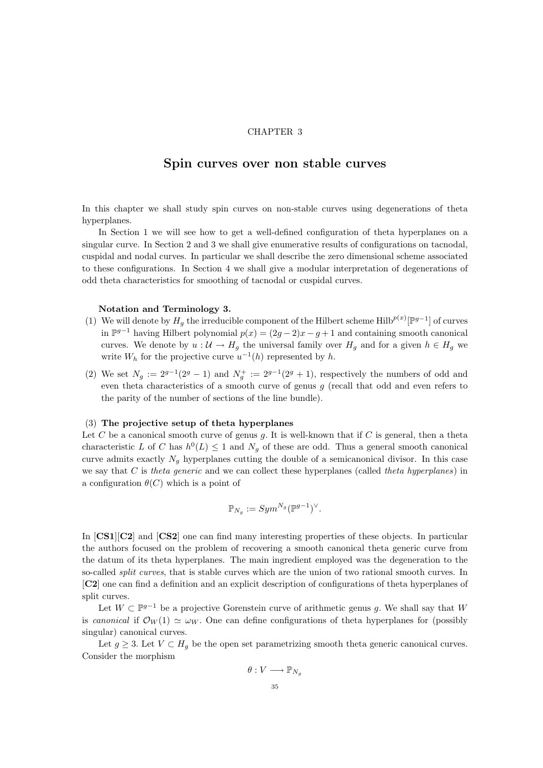#### CHAPTER 3

# Spin curves over non stable curves

In this chapter we shall study spin curves on non-stable curves using degenerations of theta hyperplanes.

In Section 1 we will see how to get a well-defined configuration of theta hyperplanes on a singular curve. In Section 2 and 3 we shall give enumerative results of configurations on tacnodal, cuspidal and nodal curves. In particular we shall describe the zero dimensional scheme associated to these configurations. In Section 4 we shall give a modular interpretation of degenerations of odd theta characteristics for smoothing of tacnodal or cuspidal curves.

# Notation and Terminology 3.

- (1) We will denote by  $H_g$  the irreducible component of the Hilbert scheme Hilb $p^{(x)}[\mathbb{P}^{g-1}]$  of curves in  $\mathbb{P}^{g-1}$  having Hilbert polynomial  $p(x) = (2g-2)x-g+1$  and containing smooth canonical curves. We denote by  $u: \mathcal{U} \to H_q$  the universal family over  $H_q$  and for a given  $h \in H_q$  we write  $W_h$  for the projective curve  $u^{-1}(h)$  represented by h.
- (2) We set  $N_g := 2^{g-1}(2^g 1)$  and  $N_g^+ := 2^{g-1}(2^g + 1)$ , respectively the numbers of odd and even theta characteristics of a smooth curve of genus  $q$  (recall that odd and even refers to the parity of the number of sections of the line bundle).

### (3) The projective setup of theta hyperplanes

Let C be a canonical smooth curve of genus q. It is well-known that if C is general, then a theta characteristic L of C has  $h^0(L) \leq 1$  and  $N_g$  of these are odd. Thus a general smooth canonical curve admits exactly  $N_g$  hyperplanes cutting the double of a semicanonical divisor. In this case we say that  $C$  is theta generic and we can collect these hyperplanes (called theta hyperplanes) in a configuration  $\theta(C)$  which is a point of

$$
\mathbb{P}_{N_g} := Sym^{N_g}(\mathbb{P}^{g-1})^{\vee}.
$$

In [CS1][C2] and [CS2] one can find many interesting properties of these objects. In particular the authors focused on the problem of recovering a smooth canonical theta generic curve from the datum of its theta hyperplanes. The main ingredient employed was the degeneration to the so-called *split curves*, that is stable curves which are the union of two rational smooth curves. In [C2] one can find a definition and an explicit description of configurations of theta hyperplanes of split curves.

Let  $W \subset \mathbb{P}^{g-1}$  be a projective Gorenstein curve of arithmetic genus g. We shall say that W is canonical if  $\mathcal{O}_W(1) \simeq \omega_W$ . One can define configurations of theta hyperplanes for (possibly singular) canonical curves.

Let  $q > 3$ . Let  $V \subset H_q$  be the open set parametrizing smooth theta generic canonical curves. Consider the morphism

$$
\theta: V \longrightarrow \mathbb{P}_{N_g}
$$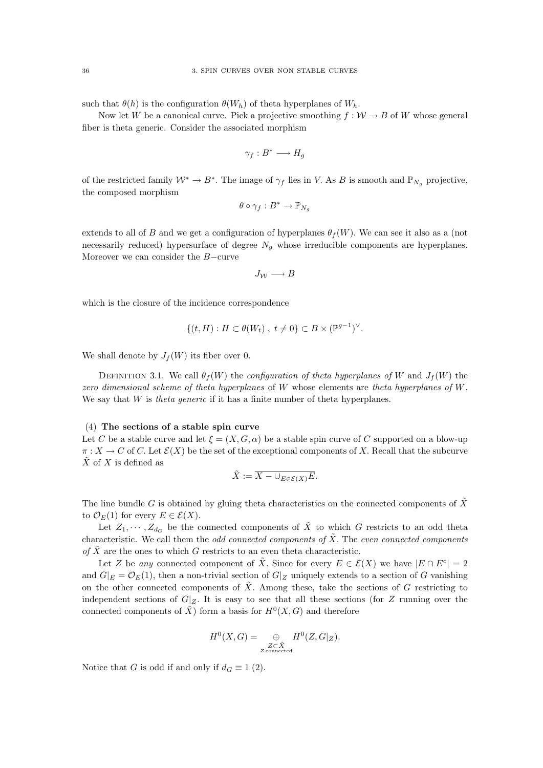such that  $\theta(h)$  is the configuration  $\theta(W_h)$  of theta hyperplanes of  $W_h$ .

Now let W be a canonical curve. Pick a projective smoothing  $f : \mathcal{W} \to B$  of W whose general fiber is theta generic. Consider the associated morphism

$$
\gamma_f: B^* \longrightarrow H_g
$$

of the restricted family  $\mathcal{W}^* \to B^*$ . The image of  $\gamma_f$  lies in V. As B is smooth and  $\mathbb{P}_{N_g}$  projective, the composed morphism

$$
\theta \circ \gamma_f : B^* \to \mathbb{P}_{N_g}
$$

extends to all of B and we get a configuration of hyperplanes  $\theta_f(W)$ . We can see it also as a (not necessarily reduced) hypersurface of degree  $N_q$  whose irreducible components are hyperplanes. Moreover we can consider the B−curve

$$
J_{\mathcal{W}} \longrightarrow B
$$

which is the closure of the incidence correspondence

$$
\{(t, H) : H \subset \theta(W_t) , t \neq 0\} \subset B \times (\mathbb{P}^{g-1})^{\vee}.
$$

We shall denote by  $J_f(W)$  its fiber over 0.

DEFINITION 3.1. We call  $\theta_f(W)$  the *configuration of theta hyperplanes of* W and  $J_f(W)$  the zero dimensional scheme of theta hyperplanes of W whose elements are theta hyperplanes of W. We say that  $W$  is *theta generic* if it has a finite number of theta hyperplanes.

#### (4) The sections of a stable spin curve

Let C be a stable curve and let  $\xi = (X, G, \alpha)$  be a stable spin curve of C supported on a blow-up  $\pi: X \to C$  of C. Let  $\mathcal{E}(X)$  be the set of the exceptional components of X. Recall that the subcurve  $\tilde{X}$  of X is defined as

$$
\tilde{X} := \overline{X - \cup_{E \in \mathcal{E}(X)} E}.
$$

The line bundle G is obtained by gluing theta characteristics on the connected components of  $\tilde{X}$ to  $\mathcal{O}_E(1)$  for every  $E \in \mathcal{E}(X)$ .

Let  $Z_1, \dots, Z_{d_G}$  be the connected components of  $\tilde{X}$  to which G restricts to an odd theta characteristic. We call them the odd connected components of  $\tilde{X}$ . The even connected components of  $\tilde{X}$  are the ones to which G restricts to an even theta characteristic.

Let Z be any connected component of  $\tilde{X}$ . Since for every  $E \in \mathcal{E}(X)$  we have  $|E \cap E^c| = 2$ and  $G|_E = \mathcal{O}_E(1)$ , then a non-trivial section of  $G|_Z$  uniquely extends to a section of G vanishing on the other connected components of  $\tilde{X}$ . Among these, take the sections of G restricting to independent sections of  $G|_Z$ . It is easy to see that all these sections (for Z running over the connected components of  $\tilde{X}$ ) form a basis for  $H^0(X, G)$  and therefore

$$
H^{0}(X, G) = \bigoplus_{\substack{Z \subset \tilde{X} \\ Z \text{ connected}}} H^{0}(Z, G|_{Z}).
$$

Notice that G is odd if and only if  $d_G \equiv 1 \ (2)$ .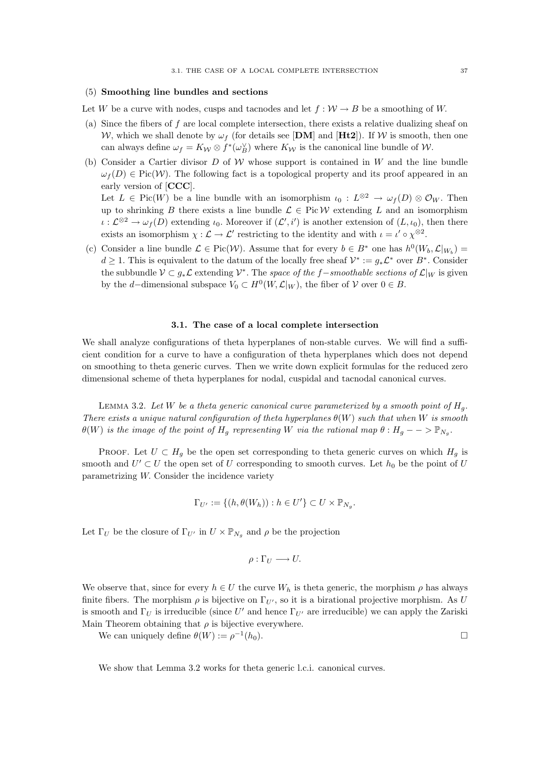#### (5) Smoothing line bundles and sections

Let W be a curve with nodes, cusps and tacnodes and let  $f: W \to B$  be a smoothing of W.

- (a) Since the fibers of f are local complete intersection, there exists a relative dualizing sheaf on W, which we shall denote by  $\omega_f$  (for details see [DM] and [Ht2]). If W is smooth, then one can always define  $\omega_f = K_{\mathcal{W}} \otimes f^*(\omega_B^{\vee})$  where  $K_{\mathcal{W}}$  is the canonical line bundle of W.
- (b) Consider a Cartier divisor  $D$  of W whose support is contained in W and the line bundle  $\omega_f(D) \in Pic(W)$ . The following fact is a topological property and its proof appeared in an early version of [CCC]. Let  $L \in Pic(W)$  be a line bundle with an isomorphism  $\iota_0: L^{\otimes 2} \to \omega_f(D) \otimes \mathcal{O}_W$ . Then up to shrinking B there exists a line bundle  $\mathcal{L} \in Pic \mathcal{W}$  extending L and an isomorphism  $\iota : \mathcal{L}^{\otimes 2} \to \omega_f(D)$  extending  $\iota_0$ . Moreover if  $(\mathcal{L}', i')$  is another extension of  $(L, \iota_0)$ , then there
- (c) Consider a line bundle  $\mathcal{L} \in Pic(\mathcal{W})$ . Assume that for every  $b \in B^*$  one has  $h^0(W_b, \mathcal{L}|_{W_b}) =$  $d \geq 1$ . This is equivalent to the datum of the locally free sheaf  $\mathcal{V}^* := g_* \mathcal{L}^*$  over  $B^*$ . Consider the subbundle  $\mathcal{V} \subset g_*\mathcal{L}$  extending  $\mathcal{V}^*$ . The space of the f-smoothable sections of  $\mathcal{L}|_W$  is given by the d–dimensional subspace  $V_0 \subset H^0(W, \mathcal{L}|_W)$ , the fiber of  $\mathcal V$  over  $0 \in B$ .

exists an isomorphism  $\chi : \mathcal{L} \to \mathcal{L}'$  restricting to the identity and with  $\iota = \iota' \circ \chi^{\otimes 2}$ .

#### 3.1. The case of a local complete intersection

We shall analyze configurations of theta hyperplanes of non-stable curves. We will find a sufficient condition for a curve to have a configuration of theta hyperplanes which does not depend on smoothing to theta generic curves. Then we write down explicit formulas for the reduced zero dimensional scheme of theta hyperplanes for nodal, cuspidal and tacnodal canonical curves.

LEMMA 3.2. Let W be a theta generic canonical curve parameterized by a smooth point of  $H_q$ . There exists a unique natural configuration of theta hyperplanes  $\theta(W)$  such that when W is smooth  $\theta(W)$  is the image of the point of  $H_g$  representing W via the rational map  $\theta: H_g \longrightarrow \mathbb{P}_{N_g}$ .

PROOF. Let  $U \subset H_g$  be the open set corresponding to theta generic curves on which  $H_g$  is smooth and  $U' \subset U$  the open set of U corresponding to smooth curves. Let  $h_0$  be the point of U parametrizing W. Consider the incidence variety

$$
\Gamma_{U'} := \{ (h, \theta(W_h)) : h \in U' \} \subset U \times \mathbb{P}_{N_g}.
$$

Let  $\Gamma_U$  be the closure of  $\Gamma_{U'}$  in  $U \times \mathbb{P}_{N_g}$  and  $\rho$  be the projection

$$
\rho:\Gamma_U\longrightarrow U.
$$

We observe that, since for every  $h \in U$  the curve  $W_h$  is theta generic, the morphism  $\rho$  has always finite fibers. The morphism  $\rho$  is bijective on  $\Gamma_{U'}$ , so it is a birational projective morphism. As U is smooth and  $\Gamma_U$  is irreducible (since U' and hence  $\Gamma_{U'}$  are irreducible) we can apply the Zariski Main Theorem obtaining that  $\rho$  is bijective everywhere.

We can uniquely define  $\theta(W) := \rho^{-1}$  $(h_0).$ 

We show that Lemma 3.2 works for theta generic l.c.i. canonical curves.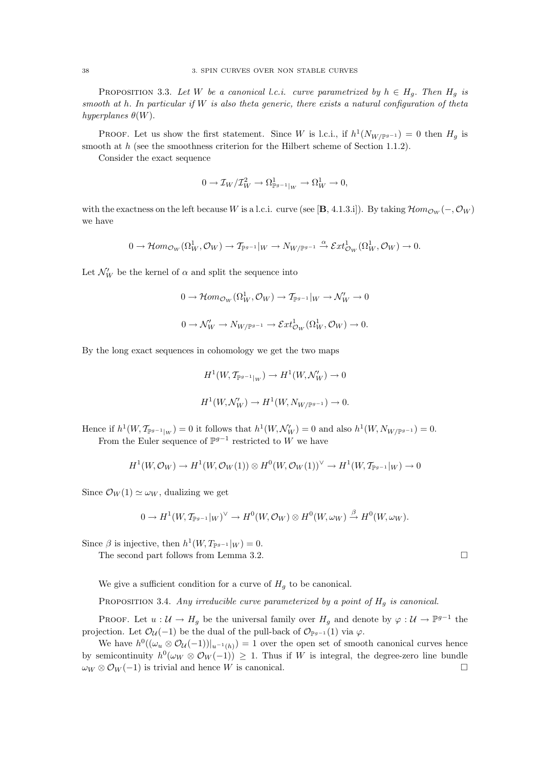PROPOSITION 3.3. Let W be a canonical l.c.i. curve parametrized by  $h \in H_g$ . Then  $H_g$  is smooth at h. In particular if  $W$  is also theta generic, there exists a natural configuration of theta hyperplanes  $\theta(W)$ .

**PROOF.** Let us show the first statement. Since W is l.c.i., if  $h^1(N_{W/\mathbb{P}^{g-1}}) = 0$  then  $H_g$  is smooth at h (see the smoothness criterion for the Hilbert scheme of Section 1.1.2).

Consider the exact sequence

$$
0 \to \mathcal{I}_W / \mathcal{I}_W^2 \to \Omega^1_{\mathbb{P}^{g-1}|_W} \to \Omega^1_W \to 0,
$$

with the exactness on the left because W is a l.c.i. curve (see [B, 4.1.3.i]). By taking  $\mathcal{H}om_{\mathcal{O}_W}(-,\mathcal{O}_W)$ we have

$$
0\rightarrow \mathcal{H}om_{\mathcal{O}_{W}}(\Omega^{1}_{W}, \mathcal{O}_{W})\rightarrow \mathcal{T}_{\mathbb{P}^{g-1}}|_{W}\rightarrow N_{W/\mathbb{P}^{g-1}}\stackrel{\alpha}{\rightarrow}\mathcal{E}xt^1_{\mathcal{O}_{W}}(\Omega^{1}_{W}, \mathcal{O}_{W})\rightarrow 0.
$$

Let  $\mathcal{N}'_W$  be the kernel of  $\alpha$  and split the sequence into

$$
0 \to \mathcal{H}om_{\mathcal{O}_W}(\Omega^1_W, \mathcal{O}_W) \to \mathcal{T}_{\mathbb{P}^{g-1}}|_W \to \mathcal{N}'_W \to 0
$$
  

$$
0 \to \mathcal{N}'_W \to N_{W/\mathbb{P}^{g-1}} \to \mathcal{E}xt^1_{\mathcal{O}_W}(\Omega^1_W, \mathcal{O}_W) \to 0.
$$

By the long exact sequences in cohomology we get the two maps

$$
H^1(W, T_{\mathbb{P}^{g-1}|_W}) \to H^1(W, \mathcal{N}'_W) \to 0
$$
  

$$
H^1(W, \mathcal{N}'_W) \to H^1(W, N_{W/\mathbb{P}^{g-1}}) \to 0.
$$

Hence if  $h^1(W, \mathcal{T}_{\mathbb{P}^{g-1}|_W}) = 0$  it follows that  $h^1(W, \mathcal{N}'_W) = 0$  and also  $h^1(W, N_{W/\mathbb{P}^{g-1}}) = 0$ . From the Euler sequence of  $\mathbb{P}^{g-1}$  restricted to W we have

$$
H^1(W, \mathcal{O}_W) \to H^1(W, \mathcal{O}_W(1)) \otimes H^0(W, \mathcal{O}_W(1))^{\vee} \to H^1(W, \mathcal{T}_{\mathbb{P}^{g-1}}|_W) \to 0
$$

Since  $\mathcal{O}_W(1) \simeq \omega_W$ , dualizing we get

$$
0 \to H^1(W, \mathcal{T}_{\mathbb{P}^{g-1}}|_W)^{\vee} \to H^0(W, \mathcal{O}_W) \otimes H^0(W, \omega_W) \stackrel{\beta}{\to} H^0(W, \omega_W).
$$

Since  $\beta$  is injective, then  $h^1(W, T_{\mathbb{P}^{g-1}}|_W) = 0$ .

The second part follows from Lemma 3.2.

We give a sufficient condition for a curve of  $H<sub>q</sub>$  to be canonical.

PROPOSITION 3.4. Any irreducible curve parameterized by a point of  $H<sub>q</sub>$  is canonical.

PROOF. Let  $u: \mathcal{U} \to H_g$  be the universal family over  $H_g$  and denote by  $\varphi: \mathcal{U} \to \mathbb{P}^{g-1}$  the projection. Let  $\mathcal{O}_{\mathcal{U}}(-1)$  be the dual of the pull-back of  $\mathcal{O}_{\mathbb{P}^{g-1}}(1)$  via  $\varphi$ .

We have  $h^0((\omega_u \otimes \mathcal{O}_\mathcal{U}(-1))]_{u^{-1}(h)}) = 1$  over the open set of smooth canonical curves hence by semicontinuity  $h^0(\omega_W \otimes \mathcal{O}_W(-1)) \geq 1$ . Thus if W is integral, the degree-zero line bundle  $\omega_W \otimes \mathcal{O}_W(-1)$  is trivial and hence W is canonical.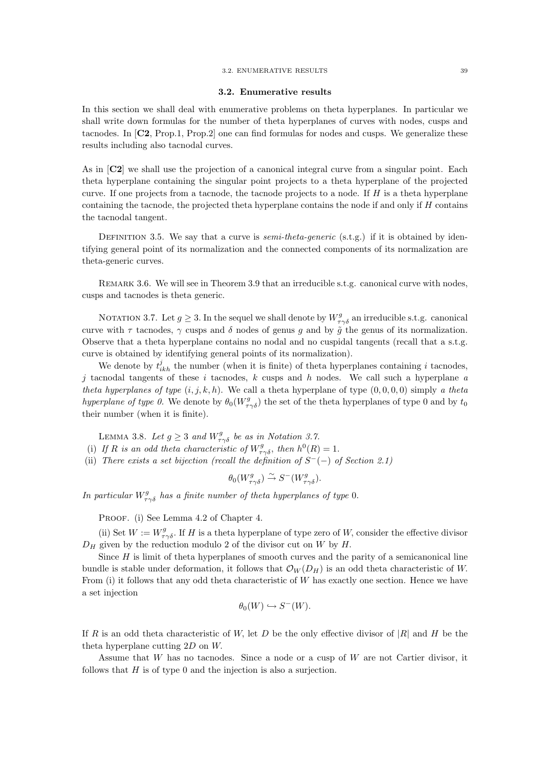#### 3.2. ENUMERATIVE RESULTS 39

## 3.2. Enumerative results

In this section we shall deal with enumerative problems on theta hyperplanes. In particular we shall write down formulas for the number of theta hyperplanes of curves with nodes, cusps and tacnodes. In [C2, Prop.1, Prop.2] one can find formulas for nodes and cusps. We generalize these results including also tacnodal curves.

As in [C2] we shall use the projection of a canonical integral curve from a singular point. Each theta hyperplane containing the singular point projects to a theta hyperplane of the projected curve. If one projects from a tacnode, the tacnode projects to a node. If  $H$  is a theta hyperplane containing the tacnode, the projected theta hyperplane contains the node if and only if H contains the tacnodal tangent.

DEFINITION 3.5. We say that a curve is *semi-theta-generic* (s.t.g.) if it is obtained by identifying general point of its normalization and the connected components of its normalization are theta-generic curves.

REMARK 3.6. We will see in Theorem 3.9 that an irreducible s.t.g. canonical curve with nodes. cusps and tacnodes is theta generic.

NOTATION 3.7. Let  $g \geq 3$ . In the sequel we shall denote by  $W_{\tau\gamma\delta}^g$  an irreducible s.t.g. canonical curve with  $\tau$  tacnodes,  $\gamma$  cusps and  $\delta$  nodes of genus g and by  $\tilde{g}$  the genus of its normalization. Observe that a theta hyperplane contains no nodal and no cuspidal tangents (recall that a s.t.g. curve is obtained by identifying general points of its normalization).

We denote by  $t_{ikh}^j$  the number (when it is finite) of theta hyperplanes containing i tacnodes, j tacnodal tangents of these i tacnodes, k cusps and h nodes. We call such a hyperplane  $a$ theta hyperplanes of type  $(i, j, k, h)$ . We call a theta hyperplane of type  $(0, 0, 0, 0)$  simply a theta hyperplane of type 0. We denote by  $\theta_0(W_{\tau\gamma\delta}^g)$  the set of the theta hyperplanes of type 0 and by  $t_0$ their number (when it is finite).

LEMMA 3.8. Let  $g \geq 3$  and  $W_{\tau\gamma\delta}^g$  be as in Notation 3.7.

- (i) If R is an odd theta characteristic of  $W_{\tau\gamma\delta}^g$ , then  $h^0(R) = 1$ .
- (ii) There exists a set bijection (recall the definition of  $S^{-}(-)$  of Section 2.1)

$$
\theta_0(W^g_{\tau\gamma\delta}) \xrightarrow{\sim} S^-(W^g_{\tau\gamma\delta}).
$$

In particular  $W_{\tau\gamma\delta}^g$  has a finite number of theta hyperplanes of type 0.

PROOF. (i) See Lemma 4.2 of Chapter 4.

(ii) Set  $W := W^g_{\tau\gamma\delta}$ . If H is a theta hyperplane of type zero of W, consider the effective divisor  $D_H$  given by the reduction modulo 2 of the divisor cut on W by H.

Since  $H$  is limit of theta hyperplanes of smooth curves and the parity of a semicanonical line bundle is stable under deformation, it follows that  $\mathcal{O}_W(D_H)$  is an odd theta characteristic of W. From  $(i)$  it follows that any odd theta characteristic of W has exactly one section. Hence we have a set injection

$$
\theta_0(W) \hookrightarrow S^-(W).
$$

If R is an odd theta characteristic of W, let D be the only effective divisor of  $|R|$  and H be the theta hyperplane cutting 2D on W.

Assume that W has no tacnodes. Since a node or a cusp of W are not Cartier divisor, it follows that  $H$  is of type 0 and the injection is also a surjection.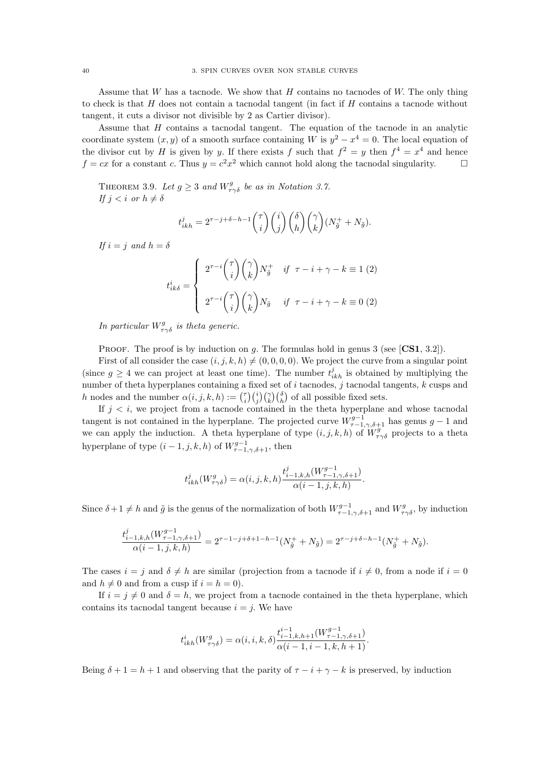Assume that  $W$  has a tacnode. We show that  $H$  contains no tacnodes of  $W$ . The only thing to check is that  $H$  does not contain a tacnodal tangent (in fact if  $H$  contains a tacnode without tangent, it cuts a divisor not divisible by 2 as Cartier divisor).

Assume that H contains a tacnodal tangent. The equation of the tacnode in an analytic coordinate system  $(x, y)$  of a smooth surface containing W is  $y^2 - x^4 = 0$ . The local equation of the divisor cut by H is given by y. If there exists f such that  $f^2 = y$  then  $f^4 = x^4$  and hence  $f = cx$  for a constant c. Thus  $y = c^2x^2$  which cannot hold along the tacnodal singularity.

THEOREM 3.9. Let  $g \geq 3$  and  $W_{\tau\gamma\delta}^g$  be as in Notation 3.7. If  $j < i$  or  $h \neq \delta$ 

$$
t_{ikh}^j = 2^{\tau - j + \delta - h - 1} \binom{\tau}{i} \binom{i}{j} \binom{\delta}{h} \binom{\gamma}{k} (N_{\tilde{g}}^+ + N_{\tilde{g}}).
$$

If  $i = j$  and  $h = \delta$ 

$$
t_{ik\delta}^i = \begin{cases} 2^{\tau-i} \binom{\tau}{i} \binom{\gamma}{k} N_{\tilde{g}}^+ & \text{if } \tau - i + \gamma - k \equiv 1 \ (2) \\ \\ 2^{\tau-i} \binom{\tau}{i} \binom{\gamma}{k} N_{\tilde{g}} & \text{if } \tau - i + \gamma - k \equiv 0 \ (2) \end{cases}
$$

In particular  $W_{\tau\gamma\delta}^g$  is theta generic.

**PROOF.** The proof is by induction on g. The formulas hold in genus 3 (see  $[\text{CS1}, 3.2]$ ).

First of all consider the case  $(i, j, k, h) \neq (0, 0, 0, 0)$ . We project the curve from a singular point (since  $g \geq 4$  we can project at least one time). The number  $t_{ikh}^j$  is obtained by multiplying the number of theta hyperplanes containing a fixed set of  $i$  tacnodes,  $j$  tacnodal tangents,  $k$  cusps and h nodes and the number  $\alpha(i, j, k, h) := {\binom{7}{i}} {\binom{i}{j}} {\binom{7}{k}} {\binom{5}{h}}$  of all possible fixed sets.

If  $j < i$ , we project from a tacnode contained in the theta hyperplane and whose tacnodal tangent is not contained in the hyperplane. The projected curve  $W_{\tau-1,\gamma,\delta+1}^{g-1}$  has genus  $g-1$  and we can apply the induction. A theta hyperplane of type  $(i, j, k, h)$  of  $\overline{W^g_{\tau\gamma\delta}}$  projects to a theta hyperplane of type  $(i-1, j, k, h)$  of  $W^{g-1}_{\tau-1,\gamma,\delta+1}$ , then

$$
t^j_{ikh}(W^g_{\tau\gamma\delta})=\alpha(i,j,k,h)\frac{t^j_{i-1,k,h}(W^{g-1}_{\tau-1,\gamma,\delta+1})}{\alpha(i-1,j,k,h)}.
$$

Since  $\delta+1\neq h$  and  $\tilde{g}$  is the genus of the normalization of both  $W^{g-1}_{\tau-1,\gamma,\delta+1}$  and  $W^{g}_{\tau\gamma\delta}$ , by induction

$$
\frac{t^j_{i-1,k,h}(W^{g-1}_{\tau-1,\gamma,\delta+1})}{\alpha(i-1,j,k,h)}=2^{\tau-1-j+\delta+1-h-1}(N^+_{\tilde{g}}+N_{\tilde{g}})=2^{\tau-j+\delta-h-1}(N^+_{\tilde{g}}+N_{\tilde{g}}).
$$

The cases  $i = j$  and  $\delta \neq h$  are similar (projection from a tacnode if  $i \neq 0$ , from a node if  $i = 0$ and  $h \neq 0$  and from a cusp if  $i = h = 0$ ).

If  $i = j \neq 0$  and  $\delta = h$ , we project from a tacnode contained in the theta hyperplane, which contains its tacnodal tangent because  $i = j$ . We have

$$
t^i_{ikh}(W^g_{\tau\gamma\delta})=\alpha(i,i,k,\delta)\frac{t^{i-1}_{i-1,k,h+1}(W^{g-1}_{\tau-1,\gamma,\delta+1})}{\alpha(i-1,i-1,k,h+1)}.
$$

Being  $\delta + 1 = h + 1$  and observing that the parity of  $\tau - i + \gamma - k$  is preserved, by induction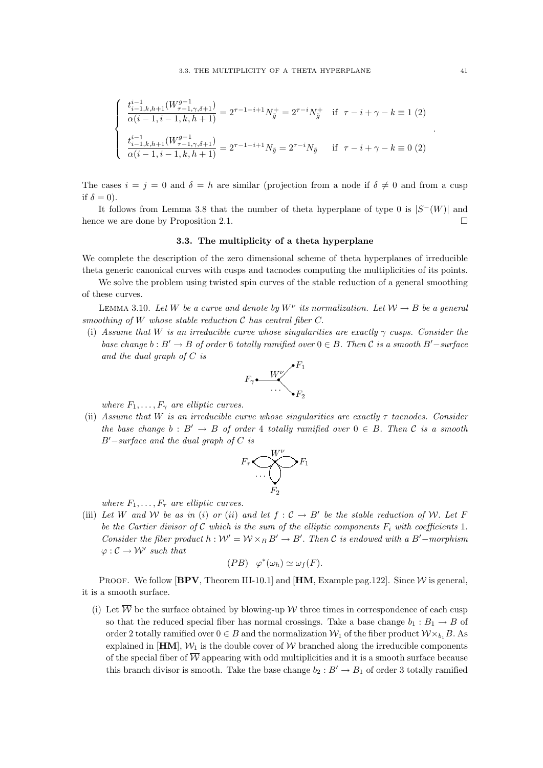$$
\begin{cases}\n\frac{t_{i-1,k,h+1}^{i-1}(W_{\tau-1,\gamma,\delta+1}^{g-1})}{\alpha(i-1,i-1,k,h+1)} = 2^{\tau-1-i+1}N_{\tilde{g}}^{+} = 2^{\tau-i}N_{\tilde{g}}^{+} & \text{if } \tau-i+\gamma-k \equiv 1 \text{ (2)} \\
\frac{t_{i-1,k,h+1}^{i-1}(W_{\tau-1,\gamma,\delta+1}^{g-1})}{\alpha(i-1,i-1,k,h+1)} = 2^{\tau-1-i+1}N_{\tilde{g}} = 2^{\tau-i}N_{\tilde{g}} & \text{if } \tau-i+\gamma-k \equiv 0 \text{ (2)}\n\end{cases}
$$

The cases  $i = j = 0$  and  $\delta = h$  are similar (projection from a node if  $\delta \neq 0$  and from a cusp if  $\delta = 0$ ).

It follows from Lemma 3.8 that the number of theta hyperplane of type 0 is  $|S^-(W)|$  and hence we are done by Proposition 2.1.

#### 3.3. The multiplicity of a theta hyperplane

We complete the description of the zero dimensional scheme of theta hyperplanes of irreducible theta generic canonical curves with cusps and tacnodes computing the multiplicities of its points.

We solve the problem using twisted spin curves of the stable reduction of a general smoothing of these curves.

LEMMA 3.10. Let W be a curve and denote by  $W^{\nu}$  its normalization. Let  $W \to B$  be a general smoothing of W whose stable reduction  $\mathcal C$  has central fiber  $C$ .

(i) Assume that W is an irreducible curve whose singularities are exactly  $\gamma$  cusps. Consider the base change  $b : B' \to B$  of order 6 totally ramified over  $0 \in B$ . Then C is a smooth B' $-surface$ and the dual graph of C is



where  $F_1, \ldots, F_\gamma$  are elliptic curves.

(ii) Assume that W is an irreducible curve whose singularities are exactly  $\tau$  tacnodes. Consider the base change  $b : B' \to B$  of order 4 totally ramified over  $0 \in B$ . Then C is a smooth  $B'-surface$  and the dual graph of C is



where  $F_1, \ldots, F_\tau$  are elliptic curves.

(iii) Let W and W be as in (i) or (ii) and let  $f: C \to B'$  be the stable reduction of W. Let F be the Cartier divisor of C which is the sum of the elliptic components  $F_i$  with coefficients 1. Consider the fiber product  $h : W' = W \times_B B' \to B'$ . Then C is endowed with a B' $-$ morphism  $\varphi : \mathcal{C} \to \mathcal{W}'$  such that

$$
(PB) \quad \varphi^*(\omega_h) \simeq \omega_f(F).
$$

PROOF. We follow  $[BPV, Theorem III-10.1]$  and  $[HM, Example \, pag.122]$ . Since W is general, it is a smooth surface.

(i) Let  $\overline{\mathcal{W}}$  be the surface obtained by blowing-up W three times in correspondence of each cusp so that the reduced special fiber has normal crossings. Take a base change  $b_1 : B_1 \to B$  of order 2 totally ramified over  $0 \in B$  and the normalization  $\mathcal{W}_1$  of the fiber product  $\mathcal{W} \times_{b_1} B$ . As explained in  $[HM], W_1$  is the double cover of W branched along the irreducible components of the special fiber of  $\overline{W}$  appearing with odd multiplicities and it is a smooth surface because this branch divisor is smooth. Take the base change  $b_2 : B' \to B_1$  of order 3 totally ramified

.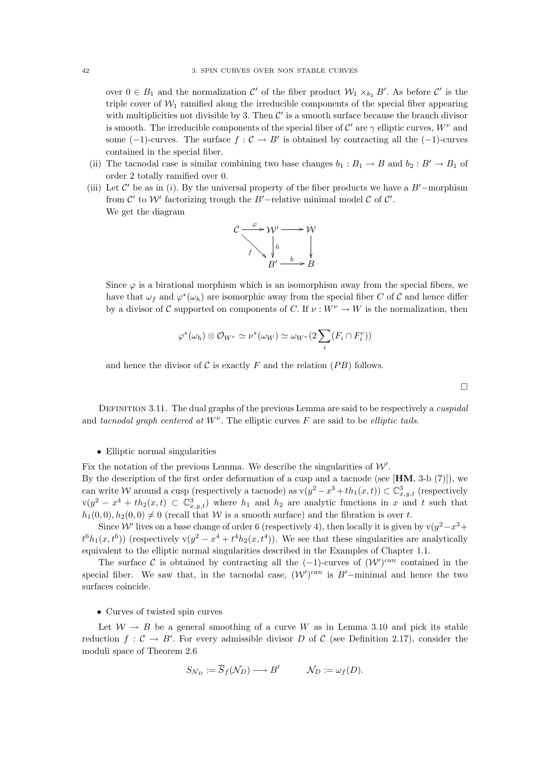over  $0 \in B_1$  and the normalization C' of the fiber product  $\mathcal{W}_1 \times_{b_2} B'$ . As before C' is the triple cover of  $W_1$  ramified along the irreducible components of the special fiber appearing with multiplicities not divisible by 3. Then  $\mathcal{C}'$  is a smooth surface because the branch divisor is smooth. The irreducible components of the special fiber of  $\mathcal{C}'$  are  $\gamma$  elliptic curves,  $W^{\nu}$  and some  $(-1)$ -curves. The surface  $f: \mathcal{C} \to B'$  is obtained by contracting all the  $(-1)$ -curves contained in the special fiber.

- (ii) The tacnodal case is similar combining two base changes  $b_1 : B_1 \to B$  and  $b_2 : B' \to B_1$  of order 2 totally ramified over 0.
- (iii) Let  $\mathcal{C}'$  be as in (i). By the universal property of the fiber products we have a B'-morphism from  $\mathcal{C}'$  to  $\mathcal{W}'$  factorizing trough the B'-relative minimal model  $\mathcal{C}$  of  $\mathcal{C}'$ . We get the diagram



Since  $\varphi$  is a birational morphism which is an isomorphism away from the special fibers, we have that  $\omega_f$  and  $\varphi^*(\omega_h)$  are isomorphic away from the special fiber C of C and hence differ by a divisor of C supported on components of C. If  $\nu : W^{\nu} \to W$  is the normalization, then

$$
\varphi^*(\omega_h) \otimes \mathcal{O}_{W^{\nu}} \simeq \nu^*(\omega_W) \simeq \omega_{W^{\nu}}(2\sum_i (F_i \cap F_i^c))
$$

and hence the divisor of C is exactly F and the relation  $(PB)$  follows.

 $\Box$ 

DEFINITION 3.11. The dual graphs of the previous Lemma are said to be respectively a *cuspidal* and tacnodal graph centered at  $W^{\nu}$ . The elliptic curves F are said to be elliptic tails.

#### • Elliptic normal singularities

Fix the notation of the previous Lemma. We describe the singularities of  $W'$ .

By the description of the first order deformation of a cusp and a tacnode (see [HM, 3-b (7)]), we can write W around a cusp (respectively a tacnode) as  $v(y^2 - x^3 + th_1(x,t)) \subset \mathbb{C}^3_{x,y,t}$  (respectively  $v(y^2 - x^4 + th_2(x, t) \subset \mathbb{C}^3_{x,y,t})$  where  $h_1$  and  $h_2$  are analytic functions in x and t such that  $h_1(0, 0), h_2(0, 0) \neq 0$  (recall that W is a smooth surface) and the fibration is over t.

Since W' lives on a base change of order 6 (respectively 4), then locally it is given by v $(y^2-x^3+y^2)$  $t^6h_1(x,t^6)$  (respectively  $v(y^2 - x^4 + t^4h_2(x,t^4))$ ). We see that these singularities are analytically equivalent to the elliptic normal singularities described in the Examples of Chapter 1.1.

The surface C is obtained by contracting all the  $(-1)$ -curves of  $(W')^{can}$  contained in the special fiber. We saw that, in the tacnodal case,  $(W')^{can}$  is B'-minimal and hence the two surfaces coincide.

#### • Curves of twisted spin curves

Let  $W \rightarrow B$  be a general smoothing of a curve W as in Lemma 3.10 and pick its stable reduction  $f: \mathcal{C} \to B'$ . For every admissible divisor D of C (see Definition 2.17), consider the moduli space of Theorem 2.6

$$
S_{\mathcal{N}_D} := \overline{S}_f(\mathcal{N}_D) \longrightarrow B' \qquad \mathcal{N}_D := \omega_f(D).
$$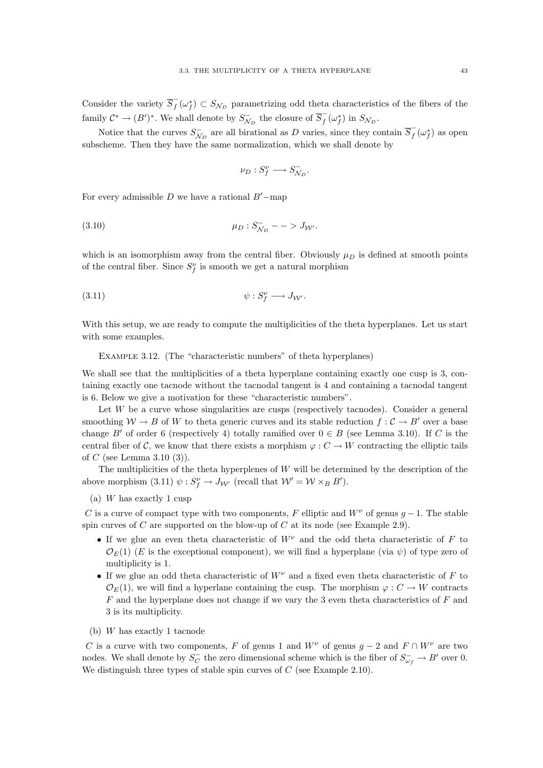Consider the variety  $\overline{S}_f^$  $f(\omega_f^*) \subset S_{\mathcal{N}_D}$  parametrizing odd theta characteristics of the fibers of the family  $C^* \to (B')^*$ . We shall denote by  $S_{\mathcal{N}_D}^-$  the closure of  $\overline{S}_f^ \int_{f}^{-}(\omega_{f}^{*})$  in  $S_{\mathcal{N}_{D}}$ .

Notice that the curves  $S_{\mathcal{N}_D}^-$  are all birational as D varies, since they contain  $\overline{S}_f^ \overline{f}(\omega_f^*)$  as open subscheme. Then they have the same normalization, which we shall denote by

$$
\nu_D: S_f^{\nu} \longrightarrow S_{\mathcal{N}_D}^{-}.
$$

For every admissible D we have a rational  $B'-m$ ap

(3.10) 
$$
\mu_D : S_{N_D}^- - \gt J_{\mathcal{W}'}.
$$

which is an isomorphism away from the central fiber. Obviously  $\mu_D$  is defined at smooth points of the central fiber. Since  $S_f^{\nu}$  is smooth we get a natural morphism

$$
\psi : S_f^{\nu} \longrightarrow J_{\mathcal{W}'}.
$$

With this setup, we are ready to compute the multiplicities of the theta hyperplanes. Let us start with some examples.

Example 3.12. (The "characteristic numbers" of theta hyperplanes)

We shall see that the multiplicities of a theta hyperplane containing exactly one cusp is 3, containing exactly one tacnode without the tacnodal tangent is 4 and containing a tacnodal tangent is 6. Below we give a motivation for these "characteristic numbers".

Let  $W$  be a curve whose singularities are cusps (respectively tacnodes). Consider a general smoothing  $W \to B$  of W to theta generic curves and its stable reduction  $f : C \to B'$  over a base change B' of order 6 (respectively 4) totally ramified over  $0 \in B$  (see Lemma 3.10). If C is the central fiber of C, we know that there exists a morphism  $\varphi: C \to W$  contracting the elliptic tails of C (see Lemma 3.10  $(3)$ ).

The multiplicities of the theta hyperplenes of W will be determined by the description of the above morphism (3.11)  $\psi : S_f^{\nu} \to J_{\mathcal{W}'}$  (recall that  $\mathcal{W}' = \mathcal{W} \times_B B'$ ).

(a) W has exactly 1 cusp

C is a curve of compact type with two components, F elliptic and  $W^{\nu}$  of genus  $g-1$ . The stable spin curves of C are supported on the blow-up of C at its node (see Example 2.9).

- If we glue an even theta characteristic of  $W^{\nu}$  and the odd theta characteristic of F to  $\mathcal{O}_E(1)$  (E is the exceptional component), we will find a hyperplane (via  $\psi$ ) of type zero of multiplicity is 1.
- If we glue an odd theta characteristic of  $W^{\nu}$  and a fixed even theta characteristic of F to  $\mathcal{O}_E(1)$ , we will find a hyperlane containing the cusp. The morphism  $\varphi: C \to W$  contracts  $F$  and the hyperplane does not change if we vary the 3 even theta characteristics of  $F$  and 3 is its multiplicity.
- (b) W has exactly 1 tacnode

C is a curve with two components, F of genus 1 and  $W^{\nu}$  of genus  $g - 2$  and  $F \cap W^{\nu}$  are two nodes. We shall denote by  $S_C^ C$  the zero dimensional scheme which is the fiber of  $S_{\omega_f}^- \to B'$  over 0. We distinguish three types of stable spin curves of  $C$  (see Example 2.10).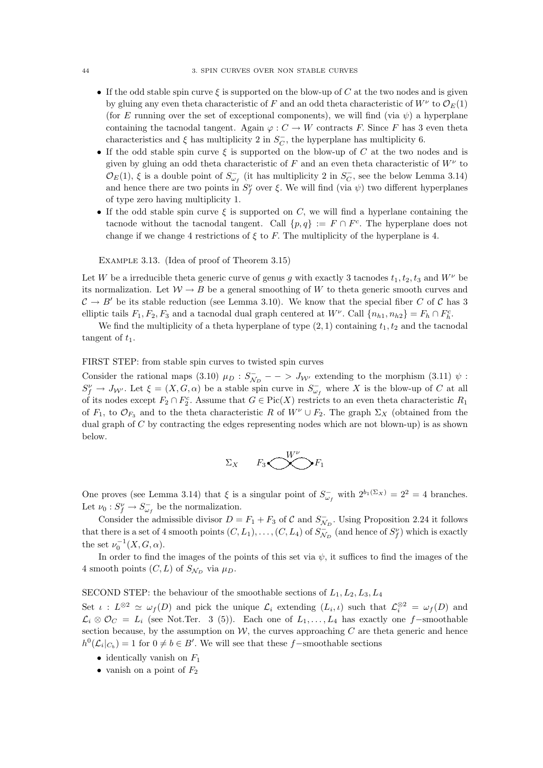- If the odd stable spin curve  $\xi$  is supported on the blow-up of C at the two nodes and is given by gluing any even theta characteristic of F and an odd theta characteristic of  $W^{\nu}$  to  $\mathcal{O}_E(1)$ (for E running over the set of exceptional components), we will find (via  $\psi$ ) a hyperplane containing the tacnodal tangent. Again  $\varphi : C \to W$  contracts F. Since F has 3 even theta characteristics and  $\xi$  has multiplicity 2 in  $S_C^ C_C$ , the hyperplane has multiplicity 6.
- If the odd stable spin curve  $\xi$  is supported on the blow-up of C at the two nodes and is given by gluing an odd theta characteristic of  $F$  and an even theta characteristic of  $W^{\nu}$  to  $\mathcal{O}_E(1)$ ,  $\xi$  is a double point of  $S_{\omega_f}^-$  (it has multiplicity 2 in  $S_C^ C_C$ , see the below Lemma 3.14) and hence there are two points in  $S_f^{\nu}$  over  $\xi$ . We will find (via  $\psi$ ) two different hyperplanes of type zero having multiplicity 1.
- If the odd stable spin curve  $\xi$  is supported on C, we will find a hyperlane containing the tacnode without the tacnodal tangent. Call  $\{p,q\} := F \cap F^c$ . The hyperplane does not change if we change 4 restrictions of  $\xi$  to F. The multiplicity of the hyperplane is 4.

Example 3.13. (Idea of proof of Theorem 3.15)

Let W be a irreducible theta generic curve of genus g with exactly 3 tacnodes  $t_1, t_2, t_3$  and  $W^{\nu}$  be its normalization. Let  $W \to B$  be a general smoothing of W to theta generic smooth curves and  $\mathcal{C} \to B'$  be its stable reduction (see Lemma 3.10). We know that the special fiber C of C has 3 elliptic tails  $F_1, F_2, F_3$  and a tacnodal dual graph centered at  $W^{\nu}$ . Call  $\{n_{h1}, n_{h2}\} = F_h \cap F_h^c$ .

We find the multiplicity of a theta hyperplane of type  $(2, 1)$  containing  $t_1, t_2$  and the tacnodal tangent of  $t_1$ .

FIRST STEP: from stable spin curves to twisted spin curves

Consider the rational maps (3.10)  $\mu_D : S_{\mathcal{N}_D}^-$  – >  $J_{\mathcal{W}'}$  extending to the morphism (3.11)  $\psi$ :  $S_f^{\nu} \to J_{\mathcal{W}'}$ . Let  $\xi = (X, G, \alpha)$  be a stable spin curve in  $S_{\omega_f}^-$  where X is the blow-up of C at all of its nodes except  $F_2 \cap F_2^c$ . Assume that  $G \in Pic(X)$  restricts to an even theta characteristic  $R_1$ of  $F_1$ , to  $\mathcal{O}_{F_3}$  and to the theta characteristic R of  $W^{\nu} \cup F_2$ . The graph  $\Sigma_X$  (obtained from the dual graph of  $C$  by contracting the edges representing nodes which are not blown-up) is as shown below.

$$
\Sigma_X \qquad F_3 \bigotimes^{W^\nu} F_1
$$

One proves (see Lemma 3.14) that  $\xi$  is a singular point of  $S_{\omega_f}^-$  with  $2^{b_1(\Sigma_X)} = 2^2 = 4$  branches. Let  $\nu_0: S_f^{\nu} \to S_{\omega_f}^-$  be the normalization.

Consider the admissible divisor  $D = F_1 + F_3$  of C and  $S_{\mathcal{N}_D}^-$ . Using Proposition 2.24 it follows that there is a set of 4 smooth points  $(C, L_1), \ldots, (C, L_4)$  of  $S_{N_D}^{-}$  (and hence of  $S_f^{\nu}$ ) which is exactly the set  $\nu_0^{-1}(X, G, \alpha)$ .

In order to find the images of the points of this set via  $\psi$ , it suffices to find the images of the 4 smooth points  $(C, L)$  of  $S_{N_D}$  via  $\mu_D$ .

SECOND STEP: the behaviour of the smoothable sections of  $L_1, L_2, L_3, L_4$ 

Set  $\iota : L^{\otimes 2} \simeq \omega_f(D)$  and pick the unique  $\mathcal{L}_i$  extending  $(L_i, \iota)$  such that  $\mathcal{L}_i^{\otimes 2} = \omega_f(D)$  and  $\mathcal{L}_i \otimes \mathcal{O}_C = L_i$  (see Not.Ter. 3 (5)). Each one of  $L_1, \ldots, L_4$  has exactly one f–smoothable section because, by the assumption on  $W$ , the curves approaching  $C$  are theta generic and hence  $h^0(\mathcal{L}_i|_{C_b}) = 1$  for  $0 \neq b \in B'$ . We will see that these f-smoothable sections

- identically vanish on  $F_1$
- vanish on a point of  $F_2$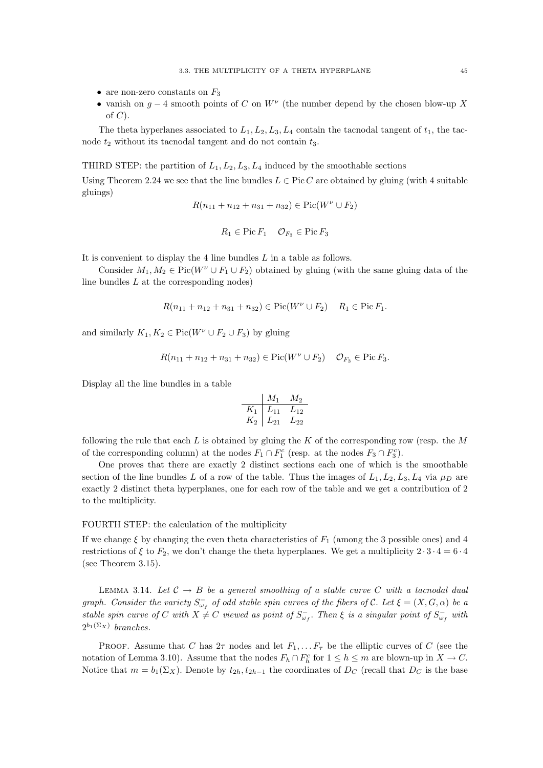- are non-zero constants on  $F_3$
- vanish on  $g 4$  smooth points of C on  $W^{\nu}$  (the number depend by the chosen blow-up X of  $C$ ).

The theta hyperlanes associated to  $L_1, L_2, L_3, L_4$  contain the tacnodal tangent of  $t_1$ , the tacnode  $t_2$  without its tacnodal tangent and do not contain  $t_3$ .

THIRD STEP: the partition of  $L_1, L_2, L_3, L_4$  induced by the smoothable sections

Using Theorem 2.24 we see that the line bundles  $L \in Pic C$  are obtained by gluing (with 4 suitable gluings)

$$
R(n_{11} + n_{12} + n_{31} + n_{32}) \in Pic(W^{\nu} \cup F_2)
$$

$$
R_1 \in \text{Pic}\, F_1 \quad \mathcal{O}_{F_3} \in \text{Pic}\, F_3
$$

It is convenient to display the 4 line bundles L in a table as follows.

Consider  $M_1, M_2 \in Pic(W^{\nu} \cup F_1 \cup F_2)$  obtained by gluing (with the same gluing data of the line bundles  $L$  at the corresponding nodes)

$$
R(n_{11} + n_{12} + n_{31} + n_{32}) \in Pic(W^{\nu} \cup F_2) \quad R_1 \in Pic F_1.
$$

and similarly  $K_1, K_2 \in Pic(W^{\nu} \cup F_2 \cup F_3)$  by gluing

$$
R(n_{11} + n_{12} + n_{31} + n_{32}) \in Pic(W^{\nu} \cup F_2) \quad \mathcal{O}_{F_3} \in Pic F_3.
$$

Display all the line bundles in a table

$$
\begin{array}{c|cc}\n & M_1 & M_2 \\
\hline\nK_1 & L_{11} & L_{12} \\
K_2 & L_{21} & L_{22}\n\end{array}
$$

following the rule that each  $L$  is obtained by gluing the  $K$  of the corresponding row (resp. the  $M$ of the corresponding column) at the nodes  $F_1 \cap F_1^c$  (resp. at the nodes  $F_3 \cap F_3^c$ ).

One proves that there are exactly 2 distinct sections each one of which is the smoothable section of the line bundles L of a row of the table. Thus the images of  $L_1, L_2, L_3, L_4$  via  $\mu_D$  are exactly 2 distinct theta hyperplanes, one for each row of the table and we get a contribution of 2 to the multiplicity.

#### FOURTH STEP: the calculation of the multiplicity

If we change  $\xi$  by changing the even theta characteristics of  $F_1$  (among the 3 possible ones) and 4 restrictions of  $\xi$  to  $F_2$ , we don't change the theta hyperplanes. We get a multiplicity  $2 \cdot 3 \cdot 4 = 6 \cdot 4$ (see Theorem 3.15).

LEMMA 3.14. Let  $C \rightarrow B$  be a general smoothing of a stable curve C with a tacnodal dual graph. Consider the variety  $S_{\omega_f}^-$  of odd stable spin curves of the fibers of C. Let  $\xi = (X, G, \alpha)$  be a stable spin curve of C with  $X \neq C$  viewed as point of  $S_{\omega_f}^-$ . Then  $\xi$  is a singular point of  $S_{\omega_f}^-$  with  $2^{b_1(\Sigma_X)}$  branches.

PROOF. Assume that C has  $2\tau$  nodes and let  $F_1, \ldots, F_\tau$  be the elliptic curves of C (see the notation of Lemma 3.10). Assume that the nodes  $F_h \cap F_h^c$  for  $1 \leq h \leq m$  are blown-up in  $X \to C$ . Notice that  $m = b_1(\Sigma_X)$ . Denote by  $t_{2h}, t_{2h-1}$  the coordinates of  $D_C$  (recall that  $D_C$  is the base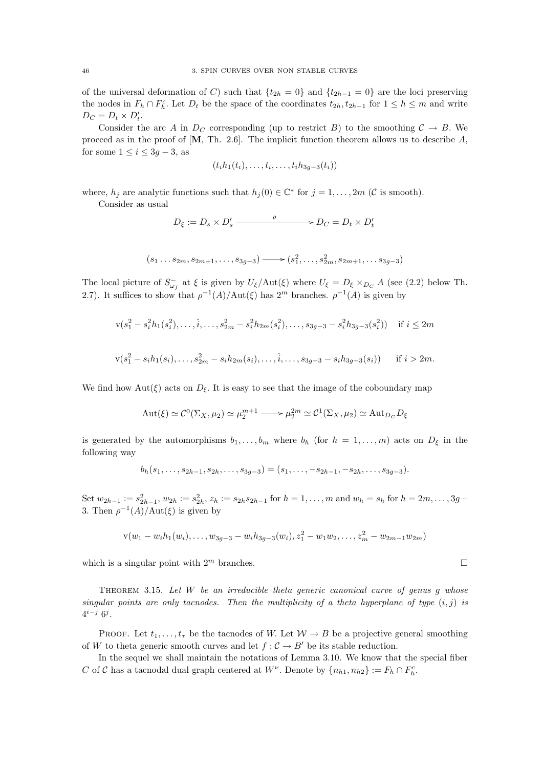of the universal deformation of C) such that  $\{t_{2h} = 0\}$  and  $\{t_{2h-1} = 0\}$  are the loci preserving the nodes in  $F_h \cap F_h^c$ . Let  $D_t$  be the space of the coordinates  $t_{2h}, t_{2h-1}$  for  $1 \leq h \leq m$  and write  $D_C = D_t \times D'_t.$ 

Consider the arc A in  $D_C$  corresponding (up to restrict B) to the smoothing  $C \to B$ . We proceed as in the proof of  $[M, Th. 2.6]$ . The implicit function theorem allows us to describe A, for some  $1 \leq i \leq 3g - 3$ , as

$$
(t_i h_1(t_i),\ldots,t_i,\ldots,t_i h_{3g-3}(t_i))
$$

where,  $h_j$  are analytic functions such that  $h_j(0) \in \mathbb{C}^*$  for  $j = 1, ..., 2m$  (C is smooth). Consider as usual

$$
D_{\xi} := D_s \times D'_s \xrightarrow{\rho} D_C = D_t \times D'_t
$$

$$
(s_1 \ldots s_{2m}, s_{2m+1}, \ldots, s_{3g-3}) \longrightarrow (s_1^2, \ldots, s_{2m}^2, s_{2m+1}, \ldots, s_{3g-3})
$$

The local picture of  $S_{\omega_f}^-$  at  $\xi$  is given by  $U_{\xi}/\text{Aut}(\xi)$  where  $U_{\xi} = D_{\xi} \times_{D_C} A$  (see (2.2) below Th. 2.7). It suffices to show that  $\rho^{-1}(A)/\text{Aut}(\xi)$  has  $2^m$  branches.  $\rho^{-1}(A)$  is given by

$$
v(s_1^2 - s_i^2 h_1(s_i^2), \dots, \hat{i}, \dots, s_{2m}^2 - s_i^2 h_{2m}(s_i^2), \dots, s_{3g-3} - s_i^2 h_{3g-3}(s_i^2)) \quad \text{if } i \le 2m
$$
  

$$
v(s_1^2 - s_i h_1(s_i), \dots, s_{2m}^2 - s_i h_{2m}(s_i), \dots, \hat{i}, \dots, s_{3g-3} - s_i h_{3g-3}(s_i)) \quad \text{if } i > 2m.
$$

We find how  $Aut(\xi)$  acts on  $D_{\xi}$ . It is easy to see that the image of the coboundary map

$$
\operatorname{Aut}(\xi)\simeq\mathcal{C}^0(\Sigma_X,\mu_2)\simeq\mu_2^{m+1}\longrightarrow\mu_2^{2m}\simeq\mathcal{C}^1(\Sigma_X,\mu_2)\simeq\operatorname{Aut}_{D_C}D_{\xi}
$$

is generated by the automorphisms  $b_1, \ldots, b_m$  where  $b_h$  (for  $h = 1, \ldots, m$ ) acts on  $D_{\xi}$  in the following way

$$
b_h(s_1,\ldots,s_{2h-1},s_{2h},\ldots,s_{3g-3})=(s_1,\ldots,-s_{2h-1},-s_{2h},\ldots,s_{3g-3}).
$$

Set  $w_{2h-1} := s_{2h-1}^2, w_{2h} := s_{2h}^2, z_h := s_{2h} s_{2h-1}$  for  $h = 1, \ldots, m$  and  $w_h = s_h$  for  $h = 2m, \ldots, 3g-1$ 3. Then  $\rho^{-1}(A)/\text{Aut}(\xi)$  is given by

$$
v(w_1 - w_i h_1(w_i), \dots, w_{3g-3} - w_i h_{3g-3}(w_i), z_1^2 - w_1 w_2, \dots, z_m^2 - w_{2m-1} w_{2m})
$$

which is a singular point with  $2^m$  branches.

THEOREM 3.15. Let  $W$  be an irreducible theta generic canonical curve of genus  $g$  whose singular points are only tacnodes. Then the multiplicity of a theta hyperplane of type  $(i, j)$  is  $4^{i-j} 6^j$ .

PROOF. Let  $t_1, \ldots, t_\tau$  be the tacnodes of W. Let  $\mathcal{W} \to B$  be a projective general smoothing of W to theta generic smooth curves and let  $f : C \to B'$  be its stable reduction.

In the sequel we shall maintain the notations of Lemma 3.10. We know that the special fiber C of C has a tacnodal dual graph centered at  $W^{\nu}$ . Denote by  $\{n_{h1}, n_{h2}\} := F_h \cap F_h^c$ .

$$
\sqcup
$$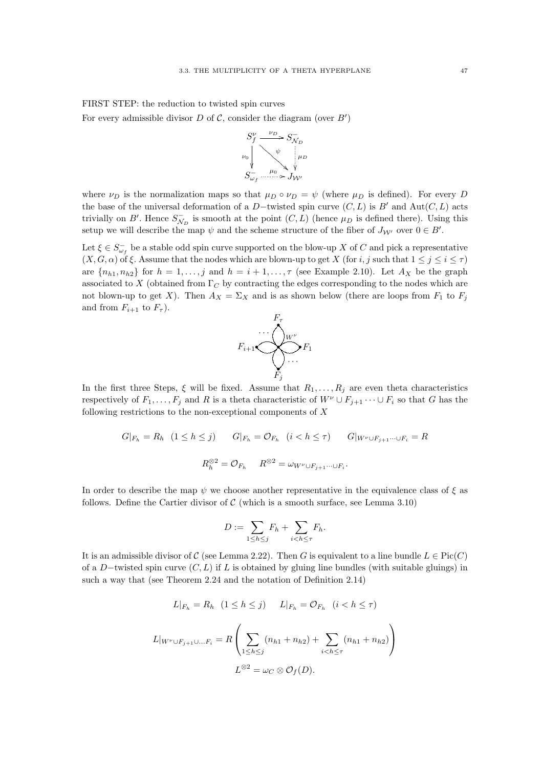FIRST STEP: the reduction to twisted spin curves

For every admissible divisor  $D$  of  $C$ , consider the diagram (over  $B'$ )



where  $\nu_D$  is the normalization maps so that  $\mu_D \circ \nu_D = \psi$  (where  $\mu_D$  is defined). For every D the base of the universal deformation of a D-twisted spin curve  $(C, L)$  is B' and Aut $(C, L)$  acts trivially on B'. Hence  $S_{\mathcal{N}_D}^-$  is smooth at the point  $(C, L)$  (hence  $\mu_D$  is defined there). Using this setup we will describe the map  $\psi$  and the scheme structure of the fiber of  $J_{\mathcal{W}'}$  over  $0 \in B'$ .

Let  $\xi \in S_{\omega_f}^-$  be a stable odd spin curve supported on the blow-up X of C and pick a representative  $(X, G, \alpha)$  of  $\xi$ . Assume that the nodes which are blown-up to get X (for i, j such that  $1 \leq j \leq i \leq \tau$ ) are  $\{n_{h1}, n_{h2}\}$  for  $h = 1, \ldots, j$  and  $h = i + 1, \ldots, \tau$  (see Example 2.10). Let  $A_X$  be the graph associated to X (obtained from  $\Gamma_C$  by contracting the edges corresponding to the nodes which are not blown-up to get X). Then  $A_X = \Sigma_X$  and is as shown below (there are loops from  $F_1$  to  $F_j$ and from  $F_{i+1}$  to  $F_{\tau}$ ).



In the first three Steps,  $\xi$  will be fixed. Assume that  $R_1, \ldots, R_j$  are even theta characteristics respectively of  $F_1, \ldots, F_j$  and R is a theta characteristic of  $W^{\nu} \cup F_{j+1} \cdots \cup F_i$  so that G has the following restrictions to the non-exceptional components of  $X$ 

$$
G|_{F_h} = R_h \quad (1 \le h \le j) \qquad G|_{F_h} = \mathcal{O}_{F_h} \quad (i < h \le \tau) \qquad G|_{W^{\nu} \cup F_{j+1} \cdots \cup F_i} = R
$$
\n
$$
R_h^{\otimes 2} = \mathcal{O}_{F_h} \qquad R^{\otimes 2} = \omega_{W^{\nu} \cup F_{j+1} \cdots \cup F_i}.
$$

In order to describe the map  $\psi$  we choose another representative in the equivalence class of  $\xi$  as follows. Define the Cartier divisor of  $\mathcal C$  (which is a smooth surface, see Lemma 3.10)

$$
D := \sum_{1 \leq h \leq j} F_h + \sum_{i < h \leq \tau} F_h.
$$

It is an admissible divisor of C (see Lemma 2.22). Then G is equivalent to a line bundle  $L \in Pic(C)$ of a D−twisted spin curve  $(C, L)$  if L is obtained by gluing line bundles (with suitable gluings) in such a way that (see Theorem 2.24 and the notation of Definition 2.14)

$$
L|_{F_h} = R_h \quad (1 \le h \le j) \qquad L|_{F_h} = \mathcal{O}_{F_h} \quad (i < h \le \tau)
$$
\n
$$
L|_{W^{\nu} \cup F_{j+1} \cup \ldots F_i} = R \left( \sum_{1 \le h \le j} (n_{h1} + n_{h2}) + \sum_{i < h \le \tau} (n_{h1} + n_{h2}) \right)
$$
\n
$$
L^{\otimes 2} = \omega_C \otimes \mathcal{O}_f(D).
$$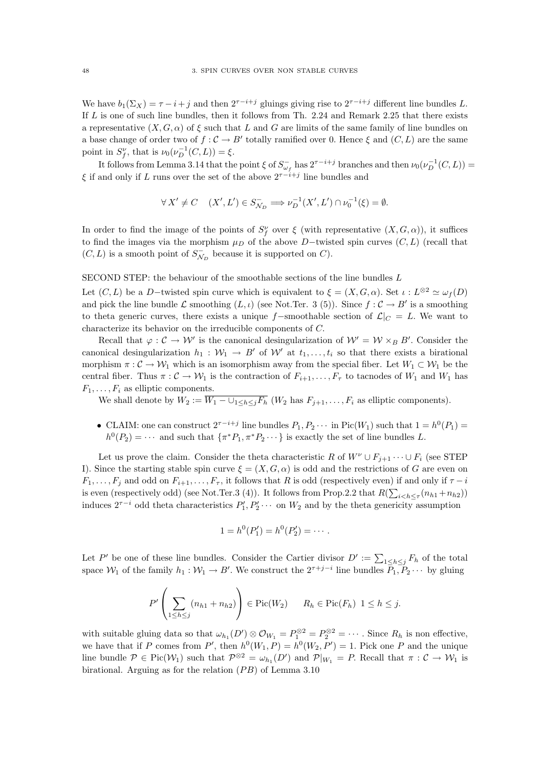We have  $b_1(\Sigma_X) = \tau - i + j$  and then  $2^{\tau - i + j}$  gluings giving rise to  $2^{\tau - i + j}$  different line bundles L. If  $L$  is one of such line bundles, then it follows from Th. 2.24 and Remark 2.25 that there exists a representative  $(X, G, \alpha)$  of  $\xi$  such that L and G are limits of the same family of line bundles on a base change of order two of  $f: \mathcal{C} \to B'$  totally ramified over 0. Hence  $\xi$  and  $(C, L)$  are the same point in  $S_f^{\nu}$ , that is  $\nu_0(\nu_D^{-1}(C, L)) = \xi$ .

It follows from Lemma 3.14 that the point  $\xi$  of  $S_{\omega_f}^-$  has  $2^{\tau-i+j}$  branches and then  $\nu_0(\nu_D^{-1}(C,L))$  $\xi$  if and only if L runs over the set of the above  $2^{\tau-i+j}$  line bundles and

$$
\forall X' \neq C \quad (X',L') \in S^-_{\mathcal{N}_D} \Longrightarrow \nu_D^{-1}(X',L') \cap \nu_0^{-1}(\xi) = \emptyset.
$$

In order to find the image of the points of  $S_f^{\nu}$  over  $\xi$  (with representative  $(X, G, \alpha)$ ), it suffices to find the images via the morphism  $\mu_D$  of the above D-twisted spin curves  $(C, L)$  (recall that  $(C, L)$  is a smooth point of  $S_{\mathcal{N}_D}^-$  because it is supported on  $C$ ).

SECOND STEP: the behaviour of the smoothable sections of the line bundles  $L$ 

Let  $(C, L)$  be a D-twisted spin curve which is equivalent to  $\xi = (X, G, \alpha)$ . Set  $\iota : L^{\otimes 2} \simeq \omega_f(D)$ and pick the line bundle  $\mathcal L$  smoothing  $(L, \iota)$  (see Not.Ter. 3 (5)). Since  $f : \mathcal C \to B'$  is a smoothing to theta generic curves, there exists a unique f–smoothable section of  $\mathcal{L}|_C = L$ . We want to characterize its behavior on the irreducible components of C.

Recall that  $\varphi : \mathcal{C} \to \mathcal{W}'$  is the canonical desingularization of  $\mathcal{W}' = \mathcal{W} \times_B B'$ . Consider the canonical desingularization  $h_1 : W_1 \to B'$  of W' at  $t_1, \ldots, t_i$  so that there exists a birational morphism  $\pi: \mathcal{C} \to \mathcal{W}_1$  which is an isomorphism away from the special fiber. Let  $W_1 \subset \mathcal{W}_1$  be the central fiber. Thus  $\pi: \mathcal{C} \to \mathcal{W}_1$  is the contraction of  $F_{i+1}, \ldots, F_{\tau}$  to tacnodes of  $W_1$  and  $W_1$  has  $F_1, \ldots, F_i$  as elliptic components.

We shall denote by  $W_2 := \overline{W_1 - \bigcup_{1 \leq h \leq j} F_h}$   $(W_2$  has  $F_{j+1}, \ldots, F_i$  as elliptic components).

• CLAIM: one can construct  $2^{\tau-i+j}$  line bundles  $P_1, P_2 \cdots$  in Pic $(W_1)$  such that  $1 = h^0(P_1)$  $h^0(P_2) = \cdots$  and such that  $\{\pi^* P_1, \pi^* P_2 \cdots\}$  is exactly the set of line bundles L.

Let us prove the claim. Consider the theta characteristic R of  $W^{\nu} \cup F_{i+1} \cdots \cup F_i$  (see STEP I). Since the starting stable spin curve  $\xi = (X, G, \alpha)$  is odd and the restrictions of G are even on  $F_1, \ldots, F_j$  and odd on  $F_{i+1}, \ldots, F_{\tau}$ , it follows that R is odd (respectively even) if and only if  $\tau - i$ is even (respectively odd) (see Not.Ter.3 (4)). It follows from Prop.2.2 that  $R(\sum_{i\leq h\leq \tau}(n_{h1}+n_{h2}))$ induces  $2^{\tau-i}$  odd theta characteristics  $P'_1, P'_2 \cdots$  on  $W_2$  and by the theta genericity assumption

$$
1 = h^0(P'_1) = h^0(P'_2) = \cdots.
$$

Let P' be one of these line bundles. Consider the Cartier divisor  $D' := \sum_{1 \leq h \leq j} F_h$  of the total space  $W_1$  of the family  $h_1: W_1 \to B'$ . We construct the  $2^{\tau+j-i}$  line bundles  $P_1, P_2 \cdots$  by gluing

$$
P'\left(\sum_{1\leq h\leq j}\left(n_{h1}+n_{h2}\right)\right)\in \mathrm{Pic}(W_2) \qquad R_h\in \mathrm{Pic}(F_h) \ \ 1\leq h\leq j.
$$

with suitable gluing data so that  $\omega_{h_1}(D') \otimes \mathcal{O}_{W_1} = P_1^{\otimes 2} = P_2^{\otimes 2} = \cdots$ . Since  $R_h$  is non effective, we have that if P comes from P', then  $h^0(W_1, P) = h^0(W_2, P') = 1$ . Pick one P and the unique line bundle  $P \in Pic(\mathcal{W}_1)$  such that  $P^{\otimes 2} = \omega_{h_1}(D')$  and  $P|_{W_1} = P$ . Recall that  $\pi: \mathcal{C} \to \mathcal{W}_1$  is birational. Arguing as for the relation  $(PB)$  of Lemma 3.10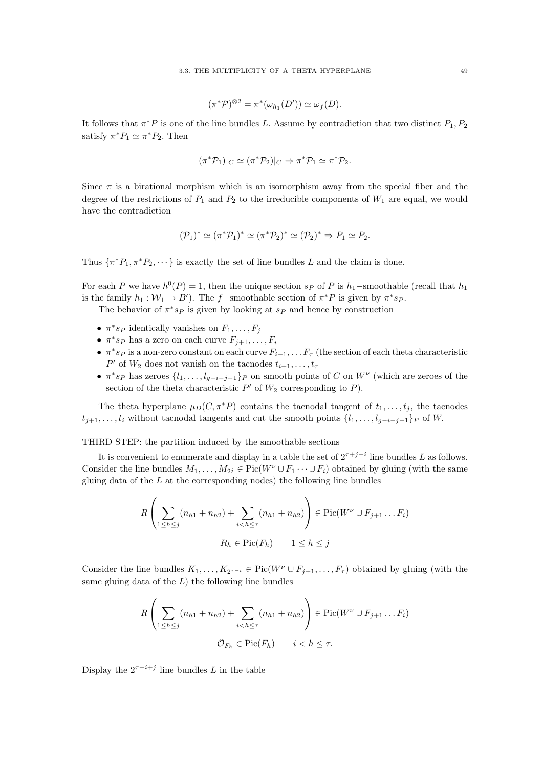$$
(\pi^* \mathcal{P})^{\otimes 2} = \pi^* (\omega_{h_1}(D')) \simeq \omega_f(D).
$$

It follows that  $\pi^* P$  is one of the line bundles L. Assume by contradiction that two distinct  $P_1, P_2$ satisfy  $\pi^* P_1 \simeq \pi^* P_2$ . Then

$$
(\pi^* \mathcal{P}_1)|_C \simeq (\pi^* \mathcal{P}_2)|_C \Rightarrow \pi^* \mathcal{P}_1 \simeq \pi^* \mathcal{P}_2.
$$

Since  $\pi$  is a birational morphism which is an isomorphism away from the special fiber and the degree of the restrictions of  $P_1$  and  $P_2$  to the irreducible components of  $W_1$  are equal, we would have the contradiction

$$
(\mathcal{P}_1)^* \simeq (\pi^* \mathcal{P}_1)^* \simeq (\pi^* \mathcal{P}_2)^* \simeq (\mathcal{P}_2)^* \Rightarrow P_1 \simeq P_2.
$$

Thus  $\{\pi^*P_1, \pi^*P_2, \cdots\}$  is exactly the set of line bundles L and the claim is done.

For each P we have  $h^0(P) = 1$ , then the unique section s<sub>P</sub> of P is  $h_1$ –smoothable (recall that  $h_1$ is the family  $h_1 : \mathcal{W}_1 \to B'$ ). The f-smoothable section of  $\pi^* P$  is given by  $\pi^* s_P$ .

The behavior of  $\pi^* s_P$  is given by looking at  $s_P$  and hence by construction

- $\pi^*s_P$  identically vanishes on  $F_1, \ldots, F_j$
- $\pi^*s_P$  has a zero on each curve  $F_{j+1}, \ldots, F_i$
- $\pi^* s_P$  is a non-zero constant on each curve  $F_{i+1}, \ldots F_{\tau}$  (the section of each theta characteristic  $P'$  of  $W_2$  does not vanish on the tacnodes  $t_{i+1}, \ldots, t_{\tau}$
- $\pi^*s_P$  has zeroes  $\{l_1,\ldots,l_{g-i-j-1}\}$  on smooth points of C on  $W^{\nu}$  (which are zeroes of the section of the theta characteristic  $P'$  of  $W_2$  corresponding to  $P$ ).

The theta hyperplane  $\mu_D(C, \pi^*P)$  contains the tacnodal tangent of  $t_1, \ldots, t_i$ , the tacnodes  $t_{i+1}, \ldots, t_i$  without tacnodal tangents and cut the smooth points  $\{l_1, \ldots, l_{q-i-j-1}\}$  of W.

THIRD STEP: the partition induced by the smoothable sections

It is convenient to enumerate and display in a table the set of  $2^{\tau+j-i}$  line bundles L as follows. Consider the line bundles  $M_1, \ldots, M_{2^j} \in Pic(W^{\nu} \cup F_1 \cdots \cup F_i)$  obtained by gluing (with the same gluing data of the  $L$  at the corresponding nodes) the following line bundles

$$
R\left(\sum_{1\leq h\leq j} (n_{h1} + n_{h2}) + \sum_{i  

$$
R_h \in \text{Pic}(F_h) \qquad 1 \leq h \leq j
$$
$$

Consider the line bundles  $K_1, \ldots, K_{2^{r-i}} \in Pic(W^{\nu} \cup F_{j+1}, \ldots, F_{\tau})$  obtained by gluing (with the same gluing data of the  $L$ ) the following line bundles

$$
R\left(\sum_{1\leq h\leq j} (n_{h1} + n_{h2}) + \sum_{i  

$$
\mathcal{O}_{F_h} \in \text{Pic}(F_h) \qquad i < h \leq \tau.
$$
$$

Display the  $2^{\tau-i+j}$  line bundles L in the table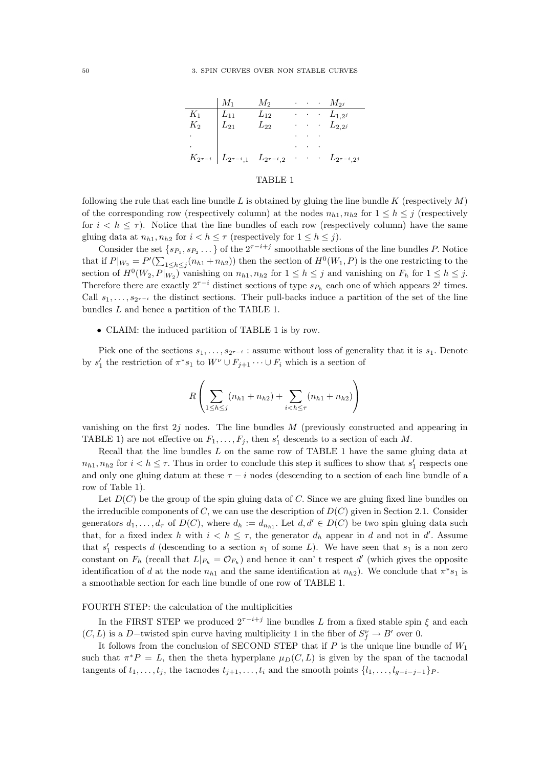|       | $\mid M_1$                                                                                   | $M_2$    |                                                           | $\cdots$ $M_{2^j}$   |
|-------|----------------------------------------------------------------------------------------------|----------|-----------------------------------------------------------|----------------------|
| $K_1$ | $L_{11}$                                                                                     | $L_{12}$ |                                                           | $\cdots$ $L_{1,2^j}$ |
| $K_2$ | $\mid$ $L_{21}$                                                                              | $L_{22}$ |                                                           | $\cdots$ $L_{2,2^j}$ |
|       |                                                                                              |          |                                                           |                      |
|       |                                                                                              |          | $\mathbf{r} = \mathbf{r} + \mathbf{r}$ . The $\mathbf{r}$ |                      |
|       | $K_{2^{\tau-i}}$ $\Big $ $L_{2^{\tau-i},1}$ $L_{2^{\tau-i},2}$ $\cdots$ $L_{2^{\tau-i},2^j}$ |          |                                                           |                      |

#### TABLE 1

following the rule that each line bundle L is obtained by gluing the line bundle K (respectively  $M$ ) of the corresponding row (respectively column) at the nodes  $n_{h1}, n_{h2}$  for  $1 \leq h \leq j$  (respectively for  $i < h \leq \tau$ ). Notice that the line bundles of each row (respectively column) have the same gluing data at  $n_{h1}, n_{h2}$  for  $i < h \leq \tau$  (respectively for  $1 \leq h \leq j$ ).

Consider the set  $\{s_{P_1}, s_{P_2} \dots\}$  of the  $2^{\tau-i+j}$  smoothable sections of the line bundles P. Notice that if  $P|_{W_2} = P'(\sum_{1 \leq h \leq j} (n_{h1} + n_{h2}))$  then the section of  $H^0(W_1, P)$  is the one restricting to the section of  $H^0(W_2, P|_{W_2})$  vanishing on  $n_{h1}, n_{h2}$  for  $1 \leq h \leq j$  and vanishing on  $F_h$  for  $1 \leq h \leq j$ . Therefore there are exactly  $2^{\tau-i}$  distinct sections of type  $s_{P_h}$  each one of which appears  $2^j$  times. Call  $s_1, \ldots, s_{2^{\tau-i}}$  the distinct sections. Their pull-backs induce a partition of the set of the line bundles L and hence a partition of the TABLE 1.

#### • CLAIM: the induced partition of TABLE 1 is by row.

Pick one of the sections  $s_1, \ldots, s_{2^{\tau-i}}$ : assume without loss of generality that it is  $s_1$ . Denote by  $s'_1$  the restriction of  $\pi^* s_1$  to  $W^{\nu} \cup F_{j+1} \cdots \cup F_i$  which is a section of

$$
R\left(\sum_{1 \leq h \leq j} (n_{h1} + n_{h2}) + \sum_{i < h \leq \tau} (n_{h1} + n_{h2})\right)
$$

vanishing on the first  $2j$  nodes. The line bundles M (previously constructed and appearing in TABLE 1) are not effective on  $F_1, \ldots, F_j$ , then  $s'_1$  descends to a section of each M.

Recall that the line bundles L on the same row of TABLE 1 have the same gluing data at  $n_{h1}, n_{h2}$  for  $i < h \leq \tau$ . Thus in order to conclude this step it suffices to show that  $s'_1$  respects one and only one gluing datum at these  $\tau - i$  nodes (descending to a section of each line bundle of a row of Table 1).

Let  $D(C)$  be the group of the spin gluing data of C. Since we are gluing fixed line bundles on the irreducible components of C, we can use the description of  $D(C)$  given in Section 2.1. Consider generators  $d_1, \ldots, d_\tau$  of  $D(C)$ , where  $d_h := d_{n_{h1}}$ . Let  $d, d' \in D(C)$  be two spin gluing data such that, for a fixed index h with  $i < h \leq \tau$ , the generator  $d_h$  appear in d and not in d'. Assume that  $s'_1$  respects d (descending to a section  $s_1$  of some L). We have seen that  $s_1$  is a non zero constant on  $F_h$  (recall that  $L|_{F_h} = \mathcal{O}_{F_h}$ ) and hence it can' t respect d' (which gives the opposite identification of d at the node  $n_{h1}$  and the same identification at  $n_{h2}$ ). We conclude that  $\pi^*s_1$  is a smoothable section for each line bundle of one row of TABLE 1.

#### FOURTH STEP: the calculation of the multiplicities

In the FIRST STEP we produced  $2^{\tau-i+j}$  line bundles L from a fixed stable spin  $\xi$  and each  $(C, L)$  is a D–twisted spin curve having multiplicity 1 in the fiber of  $S_f^{\nu} \to B'$  over 0.

It follows from the conclusion of SECOND STEP that if  $P$  is the unique line bundle of  $W_1$ such that  $\pi^*P = L$ , then the theta hyperplane  $\mu_D(C, L)$  is given by the span of the tacnodal tangents of  $t_1, \ldots, t_j$ , the tacnodes  $t_{j+1}, \ldots, t_i$  and the smooth points  $\{l_1, \ldots, l_{g-i-j-1}\}$ P.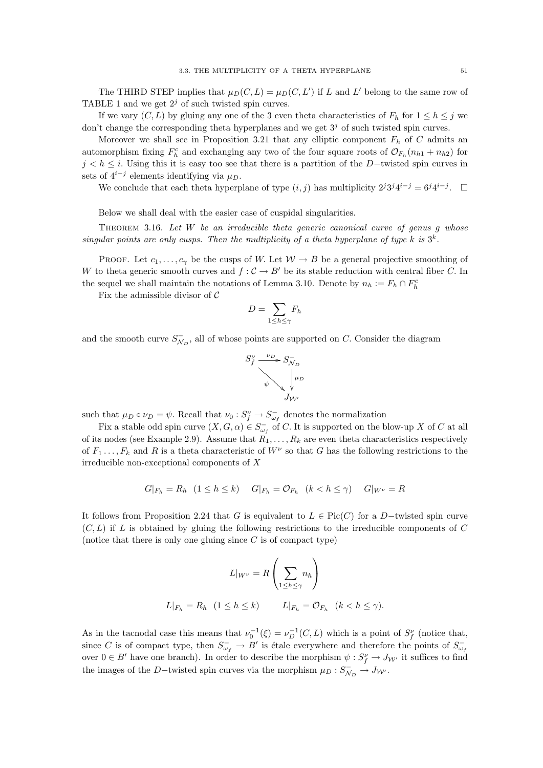The THIRD STEP implies that  $\mu_D(C, L) = \mu_D(C, L')$  if L and L' belong to the same row of TABLE 1 and we get  $2<sup>j</sup>$  of such twisted spin curves.

If we vary  $(C, L)$  by gluing any one of the 3 even theta characteristics of  $F_h$  for  $1 \leq h \leq j$  we don't change the corresponding theta hyperplanes and we get  $3<sup>j</sup>$  of such twisted spin curves.

Moreover we shall see in Proposition 3.21 that any elliptic component  $F_h$  of C admits an automorphism fixing  $F_h^c$  and exchanging any two of the four square roots of  $\mathcal{O}_{F_h}(n_{h1}+n_{h2})$  for  $j < h \leq i$ . Using this it is easy too see that there is a partition of the D-twisted spin curves in sets of  $4^{i-j}$  elements identifying via  $\mu_D$ .

We conclude that each theta hyperplane of type  $(i, j)$  has multiplicity  $2^{j}3^{j}4^{i-j} = 6^{j}4^{i-j}$ .  $\Box$ 

Below we shall deal with the easier case of cuspidal singularities.

THEOREM 3.16. Let  $W$  be an irreducible theta generic canonical curve of genus  $q$  whose singular points are only cusps. Then the multiplicity of a theta hyperplane of type k is  $3^k$ .

PROOF. Let  $c_1, \ldots, c_\gamma$  be the cusps of W. Let  $W \to B$  be a general projective smoothing of W to theta generic smooth curves and  $f: \mathcal{C} \to B'$  be its stable reduction with central fiber C. In the sequel we shall maintain the notations of Lemma 3.10. Denote by  $n_h := F_h \cap F_h^c$ 

Fix the admissible divisor of  $\mathcal C$ 

$$
D = \sum_{1 \le h \le \gamma} F_h
$$

and the smooth curve  $S_{\mathcal{N}_D}^-$ , all of whose points are supported on C. Consider the diagram



such that  $\mu_D \circ \nu_D = \psi$ . Recall that  $\nu_0: S_f^{\nu} \to S_{\omega_f}^-$  denotes the normalization

Fix a stable odd spin curve  $(X, G, \alpha) \in S_{\omega_f}^-$  of C. It is supported on the blow-up X of C at all of its nodes (see Example 2.9). Assume that  $R_1, \ldots, R_k$  are even theta characteristics respectively of  $F_1 \ldots, F_k$  and R is a theta characteristic of  $W^{\nu}$  so that G has the following restrictions to the irreducible non-exceptional components of X

$$
G|_{F_h} = R_h \quad (1 \le h \le k) \qquad G|_{F_h} = \mathcal{O}_{F_h} \quad (k < h \le \gamma) \qquad G|_{W^\nu} = R
$$

It follows from Proposition 2.24 that G is equivalent to  $L \in Pic(C)$  for a D–twisted spin curve  $(C, L)$  if L is obtained by gluing the following restrictions to the irreducible components of C (notice that there is only one gluing since  $C$  is of compact type)

$$
L|_{W^{\nu}} = R\left(\sum_{1 \leq h \leq \gamma} n_h\right)
$$
  

$$
L|_{F_h} = R_h \quad (1 \leq h \leq k) \qquad L|_{F_h} = \mathcal{O}_{F_h} \quad (k < h \leq \gamma).
$$

As in the tacnodal case this means that  $\nu_0^{-1}(\xi) = \nu_D^{-1}(C, L)$  which is a point of  $S_f^{\nu}$  (notice that, since C is of compact type, then  $S_{\omega_f}^- \to B'$  is étale everywhere and therefore the points of  $S_{\omega_f}^$ over  $0 \in B'$  have one branch). In order to describe the morphism  $\psi : S_f^{\nu} \to J_{\mathcal{W}'}$  it suffices to find the images of the D-twisted spin curves via the morphism  $\mu_D : S_{\mathcal{N}_D}^- \to J_{\mathcal{W}'}$ .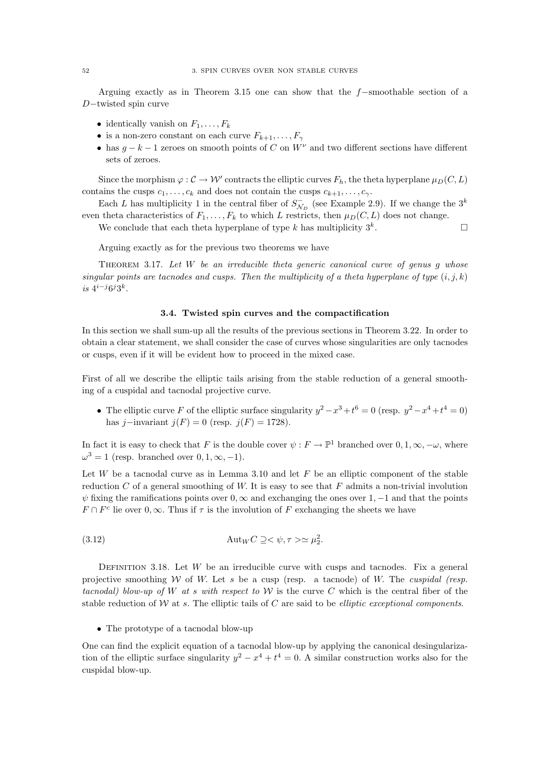Arguing exactly as in Theorem 3.15 one can show that the f−smoothable section of a D−twisted spin curve

- identically vanish on  $F_1, \ldots, F_k$
- is a non-zero constant on each curve  $F_{k+1}, \ldots, F_{\gamma}$
- has  $g k 1$  zeroes on smooth points of C on  $W^{\nu}$  and two different sections have different sets of zeroes.

Since the morphism  $\varphi : \mathcal{C} \to \mathcal{W}'$  contracts the elliptic curves  $F_h$ , the theta hyperplane  $\mu_D(C, L)$ contains the cusps  $c_1, \ldots, c_k$  and does not contain the cusps  $c_{k+1}, \ldots, c_{\gamma}$ .

Each L has multiplicity 1 in the central fiber of  $S_{N_D}^-$  (see Example 2.9). If we change the  $3^k$ even theta characteristics of  $F_1, \ldots, F_k$  to which L restricts, then  $\mu_D(C, L)$  does not change.

We conclude that each theta hyperplane of type k has multiplicity  $3^k$ . .

Arguing exactly as for the previous two theorems we have

THEOREM 3.17. Let  $W$  be an irreducible theta generic canonical curve of genus q whose singular points are tacnodes and cusps. Then the multiplicity of a theta hyperplane of type  $(i, j, k)$  $i s \; 4^{i-j} 6^j 3^k.$ 

#### 3.4. Twisted spin curves and the compactification

In this section we shall sum-up all the results of the previous sections in Theorem 3.22. In order to obtain a clear statement, we shall consider the case of curves whose singularities are only tacnodes or cusps, even if it will be evident how to proceed in the mixed case.

First of all we describe the elliptic tails arising from the stable reduction of a general smoothing of a cuspidal and tacnodal projective curve.

• The elliptic curve F of the elliptic surface singularity  $y^2 - x^3 + t^6 = 0$  (resp.  $y^2 - x^4 + t^4 = 0$ ) has j−invariant  $j(F) = 0$  (resp.  $j(F) = 1728$ ).

In fact it is easy to check that F is the double cover  $\psi : F \to \mathbb{P}^1$  branched over  $0, 1, \infty, -\omega$ , where  $\omega^3 = 1$  (resp. branched over  $0, 1, \infty, -1$ ).

Let W be a tacnodal curve as in Lemma 3.10 and let  $F$  be an elliptic component of the stable reduction C of a general smoothing of W. It is easy to see that  $F$  admits a non-trivial involution  $\psi$  fixing the ramifications points over  $0, \infty$  and exchanging the ones over 1, -1 and that the points  $F \cap F^c$  lie over  $0, \infty$ . Thus if  $\tau$  is the involution of F exchanging the sheets we have

(3.12) 
$$
\operatorname{Aut}_W C \supseteq \langle \psi, \tau \rangle \simeq \mu_2^2.
$$

DEFINITION 3.18. Let  $W$  be an irreducible curve with cusps and tacnodes. Fix a general projective smoothing W of W. Let s be a cusp (resp. a tacnode) of W. The cuspidal (resp. tacnodal) blow-up of W at s with respect to W is the curve C which is the central fiber of the stable reduction of  $W$  at s. The elliptic tails of  $C$  are said to be *elliptic exceptional components*.

• The prototype of a tacnodal blow-up

One can find the explicit equation of a tacnodal blow-up by applying the canonical desingularization of the elliptic surface singularity  $y^2 - x^4 + t^4 = 0$ . A similar construction works also for the cuspidal blow-up.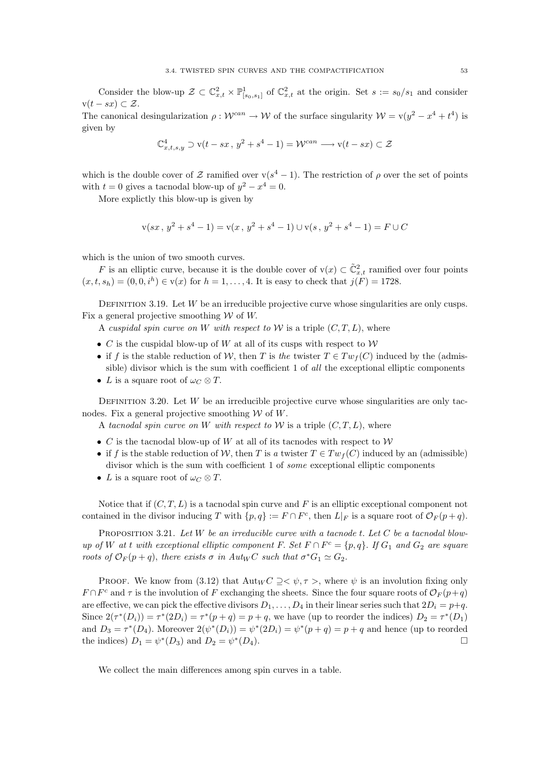Consider the blow-up  $\mathcal{Z} \subset \mathbb{C}^2_{x,t} \times \mathbb{P}^1_{[s_0,s_1]}$  of  $\mathbb{C}^2_{x,t}$  at the origin. Set  $s := s_0/s_1$  and consider  $v(t - sx) \subset \mathcal{Z}$ .

The canonical desingularization  $\rho: \mathcal{W}^{can} \to \mathcal{W}$  of the surface singularity  $\mathcal{W} = \mathbf{v}(y^2 - x^4 + t^4)$  is given by

$$
\mathbb{C}^4_{x,t,s,y}\supset \mathbf{v}(t-sx\,,\,y^2+s^4-1)=\mathcal{W}^{can}\longrightarrow \mathbf{v}(t-sx)\subset \mathcal{Z}
$$

which is the double cover of Z ramified over  $v(s^4 - 1)$ . The restriction of  $\rho$  over the set of points with  $t = 0$  gives a tacnodal blow-up of  $y^2 - x^4 = 0$ .

More explictly this blow-up is given by

$$
v(sx, y^{2} + s^{4} - 1) = v(x, y^{2} + s^{4} - 1) \cup v(s, y^{2} + s^{4} - 1) = F \cup C
$$

which is the union of two smooth curves.

F is an elliptic curve, because it is the double cover of  $v(x) \subset \tilde{C}_{x,t}^2$  ramified over four points  $(x, t, s_h) = (0, 0, i^h) \in v(x)$  for  $h = 1, ..., 4$ . It is easy to check that  $j(F) = 1728$ .

DEFINITION 3.19. Let  $W$  be an irreducible projective curve whose singularities are only cusps. Fix a general projective smoothing  $W$  of  $W$ .

A cuspidal spin curve on W with respect to W is a triple  $(C, T, L)$ , where

- C is the cuspidal blow-up of W at all of its cusps with respect to  $W$
- if f is the stable reduction of W, then T is the twister  $T \in Tw_f(C)$  induced by the (admissible) divisor which is the sum with coefficient 1 of all the exceptional elliptic components
- L is a square root of  $\omega_C \otimes T$ .

DEFINITION 3.20. Let  $W$  be an irreducible projective curve whose singularities are only tacnodes. Fix a general projective smoothing  $W$  of  $W$ .

A tacnodal spin curve on W with respect to W is a triple  $(C, T, L)$ , where

- C is the tacnodal blow-up of W at all of its tacnodes with respect to  $W$
- if f is the stable reduction of W, then T is a twister  $T \in Tw_f(C)$  induced by an (admissible) divisor which is the sum with coefficient 1 of some exceptional elliptic components
- L is a square root of  $\omega_C \otimes T$ .

Notice that if  $(C, T, L)$  is a tacnodal spin curve and F is an elliptic exceptional component not contained in the divisor inducing T with  $\{p,q\} := F \cap F^c$ , then  $L|_F$  is a square root of  $\mathcal{O}_F(p+q)$ .

PROPOSITION 3.21. Let W be an irreducible curve with a tacnode t. Let C be a tacnodal blowup of W at t with exceptional elliptic component F. Set  $F \cap F^c = \{p, q\}$ . If  $G_1$  and  $G_2$  are square roots of  $\mathcal{O}_F(p+q)$ , there exists  $\sigma$  in Aut<sub>W</sub>C such that  $\sigma^* G_1 \simeq G_2$ .

PROOF. We know from (3.12) that  $\text{Aut}_W C \supseteq \psi, \tau >$ , where  $\psi$  is an involution fixing only  $F \cap F^c$  and  $\tau$  is the involution of F exchanging the sheets. Since the four square roots of  $\mathcal{O}_F(p+q)$ are effective, we can pick the effective divisors  $D_1, \ldots, D_4$  in their linear series such that  $2D_i = p+q$ . Since  $2(\tau^*(D_i)) = \tau^*(2D_i) = \tau^*(p+q) = p+q$ , we have (up to reorder the indices)  $D_2 = \tau^*(D_1)$ and  $D_3 = \tau^*(D_4)$ . Moreover  $2(\psi^*(D_i)) = \psi^*(2D_i) = \psi^*(p+q) = p+q$  and hence (up to reorded the indices)  $D_1 = \psi^*(D_3)$  and  $D_2 = \psi^*$  $(D_4).$ 

We collect the main differences among spin curves in a table.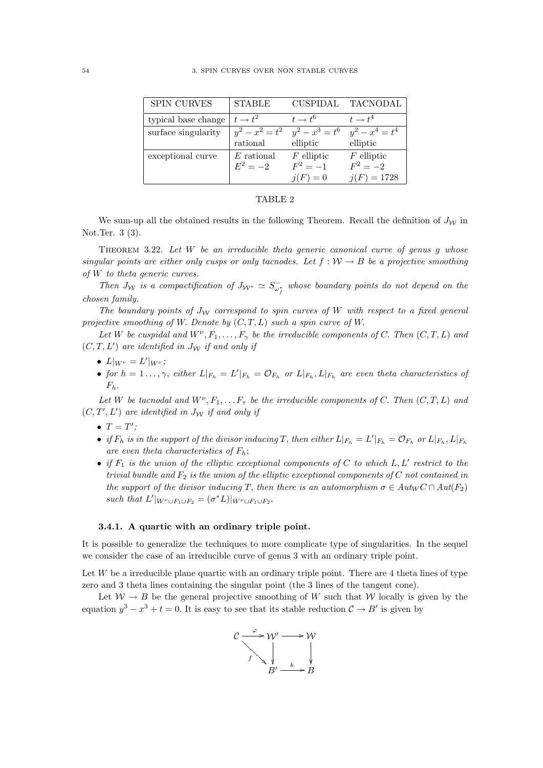| <b>SPIN CURVES</b>  | <b>STABLE</b>       | <b>CUSPIDAL</b>     | TACNODAL            |
|---------------------|---------------------|---------------------|---------------------|
| typical base change | $t \rightarrow t^2$ | $t \rightarrow t^6$ | $t \rightarrow t^4$ |
| surface singularity | $y^2 - x^2 = t^2$   | $y^2 - x^3 = t^6$   | $y^2 - x^4 = t^4$   |
|                     | rational            | elliptic            | elliptic            |
| exceptional curve   | $E$ rational        | $F$ elliptic        | $F$ elliptic        |
|                     | $E^2 = -2$          | $F^2 = -1$          | $F^2 = -2$          |
|                     |                     | $i(F) = 0$          | $j(F) = 1728$       |

#### TABLE 2

We sum-up all the obtained results in the following Theorem. Recall the definition of  $J_{\mathcal{W}}$  in Not.Ter. 3 (3).

THEOREM 3.22. Let  $W$  be an irreducible theta generic canonical curve of genus  $g$  whose singular points are either only cusps or only tacnodes. Let  $f: W \to B$  be a projective smoothing of W to theta generic curves.

Then  $J_W$  is a compactification of  $J_{W^*} \simeq S_{\omega_f^*}^-$  whose boundary points do not depend on the chosen family.

The boundary points of  $J_W$  correspond to spin curves of W with respect to a fixed general projective smoothing of W. Denote by  $(C, T, L)$  such a spin curve of W.

Let W be cuspidal and  $W^{\nu}, F_1, \ldots, F_{\gamma}$  be the irreducible components of C. Then  $(C, T, L)$  and  $(C, T, L')$  are identified in  $J_{\mathcal{W}}$  if and only if

- $L|_{W^{\nu}} = L'|_{W^{\nu}};$
- for  $h = 1 \ldots, \gamma$ , either  $L|_{F_h} = L'|_{F_h} = \mathcal{O}_{F_h}$  or  $L|_{F_h}$ ,  $L|_{F_h}$  are even theta characteristics of  $F_h$ .

Let W be tacnodal and  $W^{\nu}, F_1, \ldots F_{\tau}$  be the irreducible components of C. Then  $(C, T, L)$  and  $(C, T', L')$  are identified in  $J_{\mathcal{W}}$  if and only if

- $T = T'$ ;
- if  $F_h$  is in the support of the divisor inducing T, then either  $L|_{F_h} = L'|_{F_h} = \mathcal{O}_{F_h}$  or  $L|_{F_h}$ ,  $L|_{F_h}$ are even theta characteristics of  $F_h$ ;
- if  $F_1$  is the union of the elliptic exceptional components of C to which  $L, L'$  restrict to the trivial bundle and  $F_2$  is the union of the elliptic exceptional components of C not contained in the support of the divisor inducing T, then there is an automorphism  $\sigma \in Aut_{W} C \cap Aut(F_2)$ such that  $L'|_{W^{\nu} \cup F_1 \cup F_2} = (\sigma^* L)|_{W^{\nu} \cup F_1 \cup F_2}$ .

#### 3.4.1. A quartic with an ordinary triple point.

It is possible to generalize the techniques to more complicate type of singularities. In the sequel we consider the case of an irreducible curve of genus 3 with an ordinary triple point.

Let  $W$  be a irreducible plane quartic with an ordinary triple point. There are 4 theta lines of type zero and 3 theta lines containing the singular point (the 3 lines of the tangent cone).

Let  $W \to B$  be the general projective smoothing of W such that W locally is given by the equation  $y^3 - x^3 + t = 0$ . It is easy to see that its stable reduction  $C \rightarrow B'$  is given by

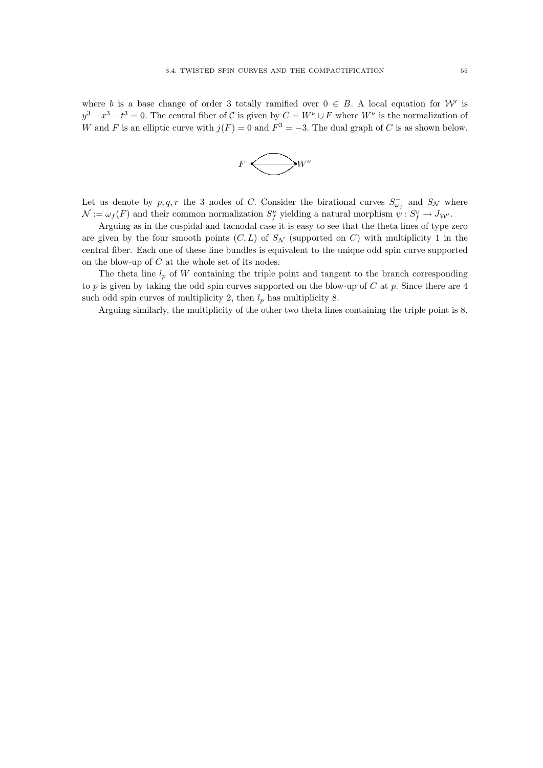where b is a base change of order 3 totally ramified over  $0 \in B$ . A local equation for W' is  $y^3 - x^3 - t^3 = 0$ . The central fiber of C is given by  $C = W^{\nu} \cup F$  where  $W^{\nu}$  is the normalization of W and F is an elliptic curve with  $j(F) = 0$  and  $F^3 = -3$ . The dual graph of C is as shown below.



Let us denote by  $p, q, r$  the 3 nodes of C. Consider the birational curves  $S_{\omega_f}^-$  and  $S_{\mathcal{N}}$  where  $\mathcal{N} := \omega_f(F)$  and their common normalization  $S_f^{\nu}$  yielding a natural morphism  $\dot{\psi}: S_f^{\nu} \to J_{\mathcal{W}'}$ .

Arguing as in the cuspidal and tacnodal case it is easy to see that the theta lines of type zero are given by the four smooth points  $(C, L)$  of  $S_N$  (supported on C) with multiplicity 1 in the central fiber. Each one of these line bundles is equivalent to the unique odd spin curve supported on the blow-up of  $C$  at the whole set of its nodes.

The theta line  $l_p$  of W containing the triple point and tangent to the branch corresponding to p is given by taking the odd spin curves supported on the blow-up of  $C$  at p. Since there are 4 such odd spin curves of multiplicity 2, then  $l_p$  has multiplicity 8.

Arguing similarly, the multiplicity of the other two theta lines containing the triple point is 8.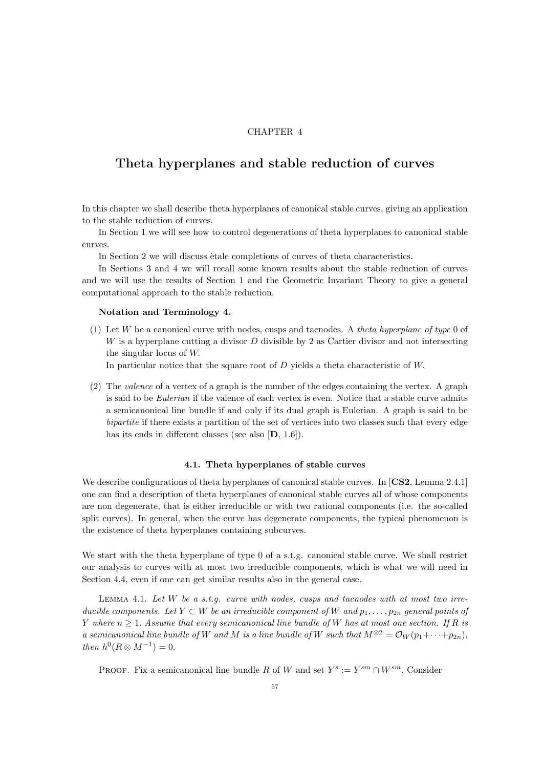## CHAPTER 4

# Theta hyperplanes and stable reduction of curves

In this chapter we shall describe theta hyperplanes of canonical stable curves, giving an application to the stable reduction of curves.

In Section 1 we will see how to control degenerations of theta hyperplanes to canonical stable curves.

In Section 2 we will discuss etale completions of curves of theta characteristics.

In Sections 3 and 4 we will recall some known results about the stable reduction of curves and we will use the results of Section 1 and the Geometric Invariant Theory to give a general computational approach to the stable reduction.

#### Notation and Terminology 4.

(1) Let  $W$  be a canonical curve with nodes, cusps and tacnodes. A theta hyperplane of type 0 of  $W$  is a hyperplane cutting a divisor  $D$  divisible by 2 as Cartier divisor and not intersecting the singular locus of W.

In particular notice that the square root of D yields a theta characteristic of W.

(2) The valence of a vertex of a graph is the number of the edges containing the vertex. A graph is said to be *Eulerian* if the valence of each vertex is even. Notice that a stable curve admits a semicanonical line bundle if and only if its dual graph is Eulerian. A graph is said to be bipartite if there exists a partition of the set of vertices into two classes such that every edge has its ends in different classes (see also  $[D, 1.6]$ ).

### 4.1. Theta hyperplanes of stable curves

We describe configurations of theta hyperplanes of canonical stable curves. In [CS2, Lemma 2.4.1] one can find a description of theta hyperplanes of canonical stable curves all of whose components are non degenerate, that is either irreducible or with two rational components (i.e. the so-called split curves). In general, when the curve has degenerate components, the typical phenomenon is the existence of theta hyperplanes containing subcurves.

We start with the theta hyperplane of type 0 of a s.t.g. canonical stable curve. We shall restrict our analysis to curves with at most two irreducible components, which is what we will need in Section 4.4, even if one can get similar results also in the general case.

LEMMA 4.1. Let  $W$  be a s.t.g. curve with nodes, cusps and tacnodes with at most two irreducible components. Let  $Y \subset W$  be an irreducible component of W and  $p_1, \ldots, p_{2n}$  general points of Y where  $n \geq 1$ . Assume that every semicanonical line bundle of W has at most one section. If R is a semicanonical line bundle of W and M is a line bundle of W such that  $M^{\otimes 2} = \mathcal{O}_W(p_1 + \cdots + p_{2n}),$ then  $h^0(R \otimes M^{-1}) = 0$ .

PROOF. Fix a semicanonical line bundle R of W and set  $Y^s := Y^{sm} \cap W^{sm}$ . Consider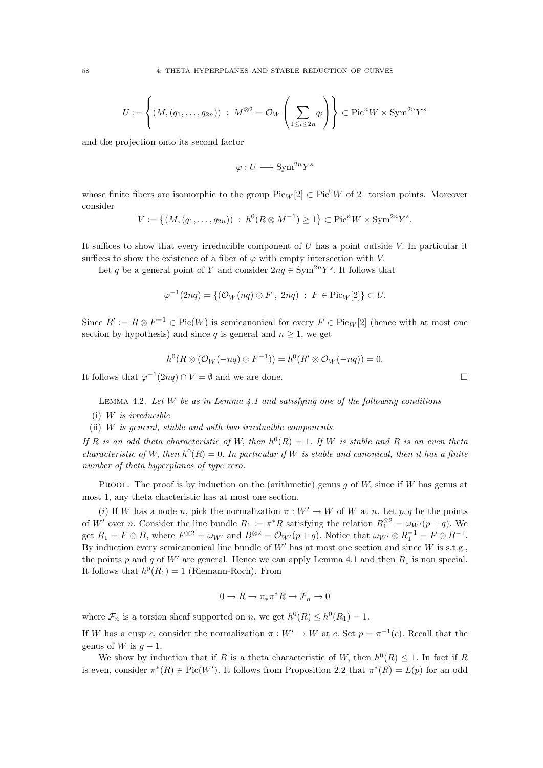$$
U := \left\{ (M, (q_1, \ldots, q_{2n})) \; : \; M^{\otimes 2} = \mathcal{O}_W \left( \sum_{1 \le i \le 2n} q_i \right) \right\} \subset \text{Pic}^n W \times \text{Sym}^{2n} Y^s
$$

and the projection onto its second factor

$$
\varphi: U \longrightarrow \text{Sym}^{2n}Y^s
$$

whose finite fibers are isomorphic to the group Pic<sub>W</sub> [2] ⊂ Pic<sup>0</sup>W of 2–torsion points. Moreover consider

$$
V := \{(M, (q_1, \ldots, q_{2n})) : h^0(R \otimes M^{-1}) \ge 1\} \subset \text{Pic}^n W \times \text{Sym}^{2n} Y^s.
$$

It suffices to show that every irreducible component of  $U$  has a point outside  $V$ . In particular it suffices to show the existence of a fiber of  $\varphi$  with empty intersection with V.

Let q be a general point of Y and consider  $2nq \in \text{Sym}^{2n}Y^s$ . It follows that

$$
\varphi^{-1}(2nq) = \{ (\mathcal{O}_W(nq) \otimes F, 2nq) : F \in \text{Pic}_W[2] \} \subset U.
$$

Since  $R' := R \otimes F^{-1} \in Pic(W)$  is semicanonical for every  $F \in Pic_W[2]$  (hence with at most one section by hypothesis) and since q is general and  $n \geq 1$ , we get

$$
h^{0}(R \otimes (\mathcal{O}_{W}(-nq) \otimes F^{-1})) = h^{0}(R' \otimes \mathcal{O}_{W}(-nq)) = 0.
$$

It follows that  $\varphi^{-1}(2nq) \cap V = \emptyset$  and we are done.

LEMMA 4.2. Let  $W$  be as in Lemma 4.1 and satisfying one of the following conditions

- (i) W is irreducible
- (ii) W is general, stable and with two irreducible components.

If R is an odd theta characteristic of W, then  $h^0(R) = 1$ . If W is stable and R is an even theta characteristic of W, then  $h^0(R) = 0$ . In particular if W is stable and canonical, then it has a finite number of theta hyperplanes of type zero.

PROOF. The proof is by induction on the (arithmetic) genus q of W, since if W has genus at most 1, any theta chacteristic has at most one section.

(i) If W has a node n, pick the normalization  $\pi : W' \to W$  of W at n. Let p, q be the points of W' over n. Consider the line bundle  $R_1 := \pi^* R$  satisfying the relation  $R_1^{\otimes 2} = \omega_{W'}(p+q)$ . We get  $R_1 = F \otimes B$ , where  $F^{\otimes 2} = \omega_{W'}$  and  $B^{\otimes 2} = \mathcal{O}_{W'}(p+q)$ . Notice that  $\omega_{W'} \otimes R_1^{-1} = F \otimes B^{-1}$ . By induction every semicanonical line bundle of  $W'$  has at most one section and since  $W$  is s.t.g., the points p and q of  $W'$  are general. Hence we can apply Lemma 4.1 and then  $R_1$  is non special. It follows that  $h^0(R_1) = 1$  (Riemann-Roch). From

$$
0 \to R \to \pi_* \pi^* R \to \mathcal{F}_n \to 0
$$

where  $\mathcal{F}_n$  is a torsion sheaf supported on n, we get  $h^0(R) \leq h^0(R_1) = 1$ .

If W has a cusp c, consider the normalization  $\pi : W' \to W$  at c. Set  $p = \pi^{-1}(c)$ . Recall that the genus of W is  $q-1$ .

We show by induction that if R is a theta characteristic of W, then  $h^0(R) \leq 1$ . In fact if R is even, consider  $\pi^*(R) \in Pic(W')$ . It follows from Proposition 2.2 that  $\pi^*(R) = L(p)$  for an odd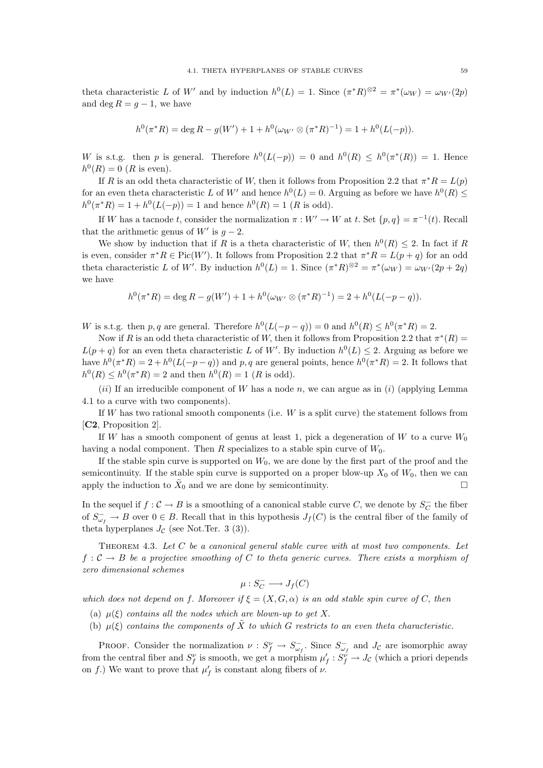theta characteristic L of W' and by induction  $h^0(L) = 1$ . Since  $(\pi^*R)^{\otimes 2} = \pi^*(\omega_W) = \omega_{W'}(2p)$ and deg  $R = q - 1$ , we have

$$
h^{0}(\pi^{*}R) = \deg R - g(W') + 1 + h^{0}(\omega_{W'} \otimes (\pi^{*}R)^{-1}) = 1 + h^{0}(L(-p)).
$$

W is s.t.g. then p is general. Therefore  $h^0(L(-p)) = 0$  and  $h^0(R) \leq h^0(\pi^*(R)) = 1$ . Hence  $h^0(R) = 0$  (R is even).

If R is an odd theta characteristic of W, then it follows from Proposition 2.2 that  $\pi^*R = L(p)$ for an even theta characteristic L of W' and hence  $h^0(L) = 0$ . Arguing as before we have  $h^0(R) \leq$  $h^0(\pi^*R) = 1 + h^0(L(-p)) = 1$  and hence  $h^0(R) = 1$  (R is odd).

If W has a tacnode t, consider the normalization  $\pi : W' \to W$  at t. Set  $\{p, q\} = \pi^{-1}(t)$ . Recall that the arithmetic genus of  $W'$  is  $g - 2$ .

We show by induction that if R is a theta characteristic of W, then  $h^0(R) \leq 2$ . In fact if R is even, consider  $\pi^*R \in Pic(W')$ . It follows from Proposition 2.2 that  $\pi^*R = L(p+q)$  for an odd theta characteristic L of W'. By induction  $h^0(L) = 1$ . Since  $(\pi^* R)^{\otimes 2} = \pi^* (\omega_W) = \omega_{W'}(2p + 2q)$ we have

$$
h^{0}(\pi^{*}R) = \deg R - g(W') + 1 + h^{0}(\omega_{W'} \otimes (\pi^{*}R)^{-1}) = 2 + h^{0}(L(-p - q)).
$$

W is s.t.g. then p, q are general. Therefore  $h^0(L(-p-q)) = 0$  and  $h^0(R) \leq h^0(\pi^*R) = 2$ .

Now if R is an odd theta characteristic of W, then it follows from Proposition 2.2 that  $\pi^*(R)$  $L(p+q)$  for an even theta characteristic L of W'. By induction  $h^0(L) \leq 2$ . Arguing as before we have  $h^0(\pi^*R) = 2 + h^0(L(-p-q))$  and p, q are general points, hence  $h^0(\pi^*R) = 2$ . It follows that  $h^0(R) \leq h^0(\pi^*R) = 2$  and then  $h^0(R) = 1$  (R is odd).

(ii) If an irreducible component of W has a node n, we can argue as in (i) (applying Lemma 4.1 to a curve with two components).

If  $W$  has two rational smooth components (i.e.  $W$  is a split curve) the statement follows from [C2, Proposition 2].

If W has a smooth component of genus at least 1, pick a degeneration of W to a curve  $W_0$ having a nodal component. Then R specializes to a stable spin curve of  $W_0$ .

If the stable spin curve is supported on  $W_0$ , we are done by the first part of the proof and the semicontinuity. If the stable spin curve is supported on a proper blow-up  $X_0$  of  $W_0$ , then we can apply the induction to  $\tilde{X}_0$  and we are done by semicontinuity.

In the sequel if  $f: \mathcal{C} \to B$  is a smoothing of a canonical stable curve C, we denote by  $S_C^ C_C^+$  the fiber of  $S_{\omega_f}^- \to B$  over  $0 \in B$ . Recall that in this hypothesis  $J_f(C)$  is the central fiber of the family of theta hyperplanes  $J_{\mathcal{C}}$  (see Not.Ter. 3 (3)).

THEOREM 4.3. Let  $C$  be a canonical general stable curve with at most two components. Let  $f: \mathcal{C} \to B$  be a projective smoothing of C to theta generic curves. There exists a morphism of zero dimensional schemes

$$
\mu: S_C^- \longrightarrow J_f(C)
$$

which does not depend on f. Moreover if  $\xi = (X, G, \alpha)$  is an odd stable spin curve of C, then

- (a)  $\mu(\xi)$  contains all the nodes which are blown-up to get X.
- (b)  $\mu(\xi)$  contains the components of  $\tilde{X}$  to which G restricts to an even theta characteristic.

PROOF. Consider the normalization  $\nu : S_f^{\nu} \to S_{\omega_f}^-$ . Since  $S_{\omega_f}^-$  and  $J_c$  are isomorphic away from the central fiber and  $S_f^{\nu}$  is smooth, we get a morphism  $\mu'_f : S_f^{\nu} \to J_c$  (which a priori depends on f.) We want to prove that  $\mu'_f$  is constant along fibers of  $\nu$ .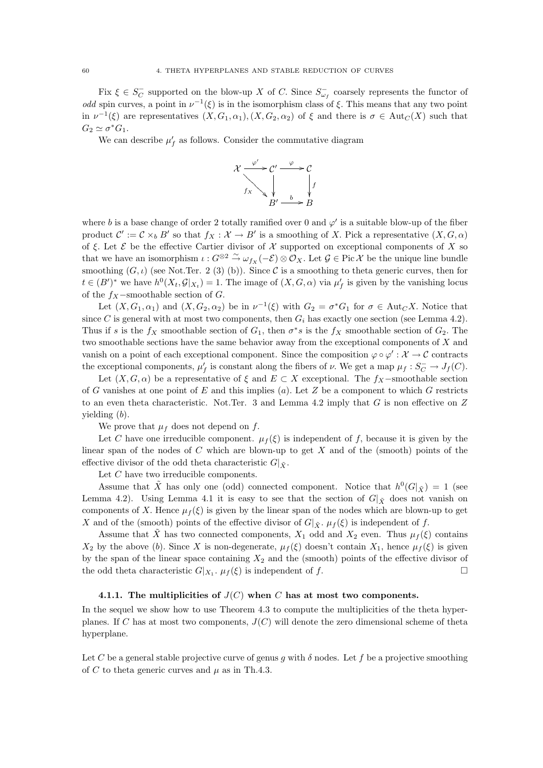Fix  $\xi \in S_C^ \overline{C}$  supported on the blow-up X of C. Since  $S_{\omega_f}^-$  coarsely represents the functor of odd spin curves, a point in  $\nu^{-1}(\xi)$  is in the isomorphism class of  $\xi$ . This means that any two point in  $\nu^{-1}(\xi)$  are representatives  $(X, G_1, \alpha_1), (X, G_2, \alpha_2)$  of  $\xi$  and there is  $\sigma \in Aut_C(X)$  such that  $G_2 \simeq \sigma^* G_1.$ 

We can describe  $\mu'_f$  as follows. Consider the commutative diagram



where b is a base change of order 2 totally ramified over 0 and  $\varphi'$  is a suitable blow-up of the fiber product  $\mathcal{C}' := \mathcal{C} \times_b B'$  so that  $f_X : \mathcal{X} \to B'$  is a smoothing of X. Pick a representative  $(X, G, \alpha)$ of  $\xi$ . Let  $\mathcal E$  be the effective Cartier divisor of  $\mathcal X$  supported on exceptional components of X so that we have an isomorphism  $\iota : G^{\otimes 2} \stackrel{\sim}{\to} \omega_{f_X}(-\mathcal{E}) \otimes \mathcal{O}_X$ . Let  $\mathcal{G} \in \text{Pic } \mathcal{X}$  be the unique line bundle smoothing  $(G, \iota)$  (see Not.Ter. 2 (3) (b)). Since C is a smoothing to theta generic curves, then for  $t \in (B')^*$  we have  $h^0(X_t, \mathcal{G}|_{X_t}) = 1$ . The image of  $(X, G, \alpha)$  via  $\mu'_f$  is given by the vanishing locus of the  $f_X$ -smoothable section of  $G$ .

Let  $(X, G_1, \alpha_1)$  and  $(X, G_2, \alpha_2)$  be in  $\nu^{-1}(\xi)$  with  $G_2 = \sigma^* G_1$  for  $\sigma \in \text{Aut}_{\mathbb{C}}X$ . Notice that since C is general with at most two components, then  $G_i$  has exactly one section (see Lemma 4.2). Thus if s is the  $f_X$  smoothable section of  $G_1$ , then  $\sigma^*s$  is the  $f_X$  smoothable section of  $G_2$ . The two smoothable sections have the same behavior away from the exceptional components of X and vanish on a point of each exceptional component. Since the composition  $\varphi \circ \varphi' : \mathcal{X} \to \mathcal{C}$  contracts the exceptional components,  $\mu'_f$  is constant along the fibers of  $\nu$ . We get a map  $\mu_f : S_C^- \to J_f(C)$ .

Let  $(X, G, \alpha)$  be a representative of  $\xi$  and  $E \subset X$  exceptional. The  $f_X$ -smoothable section of G vanishes at one point of E and this implies (a). Let Z be a component to which G restricts to an even theta characteristic. Not.Ter. 3 and Lemma 4.2 imply that  $G$  is non effective on  $Z$ yielding (b).

We prove that  $\mu_f$  does not depend on f.

Let C have one irreducible component.  $\mu_f(\xi)$  is independent of f, because it is given by the linear span of the nodes of  $C$  which are blown-up to get  $X$  and of the (smooth) points of the effective divisor of the odd theta characteristic  $G|\tilde{\mathbf{x}}$ .

Let C have two irreducible components.

Assume that  $\tilde{X}$  has only one (odd) connected component. Notice that  $h^0(G|_{\tilde{X}}) = 1$  (see Lemma 4.2). Using Lemma 4.1 it is easy to see that the section of  $G|_{\tilde{Y}}$  does not vanish on components of X. Hence  $\mu_f(\xi)$  is given by the linear span of the nodes which are blown-up to get X and of the (smooth) points of the effective divisor of  $G|_{\tilde{X}}$ .  $\mu_f(\xi)$  is independent of f.

Assume that X has two connected components,  $X_1$  odd and  $X_2$  even. Thus  $\mu_f(\xi)$  contains  $X_2$  by the above (b). Since X is non-degenerate,  $\mu_f(\xi)$  doesn't contain  $X_1$ , hence  $\mu_f(\xi)$  is given by the span of the linear space containing  $X_2$  and the (smooth) points of the effective divisor of the odd theta characteristic  $G|_{X_1}$ .  $\mu_f(\xi)$  is independent of f.

#### 4.1.1. The multiplicities of  $J(C)$  when C has at most two components.

In the sequel we show how to use Theorem 4.3 to compute the multiplicities of the theta hyperplanes. If C has at most two components,  $J(C)$  will denote the zero dimensional scheme of theta hyperplane.

Let C be a general stable projective curve of genus q with  $\delta$  nodes. Let f be a projective smoothing of C to theta generic curves and  $\mu$  as in Th.4.3.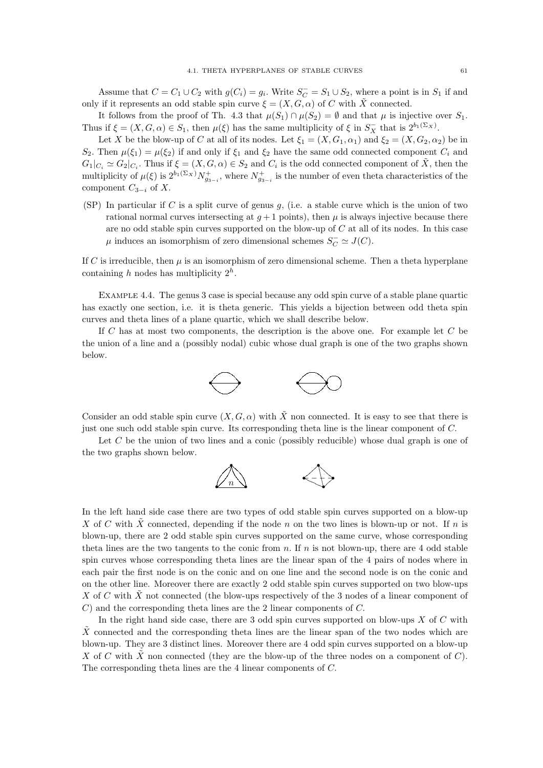Assume that  $C = C_1 \cup C_2$  with  $g(C_i) = g_i$ . Write  $S_C^- = S_1 \cup S_2$ , where a point is in  $S_1$  if and only if it represents an odd stable spin curve  $\xi = (X, G, \alpha)$  of C with X connected.

It follows from the proof of Th. 4.3 that  $\mu(S_1) \cap \mu(S_2) = \emptyset$  and that  $\mu$  is injective over  $S_1$ . Thus if  $\xi = (X, G, \alpha) \in S_1$ , then  $\mu(\xi)$  has the same multiplicity of  $\xi$  in  $S_X^-$  that is  $2^{b_1(\Sigma_X)}$ .

Let X be the blow-up of C at all of its nodes. Let  $\xi_1 = (X, G_1, \alpha_1)$  and  $\xi_2 = (X, G_2, \alpha_2)$  be in  $S_2$ . Then  $\mu(\xi_1) = \mu(\xi_2)$  if and only if  $\xi_1$  and  $\xi_2$  have the same odd connected component  $C_i$  and  $G_1|_{C_i} \simeq G_2|_{C_i}$ . Thus if  $\xi = (X, G, \alpha) \in S_2$  and  $C_i$  is the odd connected component of  $\tilde{X}$ , then the multiplicity of  $\mu(\xi)$  is  $2^{b_1(\Sigma_X)} N_{g_{3-i}}^+$ , where  $N_{g_{3-i}}^+$  is the number of even theta characteristics of the component  $C_{3-i}$  of X.

(SP) In particular if C is a split curve of genus  $g$ , (i.e. a stable curve which is the union of two rational normal curves intersecting at  $q+1$  points), then  $\mu$  is always injective because there are no odd stable spin curves supported on the blow-up of  $C$  at all of its nodes. In this case  $\mu$  induces an isomorphism of zero dimensional schemes  $S_C^- \simeq J(C)$ .

If C is irreducible, then  $\mu$  is an isomorphism of zero dimensional scheme. Then a theta hyperplane containing h nodes has multiplicity  $2^h$ .

Example 4.4. The genus 3 case is special because any odd spin curve of a stable plane quartic has exactly one section, i.e. it is theta generic. This yields a bijection between odd theta spin curves and theta lines of a plane quartic, which we shall describe below.

If  $C$  has at most two components, the description is the above one. For example let  $C$  be the union of a line and a (possibly nodal) cubic whose dual graph is one of the two graphs shown below.



Consider an odd stable spin curve  $(X, G, \alpha)$  with  $\tilde{X}$  non connected. It is easy to see that there is just one such odd stable spin curve. Its corresponding theta line is the linear component of C.

Let  $C$  be the union of two lines and a conic (possibly reducible) whose dual graph is one of the two graphs shown below.



In the left hand side case there are two types of odd stable spin curves supported on a blow-up X of C with X connected, depending if the node n on the two lines is blown-up or not. If n is blown-up, there are 2 odd stable spin curves supported on the same curve, whose corresponding theta lines are the two tangents to the conic from  $n$ . If  $n$  is not blown-up, there are 4 odd stable spin curves whose corresponding theta lines are the linear span of the 4 pairs of nodes where in each pair the first node is on the conic and on one line and the second node is on the conic and on the other line. Moreover there are exactly 2 odd stable spin curves supported on two blow-ups X of C with X not connected (the blow-ups respectively of the 3 nodes of a linear component of C) and the corresponding theta lines are the 2 linear components of C.

In the right hand side case, there are 3 odd spin curves supported on blow-ups  $X$  of  $C$  with  $\tilde{X}$  connected and the corresponding theta lines are the linear span of the two nodes which are blown-up. They are 3 distinct lines. Moreover there are 4 odd spin curves supported on a blow-up X of C with  $\tilde{X}$  non connected (they are the blow-up of the three nodes on a component of C). The corresponding theta lines are the 4 linear components of C.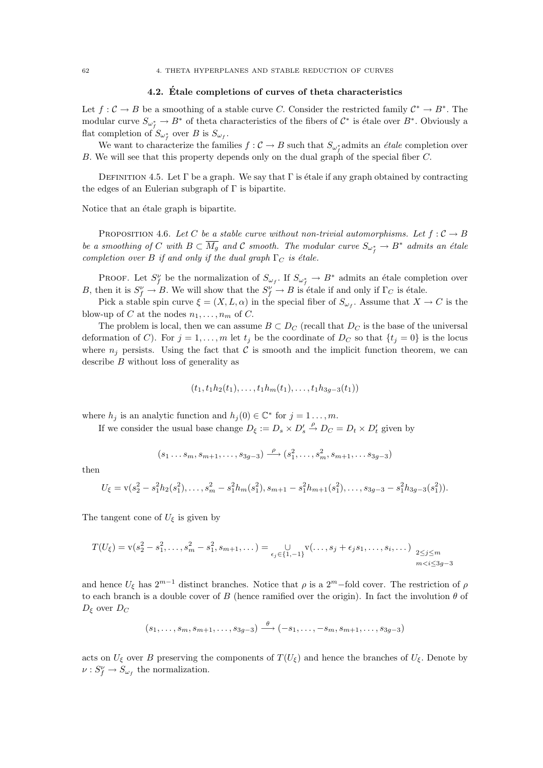### 4.2. Etale completions of curves of theta characteristics ´

Let  $f: \mathcal{C} \to B$  be a smoothing of a stable curve C. Consider the restricted family  $\mathcal{C}^* \to B^*$ . The modular curve  $S_{\omega_f^*} \to B^*$  of theta characteristics of the fibers of  $\mathcal{C}^*$  is étale over  $B^*$ . Obviously a flat completion of  $S_{\omega_f^*}$  over B is  $S_{\omega_f}$ .

We want to characterize the families  $f: \mathcal{C} \to B$  such that  $S_{\omega_f^*}$  admits an *étale* completion over B. We will see that this property depends only on the dual graph of the special fiber C.

DEFINITION 4.5. Let  $\Gamma$  be a graph. We say that  $\Gamma$  is étale if any graph obtained by contracting the edges of an Eulerian subgraph of  $\Gamma$  is bipartite.

Notice that an étale graph is bipartite.

PROPOSITION 4.6. Let C be a stable curve without non-trivial automorphisms. Let  $f: \mathcal{C} \to B$ be a smoothing of C with  $B \subset \overline{M_g}$  and C smooth. The modular curve  $S_{\omega_f^*} \to B^*$  admits an étale completion over B if and only if the dual graph  $\Gamma_C$  is étale.

PROOF. Let  $S_f^{\nu}$  be the normalization of  $S_{\omega_f}$ . If  $S_{\omega_f^*} \to B^*$  admits an étale completion over B, then it is  $S_f^{\nu} \to B$ . We will show that the  $S_f^{\nu} \to B$  is étale if and only if  $\Gamma_C$  is étale.

Pick a stable spin curve  $\xi = (X, L, \alpha)$  in the special fiber of  $S_{\omega_f}$ . Assume that  $X \to C$  is the blow-up of C at the nodes  $n_1, \ldots, n_m$  of C.

The problem is local, then we can assume  $B \subset D_C$  (recall that  $D_C$  is the base of the universal deformation of C). For  $j = 1, ..., m$  let  $t_j$  be the coordinate of  $D_C$  so that  $\{t_j = 0\}$  is the locus where  $n_j$  persists. Using the fact that C is smooth and the implicit function theorem, we can describe B without loss of generality as

$$
(t_1, t_1h_2(t_1), \ldots, t_1h_m(t_1), \ldots, t_1h_{3g-3}(t_1))
$$

where  $h_j$  is an analytic function and  $h_j(0) \in \mathbb{C}^*$  for  $j = 1 \ldots, m$ .

If we consider the usual base change  $D_{\xi} := D_s \times D'_s \stackrel{\rho}{\to} D_C = D_t \times D'_t$  given by

$$
(s_1 \ldots s_m, s_{m+1}, \ldots, s_{3g-3}) \xrightarrow{\rho} (s_1^2, \ldots, s_m^2, s_{m+1}, \ldots s_{3g-3})
$$

then

$$
U_{\xi} = \mathbf{v}(s_2^2 - s_1^2 h_2(s_1^2), \dots, s_m^2 - s_1^2 h_m(s_1^2), s_{m+1} - s_1^2 h_{m+1}(s_1^2), \dots, s_{3g-3} - s_1^2 h_{3g-3}(s_1^2)).
$$

The tangent cone of  $U_{\xi}$  is given by

$$
T(U_{\xi}) = \mathbf{v}(s_2^2 - s_1^2, \dots, s_m^2 - s_1^2, s_{m+1}, \dots) = \bigcup_{\epsilon_j \in \{1, -1\}} \mathbf{v}(\dots, s_j + \epsilon_j s_1, \dots, s_i, \dots) \sum_{\substack{2 \le j \le m \\ m < i \le 3g-3}}
$$

and hence  $U_{\xi}$  has  $2^{m-1}$  distinct branches. Notice that  $\rho$  is a  $2^m$ -fold cover. The restriction of  $\rho$ to each branch is a double cover of B (hence ramified over the origin). In fact the involution  $\theta$  of  $D_{\xi}$  over  $D_{C}$ 

$$
(s_1, \ldots, s_m, s_{m+1}, \ldots, s_{3g-3}) \stackrel{\theta}{\longrightarrow} (-s_1, \ldots, -s_m, s_{m+1}, \ldots, s_{3g-3})
$$

acts on  $U_{\xi}$  over B preserving the components of  $T(U_{\xi})$  and hence the branches of  $U_{\xi}$ . Denote by  $\nu: S_f^{\nu} \to S_{\omega_f}$  the normalization.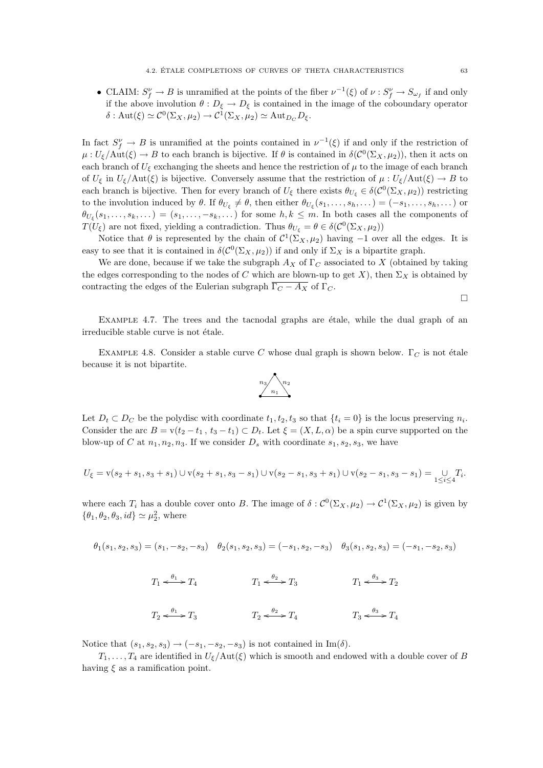• CLAIM:  $S_f^{\nu} \to B$  is unramified at the points of the fiber  $\nu^{-1}(\xi)$  of  $\nu : S_f^{\nu} \to S_{\omega_f}$  if and only if the above involution  $\theta : D_{\xi} \to D_{\xi}$  is contained in the image of the coboundary operator  $\delta: \mathrm{Aut}(\xi) \simeq C^0(\Sigma_X, \mu_2) \to C^1(\Sigma_X, \mu_2) \simeq \mathrm{Aut}_{D_C} D_{\xi}.$ 

In fact  $S_f^{\nu} \to B$  is unramified at the points contained in  $\nu^{-1}(\xi)$  if and only if the restriction of  $\mu: U_{\xi}/\text{Aut}(\xi) \to B$  to each branch is bijective. If  $\theta$  is contained in  $\delta(\mathcal{C}^0(\Sigma_X,\mu_2))$ , then it acts on each branch of  $U_{\xi}$  exchanging the sheets and hence the restriction of  $\mu$  to the image of each branch of  $U_{\xi}$  in  $U_{\xi}/\text{Aut}(\xi)$  is bijective. Conversely assume that the restriction of  $\mu: U_{\xi}/\text{Aut}(\xi) \to B$  to each branch is bijective. Then for every branch of  $U_{\xi}$  there exists  $\theta_{U_{\xi}} \in \delta(\mathcal{C}^0(\Sigma_X, \mu_2))$  restricting to the involution induced by  $\theta$ . If  $\theta_{U_{\xi}} \neq \theta$ , then either  $\theta_{U_{\xi}}(s_1,\ldots,s_h,\ldots) = (-s_1,\ldots,s_h,\ldots)$  or  $\theta_{U_{\xi}}(s_1,\ldots,s_k,\ldots)=(s_1,\ldots,-s_k,\ldots)$  for some  $h,k\leq m$ . In both cases all the components of  $T(U_{\xi})$  are not fixed, yielding a contradiction. Thus  $\theta_{U_{\xi}} = \theta \in \delta(\mathcal{C}^0(\Sigma_X, \mu_2))$ 

Notice that  $\theta$  is represented by the chain of  $C^1(\Sigma_X, \mu_2)$  having  $-1$  over all the edges. It is easy to see that it is contained in  $\delta(\mathcal{C}^0(\Sigma_X,\mu_2))$  if and only if  $\Sigma_X$  is a bipartite graph.

We are done, because if we take the subgraph  $A_X$  of  $\Gamma_C$  associated to X (obtained by taking the edges corresponding to the nodes of C which are blown-up to get X), then  $\Sigma_X$  is obtained by contracting the edges of the Eulerian subgraph  $\overline{\Gamma_C - A_X}$  of  $\Gamma_C$ .

 $\Box$ 

EXAMPLE 4.7. The trees and the tacnodal graphs are étale, while the dual graph of an irreducible stable curve is not étale.

EXAMPLE 4.8. Consider a stable curve C whose dual graph is shown below.  $\Gamma_C$  is not étale because it is not bipartite.



Let  $D_t \subset D_C$  be the polydisc with coordinate  $t_1, t_2, t_3$  so that  $\{t_i = 0\}$  is the locus preserving  $n_i$ . Consider the arc  $B = v(t_2 - t_1, t_3 - t_1) \subset D_t$ . Let  $\xi = (X, L, \alpha)$  be a spin curve supported on the blow-up of C at  $n_1, n_2, n_3$ . If we consider  $D_s$  with coordinate  $s_1, s_2, s_3$ , we have

$$
U_{\xi} = \mathbf{v}(s_2 + s_1, s_3 + s_1) \cup \mathbf{v}(s_2 + s_1, s_3 - s_1) \cup \mathbf{v}(s_2 - s_1, s_3 + s_1) \cup \mathbf{v}(s_2 - s_1, s_3 - s_1) = \bigcup_{1 \leq i \leq 4} T_i.
$$

where each  $T_i$  has a double cover onto B. The image of  $\delta : C^0(\Sigma_X, \mu_2) \to C^1(\Sigma_X, \mu_2)$  is given by  $\{\theta_1, \theta_2, \theta_3, id\} \simeq \mu_2^2$ , where

$$
\theta_1(s_1,s_2,s_3)=(s_1,-s_2,-s_3) \quad \theta_2(s_1,s_2,s_3)=(-s_1,s_2,-s_3) \quad \theta_3(s_1,s_2,s_3)=(-s_1,-s_2,s_3)
$$

$$
T_1 \xrightarrow{\theta_1} T_4 \qquad T_1 \xrightarrow{\theta_2} T_3 \qquad T_1 \xrightarrow{\theta_3} T_2
$$
  

$$
T_2 \xrightarrow{\theta_1} T_3 \qquad T_2 \xrightarrow{\theta_2} T_4 \qquad T_3 \xrightarrow{\theta_3} T_4
$$

Notice that  $(s_1, s_2, s_3) \rightarrow (-s_1, -s_2, -s_3)$  is not contained in Im( $\delta$ ).

 $T_1, \ldots, T_4$  are identified in  $U_{\xi}/\text{Aut}(\xi)$  which is smooth and endowed with a double cover of B having  $\xi$  as a ramification point.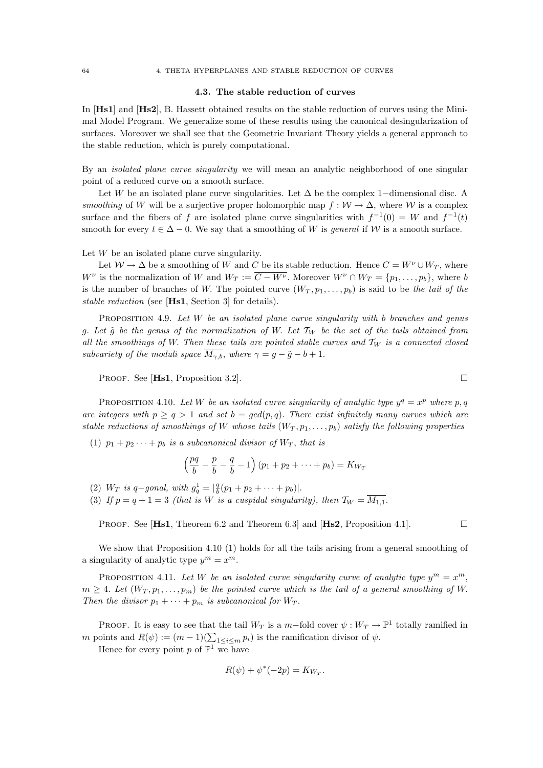#### 4.3. The stable reduction of curves

In [Hs1] and [Hs2], B. Hassett obtained results on the stable reduction of curves using the Minimal Model Program. We generalize some of these results using the canonical desingularization of surfaces. Moreover we shall see that the Geometric Invariant Theory yields a general approach to the stable reduction, which is purely computational.

By an *isolated plane curve singularity* we will mean an analytic neighborhood of one singular point of a reduced curve on a smooth surface.

Let W be an isolated plane curve singularities. Let  $\Delta$  be the complex 1–dimensional disc. A smoothing of W will be a surjective proper holomorphic map  $f : \mathcal{W} \to \Delta$ , where W is a complex surface and the fibers of f are isolated plane curve singularities with  $f^{-1}(0) = W$  and  $f^{-1}(t)$ smooth for every  $t \in \Delta - 0$ . We say that a smoothing of W is general if W is a smooth surface.

Let  $W$  be an isolated plane curve singularity.

Let  $W \to \Delta$  be a smoothing of W and C be its stable reduction. Hence  $C = W^{\nu} \cup W_T$ , where  $W^{\nu}$  is the normalization of W and  $W_T := \overline{C - W^{\nu}}$ . Moreover  $W^{\nu} \cap W_T = \{p_1, \ldots, p_b\}$ , where b is the number of branches of W. The pointed curve  $(W_T, p_1, \ldots, p_b)$  is said to be the tail of the stable reduction (see [Hs1, Section 3] for details).

PROPOSITION 4.9. Let  $W$  be an isolated plane curve singularity with b branches and genus g. Let  $\tilde{g}$  be the genus of the normalization of W. Let  $\mathcal{T}_W$  be the set of the tails obtained from all the smoothings of W. Then these tails are pointed stable curves and  $T_W$  is a connected closed subvariety of the moduli space  $\overline{M_{\gamma,b}}$ , where  $\gamma = g - \tilde{g} - b + 1$ .

PROOF. See [**Hs1**, Proposition 3.2].

PROPOSITION 4.10. Let W be an isolated curve singularity of analytic type  $y^q = x^p$  where p, q are integers with  $p > q > 1$  and set  $b = \gcd(p, q)$ . There exist infinitely many curves which are stable reductions of smoothings of W whose tails  $(W_T, p_1, \ldots, p_b)$  satisfy the following properties

(1)  $p_1 + p_2 \cdots + p_b$  is a subcanonical divisor of  $W_T$ , that is

$$
\left(\frac{pq}{b} - \frac{p}{b} - \frac{q}{b} - 1\right)(p_1 + p_2 + \dots + p_b) = K_{W_T}
$$

(2)  $W_T$  is q-gonal, with  $g_q^1 = \left| \frac{q}{b}(p_1 + p_2 + \cdots + p_b) \right|$ .

(3) If  $p = q + 1 = 3$  (that is W is a cuspidal singularity), then  $\mathcal{T}_W = \overline{M_{1,1}}$ .

**PROOF.** See [**Hs1**, Theorem 6.2 and Theorem 6.3] and [**Hs2**, Proposition 4.1].

We show that Proposition 4.10 (1) holds for all the tails arising from a general smoothing of a singularity of analytic type  $y^m = x^m$ .

PROPOSITION 4.11. Let W be an isolated curve singularity curve of analytic type  $y^m = x^m$ ,  $m \geq 4$ . Let  $(W_T, p_1, \ldots, p_m)$  be the pointed curve which is the tail of a general smoothing of W. Then the divisor  $p_1 + \cdots + p_m$  is subcanonical for  $W_T$ .

PROOF. It is easy to see that the tail  $W_T$  is a m-fold cover  $\psi : W_T \to \mathbb{P}^1$  totally ramified in m points and  $R(\psi) := (m-1)(\sum_{1 \leq i \leq m} p_i)$  is the ramification divisor of  $\psi$ .

Hence for every point p of  $\mathbb{P}^1$  we have

$$
R(\psi) + \psi^*(-2p) = K_{W_T}.
$$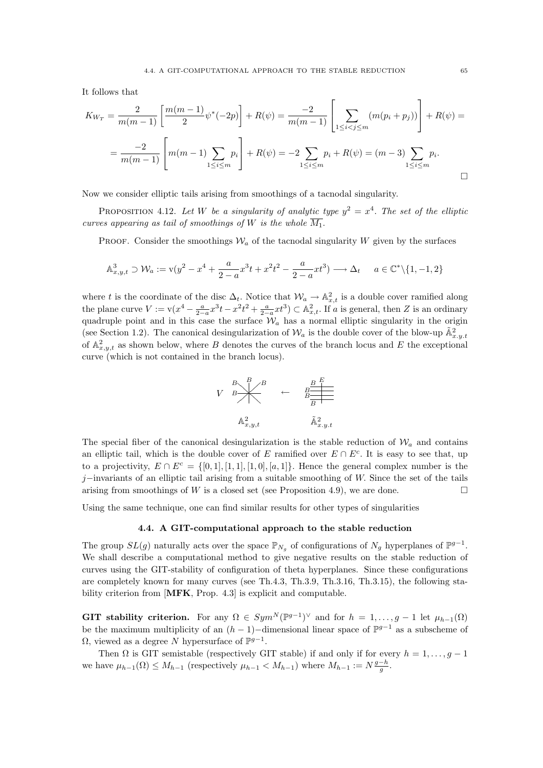It follows that

$$
K_{W_T} = \frac{2}{m(m-1)} \left[ \frac{m(m-1)}{2} \psi^*(-2p) \right] + R(\psi) = \frac{-2}{m(m-1)} \left[ \sum_{1 \le i < j \le m} (m(p_i + p_j)) \right] + R(\psi) =
$$
\n
$$
= \frac{-2}{m(m-1)} \left[ m(m-1) \sum_{1 \le i \le m} p_i \right] + R(\psi) = -2 \sum_{1 \le i \le m} p_i + R(\psi) = (m-3) \sum_{1 \le i \le m} p_i.
$$

Now we consider elliptic tails arising from smoothings of a tacnodal singularity.

PROPOSITION 4.12. Let W be a singularity of analytic type  $y^2 = x^4$ . The set of the elliptic curves appearing as tail of smoothings of W is the whole  $\overline{M_1}$ .

PROOF. Consider the smoothings  $\mathcal{W}_a$  of the tacnodal singularity W given by the surfaces

$$
\mathbb{A}^3_{x,y,t} \supset \mathcal{W}_a := \mathbf{v}(y^2 - x^4 + \frac{a}{2-a}x^3t + x^2t^2 - \frac{a}{2-a}xt^3) \longrightarrow \Delta_t \qquad a \in \mathbb{C}^* \setminus \{1, -1, 2\}
$$

where t is the coordinate of the disc  $\Delta_t$ . Notice that  $\mathcal{W}_a \to \mathbb{A}^2_{x,t}$  is a double cover ramified along the plane curve  $V := \mathbf{v}(x^4 - \frac{a}{2-a}x^3t - x^2t^2 + \frac{a}{2-a}xt^3) \subset \mathbb{A}^2_{x,t}$ . If a is general, then Z is an ordinary quadruple point and in this case the surface  $\mathcal{W}_a$  has a normal elliptic singularity in the origin (see Section 1.2). The canonical desingularization of  $\mathcal{W}_a$  is the double cover of the blow-up  $\tilde{\mathbb{A}}_{x,y,t}^2$ of  $\mathbb{A}^2_{x,y,t}$  as shown below, where B denotes the curves of the branch locus and E the exceptional curve (which is not contained in the branch locus).

$$
V \overset{B}{\longrightarrow} \overset{B}{\longleftarrow} \overset{B}{\longleftarrow} \overset{B}{\longleftarrow} \overset{B}{\longleftarrow} \overset{B}{\underset{B}{\longrightarrow}}
$$
\n
$$
\mathbb{A}^2_{x,y,t} \overset{B}{\longrightarrow} \widetilde{\mathbb{A}}^2_{x,y,t}
$$

The special fiber of the canonical desingularization is the stable reduction of  $\mathcal{W}_a$  and contains an elliptic tail, which is the double cover of E ramified over  $E \cap E^c$ . It is easy to see that, up to a projectivity,  $E \cap E^c = \{[0,1], [1,1], [1,0], [a,1]\}$ . Hence the general complex number is the j–invariants of an elliptic tail arising from a suitable smoothing of W. Since the set of the tails arising from smoothings of W is a closed set (see Proposition 4.9), we are done.

Using the same technique, one can find similar results for other types of singularities

### 4.4. A GIT-computational approach to the stable reduction

The group  $SL(g)$  naturally acts over the space  $\mathbb{P}_{N_g}$  of configurations of  $N_g$  hyperplanes of  $\mathbb{P}^{g-1}$ . We shall describe a computational method to give negative results on the stable reduction of curves using the GIT-stability of configuration of theta hyperplanes. Since these configurations are completely known for many curves (see Th.4.3, Th.3.9, Th.3.16, Th.3.15), the following stability criterion from [MFK, Prop. 4.3] is explicit and computable.

GIT stability criterion. For any  $\Omega \in Sym^N(\mathbb{P}^{g-1})^{\vee}$  and for  $h = 1, ..., g-1$  let  $\mu_{h-1}(\Omega)$ be the maximum multiplicity of an  $(h-1)$ -dimensional linear space of  $\mathbb{P}^{g-1}$  as a subscheme of  $\Omega$ , viewed as a degree N hypersurface of  $\mathbb{P}^{g-1}$ .

Then  $\Omega$  is GIT semistable (respectively GIT stable) if and only if for every  $h = 1, \ldots, g - 1$ we have  $\mu_{h-1}(\Omega) \leq M_{h-1}$  (respectively  $\mu_{h-1} < M_{h-1}$ ) where  $M_{h-1} := N \frac{g-h}{g}$ .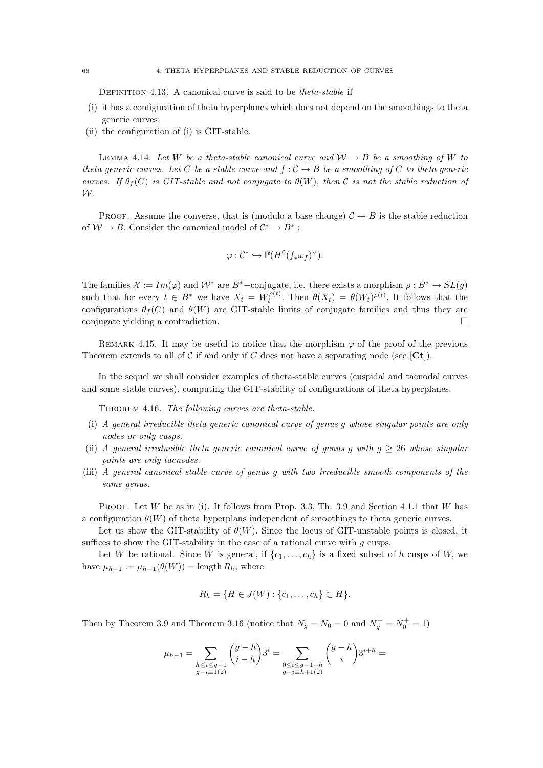DEFINITION 4.13. A canonical curve is said to be *theta-stable* if

- (i) it has a configuration of theta hyperplanes which does not depend on the smoothings to theta generic curves;
- (ii) the configuration of (i) is GIT-stable.

LEMMA 4.14. Let W be a theta-stable canonical curve and  $\mathcal{W} \to B$  be a smoothing of W to theta generic curves. Let C be a stable curve and  $f : C \to B$  be a smoothing of C to theta generic curves. If  $\theta_f(C)$  is GIT-stable and not conjugate to  $\theta(W)$ , then C is not the stable reduction of W.

PROOF. Assume the converse, that is (modulo a base change)  $\mathcal{C} \to B$  is the stable reduction of  $W \to B$ . Consider the canonical model of  $\mathcal{C}^* \to B^*$ :

$$
\varphi: \mathcal{C}^* \hookrightarrow \mathbb{P}(H^0(f_*\omega_f)^{\vee}).
$$

The families  $\mathcal{X} := Im(\varphi)$  and  $\mathcal{W}^*$  are  $B^*$ -conjugate, i.e. there exists a morphism  $\rho : B^* \to SL(q)$ such that for every  $t \in B^*$  we have  $X_t = W_t^{\rho(t)}$ . Then  $\theta(X_t) = \theta(W_t)^{\rho(t)}$ . It follows that the configurations  $\theta_f(C)$  and  $\theta(W)$  are GIT-stable limits of conjugate families and thus they are conjugate yielding a contradiction.

REMARK 4.15. It may be useful to notice that the morphism  $\varphi$  of the proof of the previous Theorem extends to all of C if and only if C does not have a separating node (see  $[\mathbf{C}\mathbf{t}]$ ).

In the sequel we shall consider examples of theta-stable curves (cuspidal and tacnodal curves and some stable curves), computing the GIT-stability of configurations of theta hyperplanes.

THEOREM 4.16. The following curves are theta-stable.

- (i) A general irreducible theta generic canonical curve of genus g whose singular points are only nodes or only cusps.
- (ii) A general irreducible theta generic canonical curve of genus g with  $g \geq 26$  whose singular points are only tacnodes.
- (iii) A general canonical stable curve of genus g with two irreducible smooth components of the same genus.

PROOF. Let W be as in (i). It follows from Prop. 3.3, Th. 3.9 and Section 4.1.1 that W has a configuration  $\theta(W)$  of theta hyperplans independent of smoothings to theta generic curves.

Let us show the GIT-stability of  $\theta(W)$ . Since the locus of GIT-unstable points is closed, it suffices to show the GIT-stability in the case of a rational curve with  $g$  cusps.

Let W be rational. Since W is general, if  $\{c_1, \ldots, c_h\}$  is a fixed subset of h cusps of W, we have  $\mu_{h-1} := \mu_{h-1}(\theta(W)) = \text{length } R_h$ , where

$$
R_h = \{H \in J(W) : \{c_1, \ldots, c_h\} \subset H\}.
$$

Then by Theorem 3.9 and Theorem 3.16 (notice that  $N_{\tilde{g}} = N_0 = 0$  and  $N_{\tilde{g}}^+ = N_0^+ = 1$ )

$$
\mu_{h-1} = \sum_{\substack{h \leq i \leq g-1 \\ g-i \equiv 1 (2)}} \binom{g-h}{i-h} 3^i = \sum_{\substack{0 \leq i \leq g-1-h \\ g-i \equiv h+1 (2)}} \binom{g-h}{i} 3^{i+h} =
$$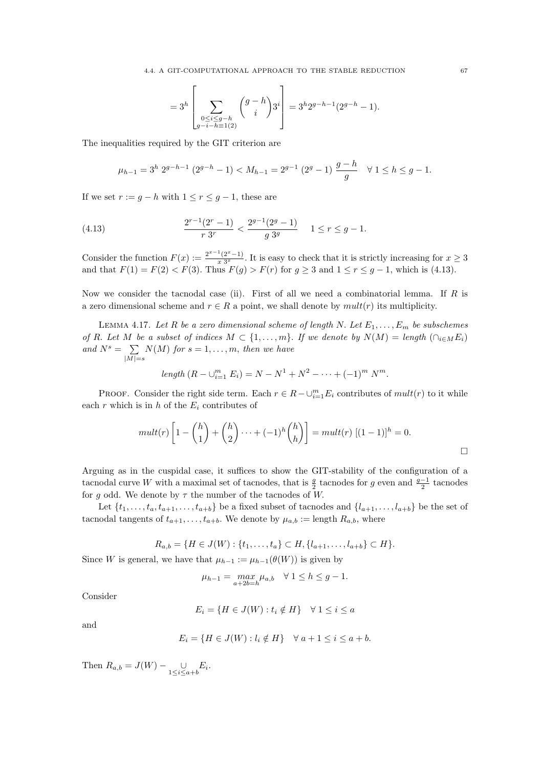$$
=3^{h}\left[\sum_{\substack{0\leq i\leq g-h\\ g-i-h\equiv 1(2)}}\binom{g-h}{i}3^{i}\right]=3^{h}2^{g-h-1}(2^{g-h}-1).
$$

The inequalities required by the GIT criterion are

$$
\mu_{h-1} = 3^h 2^{g-h-1} (2^{g-h} - 1) < M_{h-1} = 2^{g-1} (2^g - 1) \frac{g-h}{g} \quad \forall \ 1 \le h \le g-1.
$$

If we set  $r := g - h$  with  $1 \le r \le g - 1$ , these are

(4.13) 
$$
\frac{2^{r-1}(2^r-1)}{r \ 3^r} < \frac{2^{g-1}(2^g-1)}{g \ 3^g} \quad 1 \le r \le g-1.
$$

Consider the function  $F(x) := \frac{2^{x-1}(2^x-1)}{x^2}$  $\frac{\binom{1}{2}x-1}{x\cdot 3^x}$ . It is easy to check that it is strictly increasing for  $x\geq 3$ and that  $F(1) = F(2) < F(3)$ . Thus  $F(g) > F(r)$  for  $g \ge 3$  and  $1 \le r \le g - 1$ , which is (4.13).

Now we consider the tacnodal case (ii). First of all we need a combinatorial lemma. If  $R$  is a zero dimensional scheme and  $r \in R$  a point, we shall denote by  $mult(r)$  its multiplicity.

LEMMA 4.17. Let R be a zero dimensional scheme of length N. Let  $E_1, \ldots, E_m$  be subschemes of R. Let M be a subset of indices  $M \subset \{1, \ldots, m\}$ . If we denote by  $N(M) = \text{length } (\bigcap_{i \in M} E_i)$ and  $N^s = \sum$  $|\overline{M|=s}$  $N(M)$  for  $s = 1, \ldots, m$ , then we have

length 
$$
(R - \bigcup_{i=1}^{m} E_i) = N - N^1 + N^2 - \cdots + (-1)^m N^m
$$
.

PROOF. Consider the right side term. Each  $r \in R - \cup_{i=1}^m E_i$  contributes of  $mult(r)$  to it while each  $r$  which is in  $h$  of the  $E_i$  contributes of

$$
mult(r)\left[1 - {h \choose 1} + {h \choose 2} \cdots + (-1)^h {h \choose h}\right] = mult(r)\left[(1-1)\right]^h = 0.
$$

Arguing as in the cuspidal case, it suffices to show the GIT-stability of the configuration of a tacnodal curve W with a maximal set of tacnodes, that is  $\frac{g}{2}$  tacnodes for g even and  $\frac{g-1}{2}$  tacnodes for g odd. We denote by  $\tau$  the number of the tacnodes of W.

Let  $\{t_1, \ldots, t_a, t_{a+1}, \ldots, t_{a+b}\}$  be a fixed subset of tacnodes and  $\{l_{a+1}, \ldots, l_{a+b}\}$  be the set of tacnodal tangents of  $t_{a+1}, \ldots, t_{a+b}$ . We denote by  $\mu_{a,b} := \text{length } R_{a,b}$ , where

$$
R_{a,b} = \{H \in J(W) : \{t_1, \ldots, t_a\} \subset H, \{l_{a+1}, \ldots, l_{a+b}\} \subset H\}.
$$

Since W is general, we have that  $\mu_{h-1} := \mu_{h-1}(\theta(W))$  is given by

$$
\mu_{h-1} = \max_{a+2b=h} \mu_{a,b} \quad \forall \ 1 \le h \le g-1.
$$

Consider

$$
E_i = \{ H \in J(W) : t_i \notin H \} \quad \forall \ 1 \le i \le a
$$

and

$$
E_i = \{ H \in J(W) : l_i \notin H \} \quad \forall \ a+1 \leq i \leq a+b.
$$

Then  $R_{a,b} = J(W) - \bigcup_{1 \le i \le a+b} E_i$ .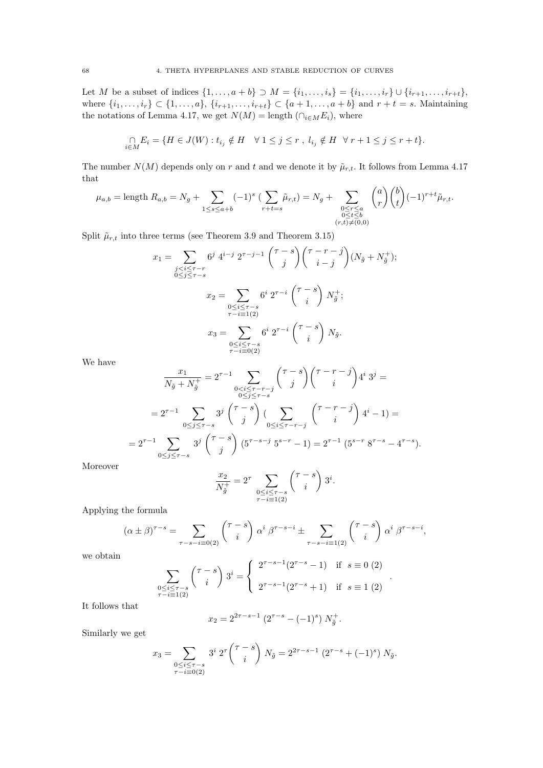Let M be a subset of indices  $\{1, ..., a + b\} \supset M = \{i_1, ..., i_s\} = \{i_1, ..., i_r\} \cup \{i_{r+1}, ..., i_{r+t}\},\$ where  $\{i_1, ..., i_r\} \subset \{1, ..., a\}, \{i_{r+1}, ..., i_{r+t}\} \subset \{a+1, ..., a+b\}$  and  $r + t = s$ . Maintaining the notations of Lemma 4.17, we get  $N(M) = \text{length} \left( \bigcap_{i \in M} E_i \right)$ , where

$$
\bigcap_{i\in M} E_i = \{H \in J(W) : t_{i_j} \notin H \quad \forall \ 1 \leq j \leq r \ , \ l_{i_j} \notin H \quad \forall \ r+1 \leq j \leq r+t \}.
$$

The number  $N(M)$  depends only on r and t and we denote it by  $\tilde{\mu}_{r,t}$ . It follows from Lemma 4.17 that

$$
\mu_{a,b} = \text{length } R_{a,b} = N_g + \sum_{1 \le s \le a+b} (-1)^s \left( \sum_{r+t=s} \tilde{\mu}_{r,t} \right) = N_g + \sum_{\substack{0 \le r \le a \\ 0 \le t \le b \\ (r,t) \neq (0,0)}} {a \choose r} {b \choose t} (-1)^{r+t} \tilde{\mu}_{r,t}.
$$

Split  $\tilde{\mu}_{r,t}$  into three terms (see Theorem 3.9 and Theorem 3.15)

$$
x_1 = \sum_{\substack{j < i \le \tau - r \\ 0 \le j \le \tau - s}} 6^j \ 4^{i-j} \ 2^{\tau - j - 1} \binom{\tau - s}{j} \binom{\tau - r - j}{i - j} (N_{\tilde{g}} + N_{\tilde{g}}^+);
$$
\n
$$
x_2 = \sum_{\substack{0 \le i \le \tau - s \\ \tau - i \equiv 1(2)}} 6^i \ 2^{\tau - i} \binom{\tau - s}{i} N_{\tilde{g}}^+;
$$
\n
$$
x_3 = \sum_{\substack{0 \le i \le \tau - s \\ \tau - i \equiv 0(2)}} 6^i \ 2^{\tau - i} \binom{\tau - s}{i} N_{\tilde{g}}.
$$

We have

$$
\frac{x_1}{N_{\tilde{g}} + N_{\tilde{g}}^+} = 2^{\tau - 1} \sum_{\substack{0 < i \leq \tau - r - j \\ 0 \leq j \leq \tau - s}} {\tau - s \choose j} {\tau - r - j \choose i} 4^i \ 3^j =
$$
\n
$$
= 2^{\tau - 1} \sum_{0 \leq j \leq \tau - s} 3^j {\tau - s \choose j} {\sum_{0 \leq i \leq \tau - r - j} {\tau - r - j \choose i}} 4^i - 1 =
$$
\n
$$
= 2^{\tau - 1} \sum_{0 \leq j \leq \tau - s} 3^j {\tau - s \choose j} (5^{\tau - s - j} 5^{s - r} - 1) = 2^{\tau - 1} (5^{s - r} 8^{\tau - s} - 4^{\tau - s}).
$$

Moreover

$$
\frac{x_2}{N_{\tilde{g}}^+} = 2^{\tau} \sum_{\substack{0 \le i \le \tau-s \\ \tau - i \equiv 1 (2)}} \binom{\tau - s}{i} \, 3^i.
$$

Applying the formula

$$
(\alpha \pm \beta)^{\tau-s} = \sum_{\tau-s-i \equiv 0(2)} {\tau-s \choose i} \alpha^i \beta^{\tau-s-i} \pm \sum_{\tau-s-i \equiv 1(2)} {\tau-s \choose i} \alpha^i \beta^{\tau-s-i},
$$

we obtain

$$
\sum_{\substack{0 \le i \le \tau - s \\ \tau - i \equiv 1(2)}} \binom{\tau - s}{i} 3^i = \begin{cases} 2^{\tau - s - 1} (2^{\tau - s} - 1) & \text{if } s \equiv 0 (2) \\ 2^{\tau - s - 1} (2^{\tau - s} + 1) & \text{if } s \equiv 1 (2) \end{cases}.
$$

It follows that

$$
x_2 = 2^{2\tau - s - 1} \left( 2^{\tau - s} - (-1)^s \right) N_{\tilde{g}}^+.
$$

Similarly we get

$$
x_3 = \sum_{\substack{0 \le i \le \tau - s \\ \tau - i \equiv 0(2)}} 3^{i} 2^{\tau} {\tau - s \choose i} N_{\tilde{g}} = 2^{2\tau - s - 1} (2^{\tau - s} + (-1)^{s}) N_{\tilde{g}}.
$$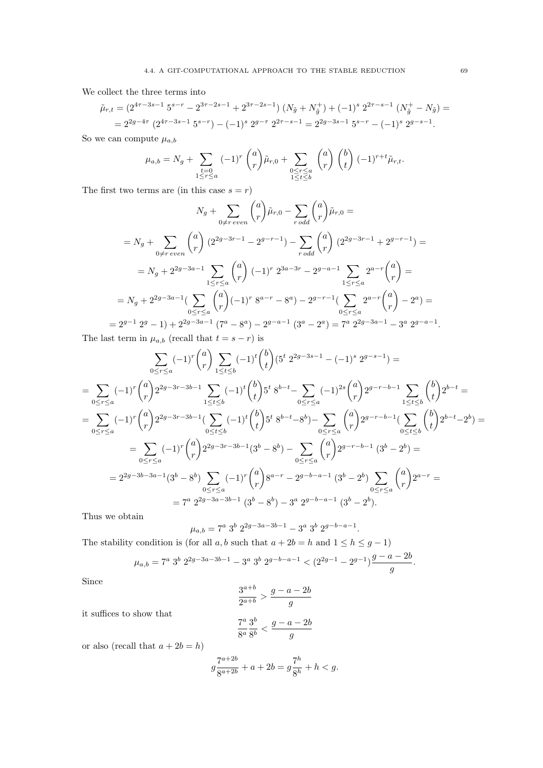We collect the three terms into

$$
\tilde{\mu}_{r,t} = (2^{4r-3s-1} 5^{s-r} - 2^{3r-2s-1} + 2^{3r-2s-1}) (N_{\tilde{g}} + N_{\tilde{g}}^+) + (-1)^s 2^{2r-s-1} (N_{\tilde{g}}^+ - N_{\tilde{g}}) =
$$
  
=  $2^{2g-4\tau} (2^{4r-3s-1} 5^{s-r}) - (-1)^s 2^{g-\tau} 2^{2r-s-1} = 2^{2g-3s-1} 5^{s-r} - (-1)^s 2^{g-s-1}.$ 

So we can compute  $\mu_{a,b}$ 

$$
\mu_{a,b} = N_g + \sum_{\substack{t=0 \ 1 \le r \le a}} (-1)^r {a \choose r} \tilde{\mu}_{r,0} + \sum_{\substack{0 \le r \le a \ 1 \le t \le b}} {a \choose r} {b \choose t} (-1)^{r+t} \tilde{\mu}_{r,t}.
$$

The first two terms are (in this case  $s = r$ )

$$
N_g + \sum_{0 \neq r \ even} {a \choose r} \tilde{\mu}_{r,0} - \sum_{r \ odd} {a \choose r} \tilde{\mu}_{r,0} =
$$
  
\n
$$
= N_g + \sum_{0 \neq r \ even} {a \choose r} (2^{2g-3r-1} - 2^{g-r-1}) - \sum_{r \ odd} {a \choose r} (2^{2g-3r-1} + 2^{g-r-1}) =
$$
  
\n
$$
= N_g + 2^{2g-3a-1} \sum_{1 \leq r \leq a} {a \choose r} (-1)^r 2^{3a-3r} - 2^{g-a-1} \sum_{1 \leq r \leq a} 2^{a-r} {a \choose r} =
$$
  
\n
$$
= N_g + 2^{2g-3a-1} (\sum_{0 \leq r \leq a} {a \choose r} (-1)^r 8^{a-r} - 8^a) - 2^{g-r-1} (\sum_{0 \leq r \leq a} 2^{a-r} {a \choose r} - 2^a) =
$$
  
\n
$$
= 2^{g-1} 2^g - 1) + 2^{2g-3a-1} (7^a - 8^a) - 2^{g-a-1} (3^a - 2^a) = 7^a 2^{2g-3a-1} - 3^a 2^{g-a-1}.
$$

The last term in  $\mu_{a,b}$  (recall that  $t = s - r$ ) is

$$
\sum_{0 \leq r \leq a} (-1)^r {a \choose r} \sum_{1 \leq t \leq b} (-1)^t {b \choose t} (5^t 2^{2g-3s-1} - (-1)^s 2^{g-s-1}) =
$$
\n
$$
= \sum_{0 \leq r \leq a} (-1)^r {a \choose r} 2^{2g-3r-3b-1} \sum_{1 \leq t \leq b} (-1)^t {b \choose t} 5^t 8^{b-t} - \sum_{0 \leq r \leq a} (-1)^{2s} {a \choose r} 2^{g-r-b-1} \sum_{1 \leq t \leq b} {b \choose t} 2^{b-t} =
$$
\n
$$
= \sum_{0 \leq r \leq a} (-1)^r {a \choose r} 2^{2g-3r-3b-1} (\sum_{0 \leq t \leq b} (-1)^t {b \choose t} 5^t 8^{b-t} - 8^b) - \sum_{0 \leq r \leq a} {a \choose r} 2^{g-r-b-1} (\sum_{0 \leq t \leq b} {b \choose t} 2^{b-t} - 2^b) =
$$
\n
$$
= \sum_{0 \leq r \leq a} (-1)^r {a \choose r} 2^{2g-3r-3b-1} (3^b - 8^b) - \sum_{0 \leq r \leq a} {a \choose r} 2^{g-r-b-1} (3^b - 2^b) =
$$
\n
$$
= 2^{2g-3b-3a-1} (3^b - 8^b) \sum_{0 \leq r \leq a} (-1)^r {a \choose r} 8^{a-r} - 2^{g-b-a-1} (3^b - 2^b) \sum_{0 \leq r \leq a} {a \choose r} 2^{a-r} =
$$
\n
$$
= 7^a 2^{2g-3a-3b-1} (3^b - 8^b) - 3^a 2^{g-b-a-1} (3^b - 2^b).
$$

Thus we obtain

$$
\mu_{a,b} = 7^a \ 3^b \ 2^{2g-3a-3b-1} - 3^a \ 3^b \ 2^{g-b-a-1}.
$$

The stability condition is (for all  $a, b$  such that  $a + 2b = h$  and  $1 \leq h \leq g - 1$ )

$$
\mu_{a,b}=7^a \ 3^b \ 2^{2g-3a-3b-1}-3^a \ 3^b \ 2^{g-b-a-1}<\big(2^{2g-1}-2^{g-1}\big) \frac{g-a-2b}{g}.
$$

Since

$$
\frac{3^{a+b}}{2^{a+b}} > \frac{g-a-2b}{g}
$$

it suffices to show that

$$
\frac{7^a}{8^a} \frac{3^b}{8^b} < \frac{g-a-2b}{g}
$$

or also (recall that  $a + 2b = h$ )

$$
g\frac{7^{a+2b}}{8^{a+2b}}+a+2b=g\frac{7^h}{8^h}+h
$$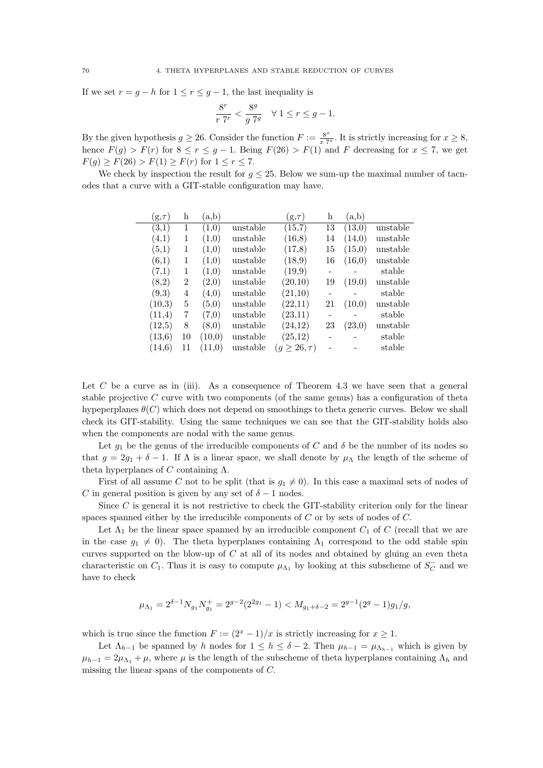If we set  $r = g - h$  for  $1 \le r \le g - 1$ , the last inequality is

$$
\frac{8^r}{r \ 7^r} < \frac{8^g}{g \ 7^g} \quad \forall \ 1 \le r \le g - 1.
$$

By the given hypothesis  $g \geq 26$ . Consider the function  $F := \frac{8^x}{x^2}$  $\frac{8^x}{x 7^x}$ . It is strictly increasing for  $x \ge 8$ , hence  $F(g) > F(r)$  for  $8 \le r \le g - 1$ . Being  $F(26) > F(1)$  and F decreasing for  $x \le 7$ , we get  $F(g) \ge F(26) > F(1) \ge F(r)$  for  $1 \le r \le 7$ .

We check by inspection the result for  $g \leq 25$ . Below we sum-up the maximal number of tacnodes that a curve with a GIT-stable configuration may have.

| $(g, \tau)$ | h  | (a,b)  |          | $[g, \tau]$       | h  | (a,b)   |          |
|-------------|----|--------|----------|-------------------|----|---------|----------|
| (3,1)       | 1  | (1,0)  | unstable | (15,7)            | 13 | (13,0)  | unstable |
| (4,1)       | 1  | (1.0)  | unstable | (16,8)            | 14 | (14.0)  | unstable |
| (5,1)       | 1  | (1,0)  | unstable | (17,8)            | 15 | (15,0)  | unstable |
| (6,1)       | 1  | (1,0)  | unstable | (18,9)            | 16 | (16, 0) | unstable |
| (7,1)       | 1  | (1,0)  | unstable | (19,9)            |    |         | stable   |
| (8,2)       | 2  | (2,0)  | unstable | (20,10)           | 19 | (19,0)  | unstable |
| (9,3)       | 4  | (4,0)  | unstable | (21,10)           |    |         | stable   |
| (10,3)      | 5  | (5,0)  | unstable | (22,11)           | 21 | (10.0)  | unstable |
| (11,4)      | 7  | (7,0)  | unstable | (23,11)           |    |         | stable   |
| (12,5)      | 8  | (8,0)  | unstable | (24, 12)          | 23 | (23,0)  | unstable |
| (13, 6)     | 10 | (10,0) | unstable | (25,12)           |    |         | stable   |
| (14.6)      | 11 | (11.0) | unstable | $(g\geq 26,\tau)$ |    |         | stable   |

Let C be a curve as in (iii). As a consequence of Theorem 4.3 we have seen that a general stable projective  $C$  curve with two components (of the same genus) has a configuration of theta hypeperplanes  $\theta(C)$  which does not depend on smoothings to theta generic curves. Below we shall check its GIT-stability. Using the same techniques we can see that the GIT-stability holds also when the components are nodal with the same genus.

Let  $g_1$  be the genus of the irreducible components of C and  $\delta$  be the number of its nodes so that  $g = 2g_1 + \delta - 1$ . If  $\Lambda$  is a linear space, we shall denote by  $\mu_\Lambda$  the length of the scheme of theta hyperplanes of C containing  $\Lambda$ .

First of all assume C not to be split (that is  $g_1 \neq 0$ ). In this case a maximal sets of nodes of C in general position is given by any set of  $\delta - 1$  nodes.

Since  $C$  is general it is not restrictive to check the GIT-stability criterion only for the linear spaces spanned either by the irreducible components of C or by sets of nodes of C.

Let  $\Lambda_1$  be the linear space spanned by an irreducible component  $C_1$  of C (recall that we are in the case  $g_1 \neq 0$ ). The theta hyperplanes containing  $\Lambda_1$  correspond to the odd stable spin curves supported on the blow-up of  $C$  at all of its nodes and obtained by gluing an even theta characteristic on  $C_1$ . Thus it is easy to compute  $\mu_{\Lambda_1}$  by looking at this subscheme of  $S_C^ C_C$  and we have to check

$$
\mu_{\Lambda_1} = 2^{\delta - 1} N_{g_1} N_{g_1}^+ = 2^{g-2} (2^{2g_1} - 1) < M_{g_1 + \delta - 2} = 2^{g-1} (2^g - 1) g_1 / g,
$$

which is true since the function  $F := (2^x - 1)/x$  is strictly increasing for  $x \ge 1$ .

Let  $\Lambda_{h-1}$  be spanned by h nodes for  $1 \leq h \leq \delta - 2$ . Then  $\mu_{h-1} = \mu_{\Lambda_{h-1}}$  which is given by  $\mu_{h-1} = 2\mu_{\Lambda_1} + \mu$ , where  $\mu$  is the length of the subscheme of theta hyperplanes containing  $\Lambda_h$  and missing the linear spans of the components of C.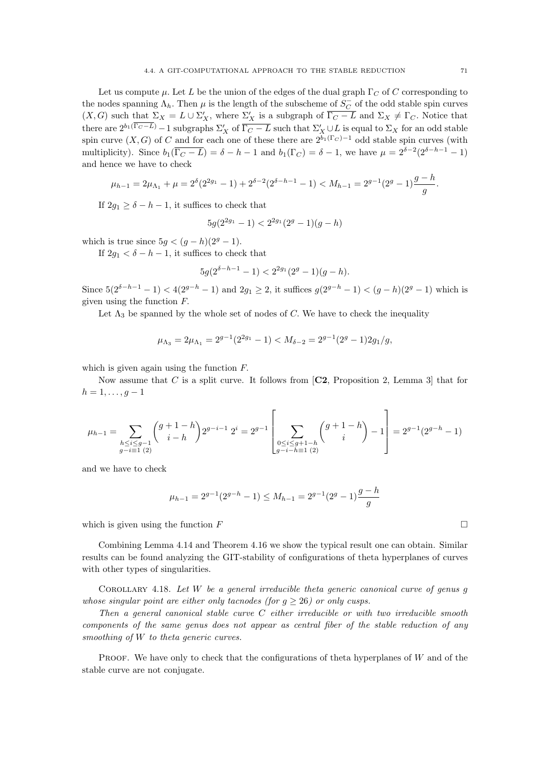Let us compute  $\mu$ . Let L be the union of the edges of the dual graph  $\Gamma_C$  of C corresponding to the nodes spanning  $\Lambda_h$ . Then  $\mu$  is the length of the subscheme of  $S_C^{\perp}$  $\overline{C}$  of the odd stable spin curves  $(X, G)$  such that  $\Sigma_X = L \cup \Sigma'_X$ , where  $\Sigma'_X$  is a subgraph of  $\overline{\Gamma_C - L}$  and  $\Sigma_X \neq \Gamma_C$ . Notice that there are  $2^{b_1(\overline{\Gamma_C - L})} - 1$  subgraphs  $\Sigma'_X$  of  $\overline{\Gamma_C - L}$  such that  $\Sigma'_X \cup L$  is equal to  $\Sigma_X$  for an odd stable spin curve  $(X, G)$  of C and for each one of these there are  $2^{b_1(\Gamma_C)-1}$  odd stable spin curves (with multiplicity). Since  $b_1(\overline{\Gamma_C - L}) = \delta - h - 1$  and  $b_1(\Gamma_C) = \delta - 1$ , we have  $\mu = 2^{\delta - 2}(2^{\delta - h - 1} - 1)$ and hence we have to check

$$
\mu_{h-1}=2\mu_{\Lambda_1}+\mu=2^{\delta}(2^{2g_1}-1)+2^{\delta-2}(2^{\delta-h-1}-1)
$$

If  $2q_1 > \delta - h - 1$ , it suffices to check that

$$
5g(2^{2g_1} - 1) < 2^{2g_1}(2^g - 1)(g - h)
$$

which is true since  $5g < (g - h)(2<sup>g</sup> - 1)$ .

If  $2g_1 < \delta - h - 1$ , it suffices to check that

$$
5g(2^{\delta-h-1}-1) < 2^{2g_1}(2^g-1)(g-h).
$$

Since  $5(2^{\delta-h-1}-1) < 4(2^{g-h}-1)$  and  $2g_1 \geq 2$ , it suffices  $g(2^{g-h}-1) < (g-h)(2^g-1)$  which is given using the function F.

Let  $\Lambda_3$  be spanned by the whole set of nodes of C. We have to check the inequality

$$
\mu_{\Lambda_3} = 2\mu_{\Lambda_1} = 2^{g-1}(2^{2g_1} - 1) < M_{\delta - 2} = 2^{g-1}(2^g - 1)2g_1/g,
$$

which is given again using the function  $F$ .

Now assume that C is a split curve. It follows from  $\mathbb{C}2$ , Proposition 2, Lemma 3 that for  $h = 1, \ldots, g - 1$ 

$$
\mu_{h-1} = \sum_{\substack{h \le i \le g-1 \\ g-i \equiv 1 \ (2)}} \binom{g+1-h}{i-h} 2^{g-i-1} 2^i = 2^{g-1} \left[ \sum_{\substack{0 \le i \le g+1-h \\ g-i-h \equiv 1 \ (2)}} \binom{g+1-h}{i} - 1 \right] = 2^{g-1} (2^{g-h} - 1)
$$

and we have to check

$$
\mu_{h-1} = 2^{g-1}(2^{g-h} - 1) \le M_{h-1} = 2^{g-1}(2^g - 1)\frac{g-h}{g}
$$

which is given using the function  $F$ 

Combining Lemma 4.14 and Theorem 4.16 we show the typical result one can obtain. Similar results can be found analyzing the GIT-stability of configurations of theta hyperplanes of curves with other types of singularities.

COROLLARY 4.18. Let  $W$  be a general irreducible theta generic canonical curve of genus  $g$ whose singular point are either only tacnodes (for  $q > 26$ ) or only cusps.

Then a general canonical stable curve  $C$  either irreducible or with two irreducible smooth components of the same genus does not appear as central fiber of the stable reduction of any smoothing of W to theta generic curves.

PROOF. We have only to check that the configurations of theta hyperplanes of  $W$  and of the stable curve are not conjugate.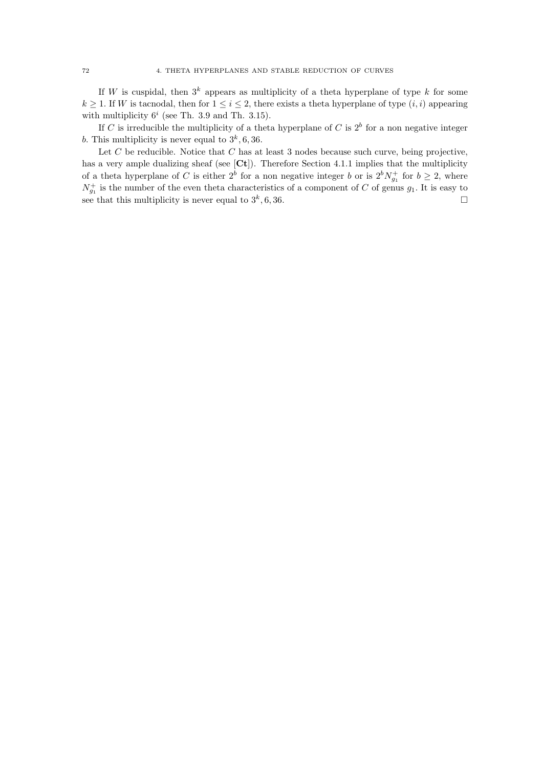If W is cuspidal, then  $3^k$  appears as multiplicity of a theta hyperplane of type k for some  $k \geq 1$ . If W is tacnodal, then for  $1 \leq i \leq 2$ , there exists a theta hyperplane of type  $(i, i)$  appearing with multiplicity  $6^i$  (see Th. 3.9 and Th. 3.15).

If C is irreducible the multiplicity of a theta hyperplane of C is  $2^b$  for a non negative integer b. This multiplicity is never equal to  $3^k$ , 6, 36.

Let  $C$  be reducible. Notice that  $C$  has at least 3 nodes because such curve, being projective, has a very ample dualizing sheaf (see [Ct]). Therefore Section 4.1.1 implies that the multiplicity of a theta hyperplane of C is either  $2^b$  for a non negative integer b or is  $2^b N_{g_1}^+$  for  $b \geq 2$ , where  $N_{g_1}^+$  is the number of the even theta characteristics of a component of C of genus  $g_1$ . It is easy to see that this multiplicity is never equal to  $3^k$ , 6, 36.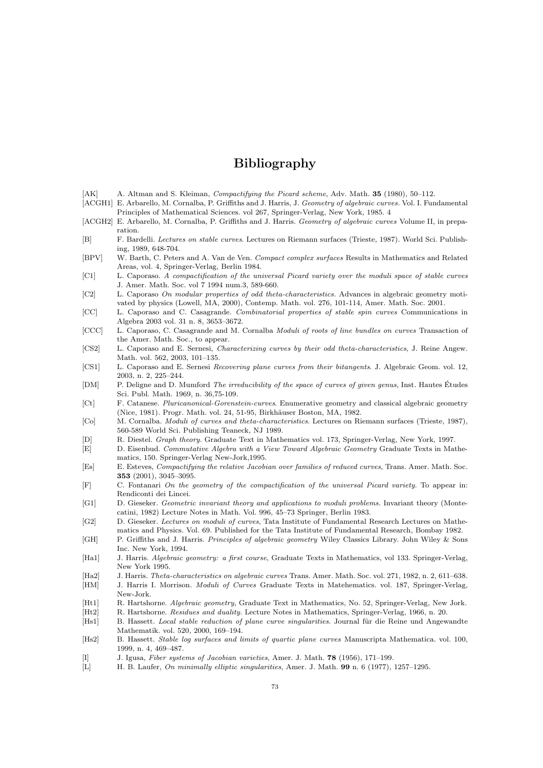## Bibliography

- [AK] A. Altman and S. Kleiman, Compactifying the Picard scheme, Adv. Math. 35 (1980), 50–112.
- [ACGH1] E. Arbarello, M. Cornalba, P. Griffiths and J. Harris, J. Geometry of algebraic curves. Vol. I. Fundamental Principles of Mathematical Sciences. vol 267, Springer-Verlag, New York, 1985. 4
- [ACGH2] E. Arbarello, M. Cornalba, P. Griffiths and J. Harris. Geometry of algebraic curves Volume II, in preparation.
- [B] F. Bardelli. Lectures on stable curves. Lectures on Riemann surfaces (Trieste, 1987). World Sci. Publishing, 1989, 648-704.
- [BPV] W. Barth, C. Peters and A. Van de Ven. Compact complex surfaces Results in Mathematics and Related Areas, vol. 4, Springer-Verlag, Berlin 1984.
- [C1] L. Caporaso. A compactification of the universal Picard variety over the moduli space of stable curves J. Amer. Math. Soc. vol 7 1994 num.3, 589-660.
- [C2] L. Caporaso On modular properties of odd theta-characteristics. Advances in algebraic geometry motivated by physics (Lowell, MA, 2000), Contemp. Math. vol. 276, 101-114, Amer. Math. Soc. 2001.
- [CC] L. Caporaso and C. Casagrande. Combinatorial properties of stable spin curves Communications in Algebra 2003 vol. 31 n. 8, 3653–3672.
- [CCC] L. Caporaso, C. Casagrande and M. Cornalba Moduli of roots of line bundles on curves Transaction of the Amer. Math. Soc., to appear.
- [CS2] L. Caporaso and E. Sernesi, Characterizing curves by their odd theta-characteristics, J. Reine Angew. Math. vol. 562, 2003, 101–135.
- [CS1] L. Caporaso and E. Sernesi Recovering plane curves from their bitangents. J. Algebraic Geom. vol. 12, 2003, n. 2, 225–244.
- [DM] P. Deligne and D. Mumford The irreducibility of the space of curves of given genus, Inst. Hautes Études Sci. Publ. Math. 1969, n. 36,75-109.
- [Ct] F. Catanese. Pluricanonical-Gorenstein-curves. Enumerative geometry and classical algebraic geometry (Nice, 1981). Progr. Math. vol. 24, 51-95, Birkhäuser Boston, MA, 1982.
- [Co] M. Cornalba. Moduli of curves and theta-characteristics. Lectures on Riemann surfaces (Trieste, 1987), 560-589 World Sci. Publishing Teaneck, NJ 1989.
- [D] R. Diestel. Graph theory. Graduate Text in Mathematics vol. 173, Springer-Verlag, New York, 1997.
- [E] D. Eisenbud. Commutative Algebra with a View Toward Algebraic Geometry Graduate Texts in Mathematics, 150. Springer-Verlag New-Jork,1995.
- [Es] E. Esteves, Compactifying the relative Jacobian over families of reduced curves, Trans. Amer. Math. Soc. 353 (2001), 3045–3095.
- [F] C. Fontanari On the geometry of the compactification of the universal Picard variety. To appear in: Rendiconti dei Lincei.
- [G1] D. Gieseker. Geometric invariant theory and applications to moduli problems. Invariant theory (Montecatini, 1982) Lecture Notes in Math. Vol. 996, 45–73 Springer, Berlin 1983.
- [G2] D. Gieseker. Lectures on moduli of curves, Tata Institute of Fundamental Research Lectures on Mathematics and Physics. Vol. 69. Published for the Tata Institute of Fundamental Research, Bombay 1982.
- [GH] P. Griffiths and J. Harris. Principles of algebraic geometry Wiley Classics Library. John Wiley & Sons Inc. New York, 1994.
- [Ha1] J. Harris. Algebraic geometry: a first course, Graduate Texts in Mathematics, vol 133. Springer-Verlag, New York 1995.
- [Ha2] J. Harris. Theta-characteristics on algebraic curves Trans. Amer. Math. Soc. vol. 271, 1982, n. 2, 611–638.
- [HM] J. Harris I. Morrison. Moduli of Curves Graduate Texts in Matehematics. vol. 187, Springer-Verlag, New-Jork.
- [Ht1] R. Hartshorne. Algebraic geometry, Graduate Text in Mathematics, No. 52, Springer-Verlag, New Jork. [Ht2] R. Hartshorne. Residues and duality. Lecture Notes in Mathematics, Springer-Verlag, 1966, n. 20.
- [Hs1] B. Hassett. Local stable reduction of plane curve singularities. Journal für die Reine und Angewandte Mathematik. vol. 520, 2000, 169–194.
- [Hs2] B. Hassett. Stable log surfaces and limits of quartic plane curves Manuscripta Mathematica. vol. 100, 1999, n. 4, 469–487.
- [I] J. Igusa, Fiber systems of Jacobian varieties, Amer. J. Math. 78 (1956), 171–199.
- [L] H. B. Laufer, On minimally elliptic singularities, Amer. J. Math. 99 n. 6 (1977), 1257–1295.